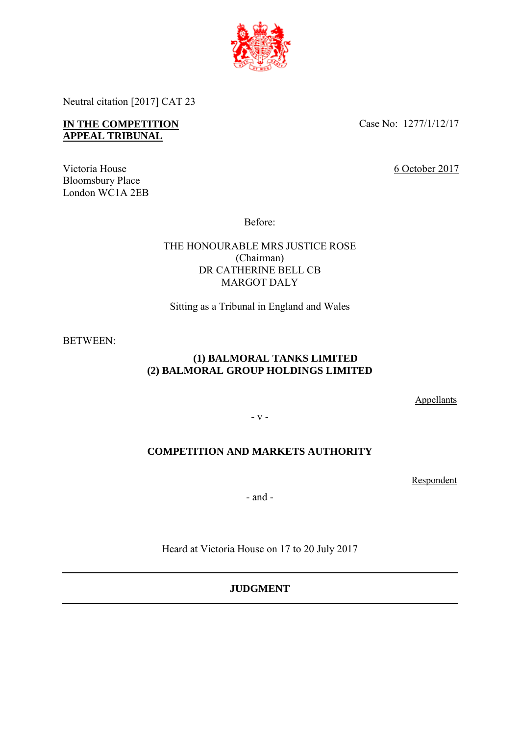

Neutral citation [2017] CAT 23

# **IN THE COMPETITION APPEAL TRIBUNAL**

Case No: 1277/1/12/17

6 October 2017

Victoria House Bloomsbury Place London WC1A 2EB

Before:

# THE HONOURABLE MRS JUSTICE ROSE (Chairman) DR CATHERINE BELL CB MARGOT DALY

Sitting as a Tribunal in England and Wales

BETWEEN:

# **(1) BALMORAL TANKS LIMITED (2) BALMORAL GROUP HOLDINGS LIMITED**

**Appellants** 

- v -

# **COMPETITION AND MARKETS AUTHORITY**

Respondent

- and -

Heard at Victoria House on 17 to 20 July 2017

# **JUDGMENT**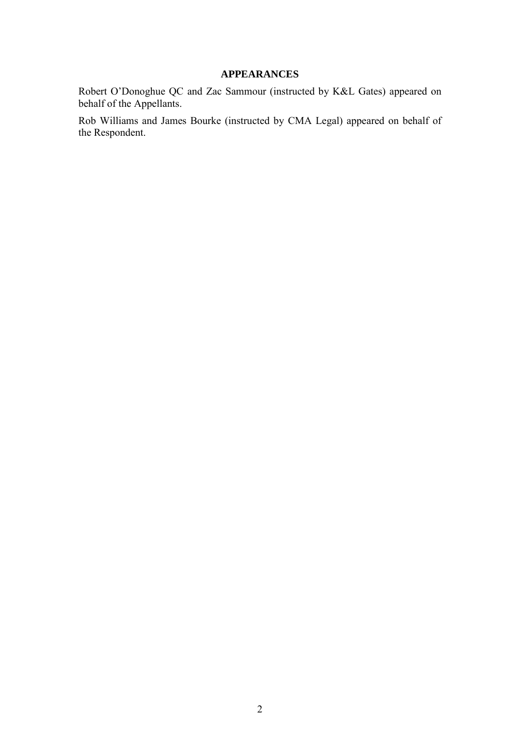# **APPEARANCES**

Robert O'Donoghue QC and Zac Sammour (instructed by K&L Gates) appeared on behalf of the Appellants.

Rob Williams and James Bourke (instructed by CMA Legal) appeared on behalf of the Respondent.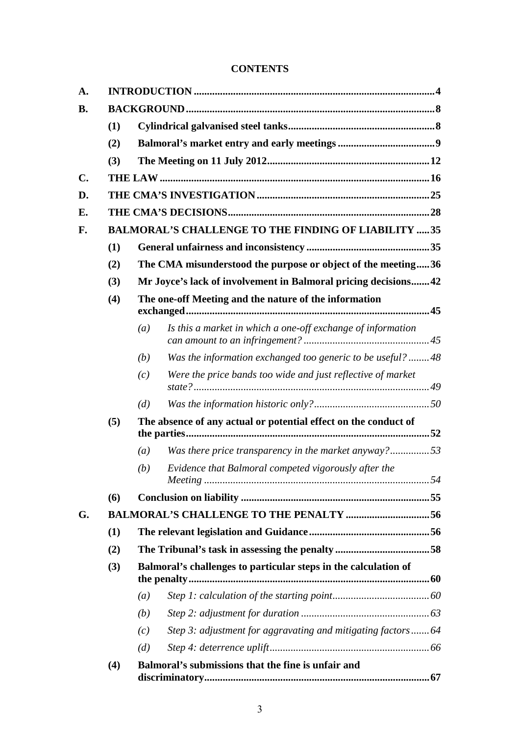# **CONTENTS**

| A.             |                                                            |                                                                 |                                                             |  |
|----------------|------------------------------------------------------------|-----------------------------------------------------------------|-------------------------------------------------------------|--|
| <b>B.</b>      |                                                            |                                                                 |                                                             |  |
|                | (1)                                                        |                                                                 |                                                             |  |
|                | (2)                                                        |                                                                 |                                                             |  |
|                | (3)                                                        |                                                                 |                                                             |  |
| $\mathbf{C}$ . |                                                            |                                                                 |                                                             |  |
| D.             |                                                            |                                                                 |                                                             |  |
| Е.             |                                                            |                                                                 |                                                             |  |
| F.             | <b>BALMORAL'S CHALLENGE TO THE FINDING OF LIABILITY 35</b> |                                                                 |                                                             |  |
|                | (1)                                                        |                                                                 |                                                             |  |
|                | (2)                                                        | The CMA misunderstood the purpose or object of the meeting36    |                                                             |  |
|                | (3)                                                        | Mr Joyce's lack of involvement in Balmoral pricing decisions42  |                                                             |  |
|                | (4)                                                        | The one-off Meeting and the nature of the information           |                                                             |  |
|                |                                                            | (a)                                                             | Is this a market in which a one-off exchange of information |  |
|                |                                                            | (b)                                                             | Was the information exchanged too generic to be useful?  48 |  |
|                |                                                            | (c)                                                             | Were the price bands too wide and just reflective of market |  |
|                |                                                            | (d)                                                             |                                                             |  |
|                | (5)                                                        | The absence of any actual or potential effect on the conduct of |                                                             |  |
|                |                                                            | (a)                                                             | Was there price transparency in the market anyway?53        |  |
|                |                                                            | (b)                                                             | Evidence that Balmoral competed vigorously after the        |  |
|                | (6)                                                        |                                                                 |                                                             |  |
| G.             | <b>BALMORAL'S CHALLENGE TO THE PENALTY 56</b>              |                                                                 |                                                             |  |
|                | (1)                                                        |                                                                 |                                                             |  |
|                | (2)                                                        |                                                                 |                                                             |  |
|                | (3)                                                        | Balmoral's challenges to particular steps in the calculation of |                                                             |  |
|                |                                                            | (a)                                                             |                                                             |  |
|                |                                                            | (b)                                                             |                                                             |  |
|                |                                                            | (c)                                                             | Step 3: adjustment for aggravating and mitigating factors64 |  |
|                |                                                            | (d)                                                             |                                                             |  |
|                | (4)                                                        |                                                                 | Balmoral's submissions that the fine is unfair and          |  |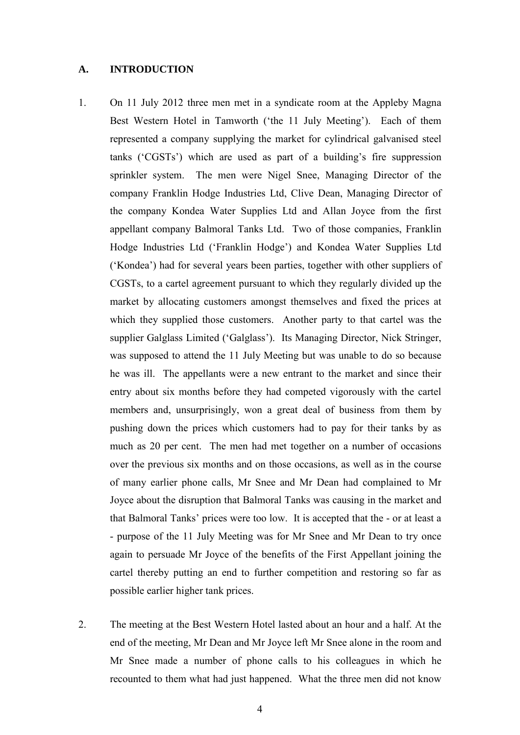#### <span id="page-3-0"></span>**A. INTRODUCTION**

- 1. On 11 July 2012 three men met in a syndicate room at the Appleby Magna Best Western Hotel in Tamworth ('the 11 July Meeting'). Each of them represented a company supplying the market for cylindrical galvanised steel tanks ('CGSTs') which are used as part of a building's fire suppression sprinkler system. The men were Nigel Snee, Managing Director of the company Franklin Hodge Industries Ltd, Clive Dean, Managing Director of the company Kondea Water Supplies Ltd and Allan Joyce from the first appellant company Balmoral Tanks Ltd. Two of those companies, Franklin Hodge Industries Ltd ('Franklin Hodge') and Kondea Water Supplies Ltd ('Kondea') had for several years been parties, together with other suppliers of CGSTs, to a cartel agreement pursuant to which they regularly divided up the market by allocating customers amongst themselves and fixed the prices at which they supplied those customers. Another party to that cartel was the supplier Galglass Limited ('Galglass'). Its Managing Director, Nick Stringer, was supposed to attend the 11 July Meeting but was unable to do so because he was ill. The appellants were a new entrant to the market and since their entry about six months before they had competed vigorously with the cartel members and, unsurprisingly, won a great deal of business from them by pushing down the prices which customers had to pay for their tanks by as much as 20 per cent. The men had met together on a number of occasions over the previous six months and on those occasions, as well as in the course of many earlier phone calls, Mr Snee and Mr Dean had complained to Mr Joyce about the disruption that Balmoral Tanks was causing in the market and that Balmoral Tanks' prices were too low. It is accepted that the - or at least a - purpose of the 11 July Meeting was for Mr Snee and Mr Dean to try once again to persuade Mr Joyce of the benefits of the First Appellant joining the cartel thereby putting an end to further competition and restoring so far as possible earlier higher tank prices.
- 2. The meeting at the Best Western Hotel lasted about an hour and a half. At the end of the meeting, Mr Dean and Mr Joyce left Mr Snee alone in the room and Mr Snee made a number of phone calls to his colleagues in which he recounted to them what had just happened. What the three men did not know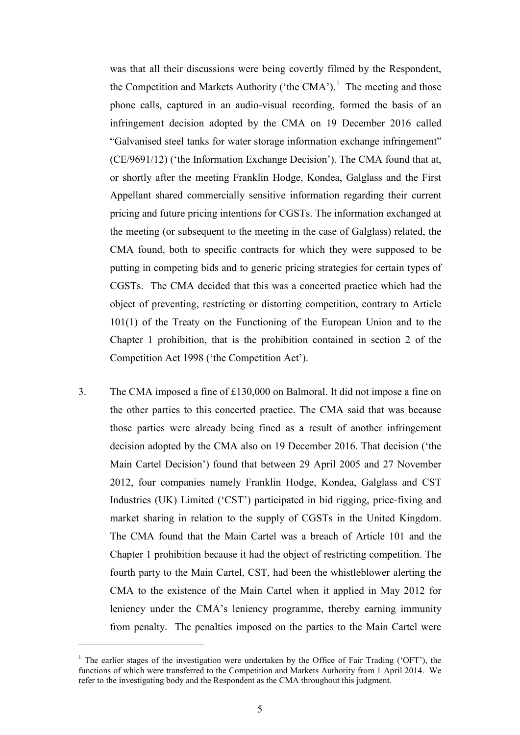was that all their discussions were being covertly filmed by the Respondent, the Competition and Markets Authority ('the CMA').<sup>[1](#page-4-0)</sup> The meeting and those phone calls, captured in an audio-visual recording, formed the basis of an infringement decision adopted by the CMA on 19 December 2016 called "Galvanised steel tanks for water storage information exchange infringement" (CE/9691/12) ('the Information Exchange Decision'). The CMA found that at, or shortly after the meeting Franklin Hodge, Kondea, Galglass and the First Appellant shared commercially sensitive information regarding their current pricing and future pricing intentions for CGSTs. The information exchanged at the meeting (or subsequent to the meeting in the case of Galglass) related, the CMA found, both to specific contracts for which they were supposed to be putting in competing bids and to generic pricing strategies for certain types of CGSTs. The CMA decided that this was a concerted practice which had the object of preventing, restricting or distorting competition, contrary to Article 101(1) of the Treaty on the Functioning of the European Union and to the Chapter 1 prohibition, that is the prohibition contained in section 2 of the Competition Act 1998 ('the Competition Act').

3. The CMA imposed a fine of £130,000 on Balmoral. It did not impose a fine on the other parties to this concerted practice. The CMA said that was because those parties were already being fined as a result of another infringement decision adopted by the CMA also on 19 December 2016. That decision ('the Main Cartel Decision') found that between 29 April 2005 and 27 November 2012, four companies namely Franklin Hodge, Kondea, Galglass and CST Industries (UK) Limited ('CST') participated in bid rigging, price-fixing and market sharing in relation to the supply of CGSTs in the United Kingdom. The CMA found that the Main Cartel was a breach of Article 101 and the Chapter 1 prohibition because it had the object of restricting competition. The fourth party to the Main Cartel, CST, had been the whistleblower alerting the CMA to the existence of the Main Cartel when it applied in May 2012 for leniency under the CMA's leniency programme, thereby earning immunity from penalty. The penalties imposed on the parties to the Main Cartel were

 $\overline{a}$ 

<span id="page-4-0"></span><sup>&</sup>lt;sup>1</sup> The earlier stages of the investigation were undertaken by the Office of Fair Trading ('OFT'), the functions of which were transferred to the Competition and Markets Authority from 1 April 2014. We refer to the investigating body and the Respondent as the CMA throughout this judgment.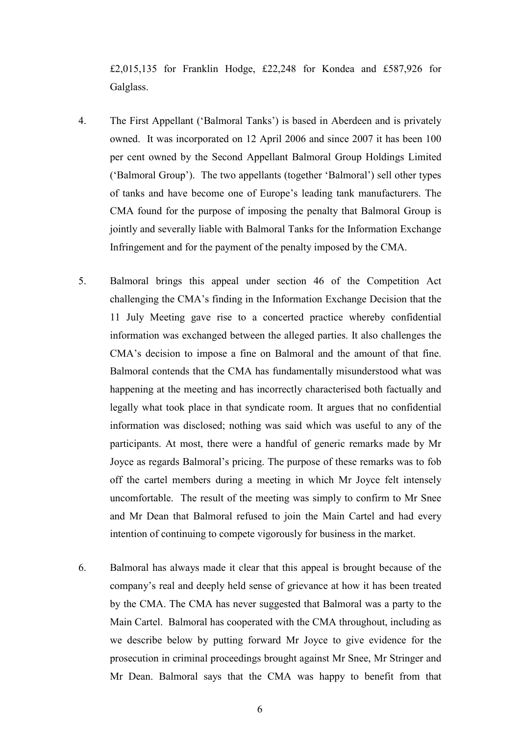£2,015,135 for Franklin Hodge, £22,248 for Kondea and £587,926 for Galglass.

- 4. The First Appellant ('Balmoral Tanks') is based in Aberdeen and is privately owned. It was incorporated on 12 April 2006 and since 2007 it has been 100 per cent owned by the Second Appellant Balmoral Group Holdings Limited ('Balmoral Group'). The two appellants (together 'Balmoral') sell other types of tanks and have become one of Europe's leading tank manufacturers. The CMA found for the purpose of imposing the penalty that Balmoral Group is jointly and severally liable with Balmoral Tanks for the Information Exchange Infringement and for the payment of the penalty imposed by the CMA.
- 5. Balmoral brings this appeal under section 46 of the Competition Act challenging the CMA's finding in the Information Exchange Decision that the 11 July Meeting gave rise to a concerted practice whereby confidential information was exchanged between the alleged parties. It also challenges the CMA's decision to impose a fine on Balmoral and the amount of that fine. Balmoral contends that the CMA has fundamentally misunderstood what was happening at the meeting and has incorrectly characterised both factually and legally what took place in that syndicate room. It argues that no confidential information was disclosed; nothing was said which was useful to any of the participants. At most, there were a handful of generic remarks made by Mr Joyce as regards Balmoral's pricing. The purpose of these remarks was to fob off the cartel members during a meeting in which Mr Joyce felt intensely uncomfortable. The result of the meeting was simply to confirm to Mr Snee and Mr Dean that Balmoral refused to join the Main Cartel and had every intention of continuing to compete vigorously for business in the market.
- 6. Balmoral has always made it clear that this appeal is brought because of the company's real and deeply held sense of grievance at how it has been treated by the CMA. The CMA has never suggested that Balmoral was a party to the Main Cartel. Balmoral has cooperated with the CMA throughout, including as we describe below by putting forward Mr Joyce to give evidence for the prosecution in criminal proceedings brought against Mr Snee, Mr Stringer and Mr Dean. Balmoral says that the CMA was happy to benefit from that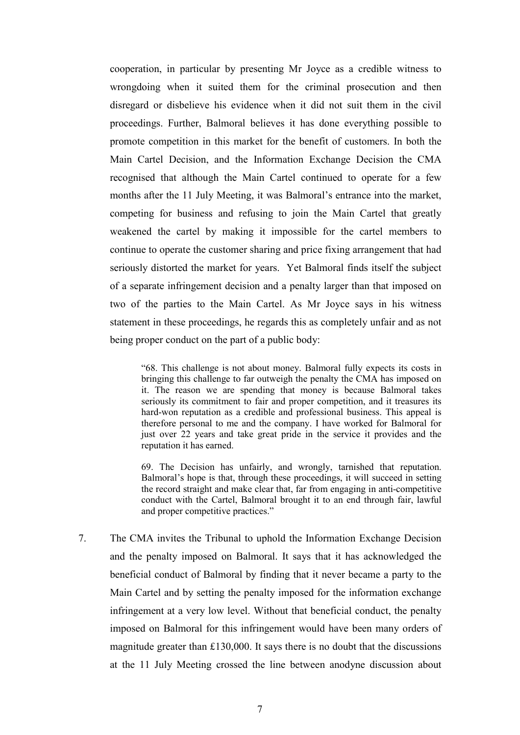cooperation, in particular by presenting Mr Joyce as a credible witness to wrongdoing when it suited them for the criminal prosecution and then disregard or disbelieve his evidence when it did not suit them in the civil proceedings. Further, Balmoral believes it has done everything possible to promote competition in this market for the benefit of customers. In both the Main Cartel Decision, and the Information Exchange Decision the CMA recognised that although the Main Cartel continued to operate for a few months after the 11 July Meeting, it was Balmoral's entrance into the market, competing for business and refusing to join the Main Cartel that greatly weakened the cartel by making it impossible for the cartel members to continue to operate the customer sharing and price fixing arrangement that had seriously distorted the market for years. Yet Balmoral finds itself the subject of a separate infringement decision and a penalty larger than that imposed on two of the parties to the Main Cartel. As Mr Joyce says in his witness statement in these proceedings, he regards this as completely unfair and as not being proper conduct on the part of a public body:

"68. This challenge is not about money. Balmoral fully expects its costs in bringing this challenge to far outweigh the penalty the CMA has imposed on it. The reason we are spending that money is because Balmoral takes seriously its commitment to fair and proper competition, and it treasures its hard-won reputation as a credible and professional business. This appeal is therefore personal to me and the company. I have worked for Balmoral for just over 22 years and take great pride in the service it provides and the reputation it has earned.

69. The Decision has unfairly, and wrongly, tarnished that reputation. Balmoral's hope is that, through these proceedings, it will succeed in setting the record straight and make clear that, far from engaging in anti-competitive conduct with the Cartel, Balmoral brought it to an end through fair, lawful and proper competitive practices."

7. The CMA invites the Tribunal to uphold the Information Exchange Decision and the penalty imposed on Balmoral. It says that it has acknowledged the beneficial conduct of Balmoral by finding that it never became a party to the Main Cartel and by setting the penalty imposed for the information exchange infringement at a very low level. Without that beneficial conduct, the penalty imposed on Balmoral for this infringement would have been many orders of magnitude greater than  $£130,000$ . It says there is no doubt that the discussions at the 11 July Meeting crossed the line between anodyne discussion about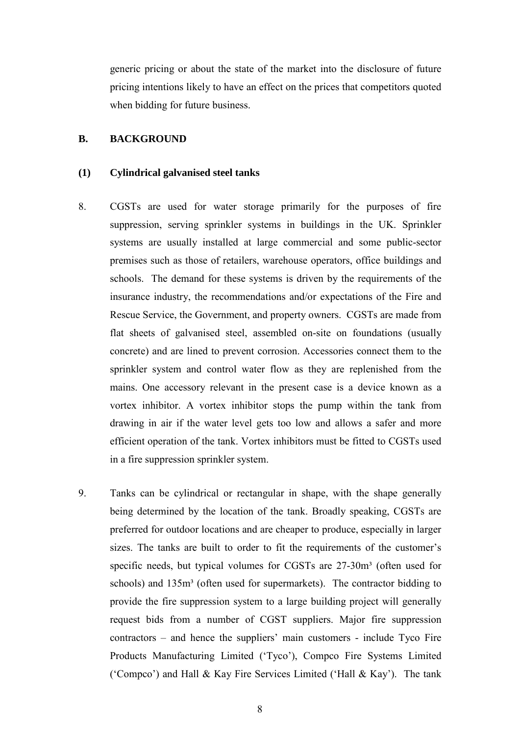generic pricing or about the state of the market into the disclosure of future pricing intentions likely to have an effect on the prices that competitors quoted when bidding for future business.

#### <span id="page-7-1"></span><span id="page-7-0"></span>**B. BACKGROUND**

#### **(1) Cylindrical galvanised steel tanks**

- 8. CGSTs are used for water storage primarily for the purposes of fire suppression, serving sprinkler systems in buildings in the UK. Sprinkler systems are usually installed at large commercial and some public-sector premises such as those of retailers, warehouse operators, office buildings and schools. The demand for these systems is driven by the requirements of the insurance industry, the recommendations and/or expectations of the Fire and Rescue Service, the Government, and property owners. CGSTs are made from flat sheets of galvanised steel, assembled on-site on foundations (usually concrete) and are lined to prevent corrosion. Accessories connect them to the sprinkler system and control water flow as they are replenished from the mains. One accessory relevant in the present case is a device known as a vortex inhibitor. A vortex inhibitor stops the pump within the tank from drawing in air if the water level gets too low and allows a safer and more efficient operation of the tank. Vortex inhibitors must be fitted to CGSTs used in a fire suppression sprinkler system.
- 9. Tanks can be cylindrical or rectangular in shape, with the shape generally being determined by the location of the tank. Broadly speaking, CGSTs are preferred for outdoor locations and are cheaper to produce, especially in larger sizes. The tanks are built to order to fit the requirements of the customer's specific needs, but typical volumes for CGSTs are  $27-30m<sup>3</sup>$  (often used for schools) and 135m<sup>3</sup> (often used for supermarkets). The contractor bidding to provide the fire suppression system to a large building project will generally request bids from a number of CGST suppliers. Major fire suppression contractors – and hence the suppliers' main customers - include Tyco Fire Products Manufacturing Limited ('Tyco'), Compco Fire Systems Limited ('Compco') and Hall & Kay Fire Services Limited ('Hall & Kay'). The tank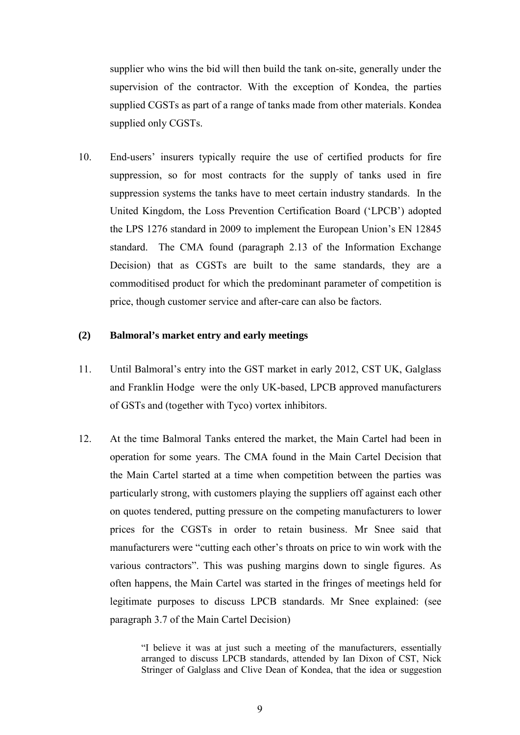supplier who wins the bid will then build the tank on-site, generally under the supervision of the contractor. With the exception of Kondea, the parties supplied CGSTs as part of a range of tanks made from other materials. Kondea supplied only CGSTs.

10. End-users' insurers typically require the use of certified products for fire suppression, so for most contracts for the supply of tanks used in fire suppression systems the tanks have to meet certain industry standards. In the United Kingdom, the Loss Prevention Certification Board ('LPCB') adopted the LPS 1276 standard in 2009 to implement the European Union's EN 12845 standard. The CMA found (paragraph 2.13 of the Information Exchange Decision) that as CGSTs are built to the same standards, they are a commoditised product for which the predominant parameter of competition is price, though customer service and after-care can also be factors.

#### <span id="page-8-0"></span>**(2) Balmoral's market entry and early meetings**

- 11. Until Balmoral's entry into the GST market in early 2012, CST UK, Galglass and Franklin Hodge were the only UK-based, LPCB approved manufacturers of GSTs and (together with Tyco) vortex inhibitors.
- 12. At the time Balmoral Tanks entered the market, the Main Cartel had been in operation for some years. The CMA found in the Main Cartel Decision that the Main Cartel started at a time when competition between the parties was particularly strong, with customers playing the suppliers off against each other on quotes tendered, putting pressure on the competing manufacturers to lower prices for the CGSTs in order to retain business. Mr Snee said that manufacturers were "cutting each other's throats on price to win work with the various contractors". This was pushing margins down to single figures. As often happens, the Main Cartel was started in the fringes of meetings held for legitimate purposes to discuss LPCB standards. Mr Snee explained: (see paragraph 3.7 of the Main Cartel Decision)

"I believe it was at just such a meeting of the manufacturers, essentially arranged to discuss LPCB standards, attended by Ian Dixon of CST, Nick Stringer of Galglass and Clive Dean of Kondea, that the idea or suggestion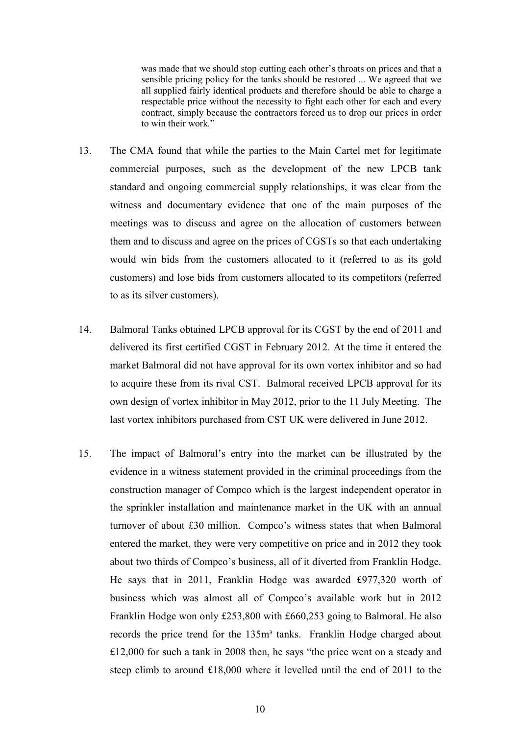was made that we should stop cutting each other's throats on prices and that a sensible pricing policy for the tanks should be restored ... We agreed that we all supplied fairly identical products and therefore should be able to charge a respectable price without the necessity to fight each other for each and every contract, simply because the contractors forced us to drop our prices in order to win their work."

- 13. The CMA found that while the parties to the Main Cartel met for legitimate commercial purposes, such as the development of the new LPCB tank standard and ongoing commercial supply relationships, it was clear from the witness and documentary evidence that one of the main purposes of the meetings was to discuss and agree on the allocation of customers between them and to discuss and agree on the prices of CGSTs so that each undertaking would win bids from the customers allocated to it (referred to as its gold customers) and lose bids from customers allocated to its competitors (referred to as its silver customers).
- 14. Balmoral Tanks obtained LPCB approval for its CGST by the end of 2011 and delivered its first certified CGST in February 2012. At the time it entered the market Balmoral did not have approval for its own vortex inhibitor and so had to acquire these from its rival CST. Balmoral received LPCB approval for its own design of vortex inhibitor in May 2012, prior to the 11 July Meeting. The last vortex inhibitors purchased from CST UK were delivered in June 2012.
- 15. The impact of Balmoral's entry into the market can be illustrated by the evidence in a witness statement provided in the criminal proceedings from the construction manager of Compco which is the largest independent operator in the sprinkler installation and maintenance market in the UK with an annual turnover of about £30 million. Compco's witness states that when Balmoral entered the market, they were very competitive on price and in 2012 they took about two thirds of Compco's business, all of it diverted from Franklin Hodge. He says that in 2011, Franklin Hodge was awarded £977,320 worth of business which was almost all of Compco's available work but in 2012 Franklin Hodge won only £253,800 with £660,253 going to Balmoral. He also records the price trend for the 135m<sup>3</sup> tanks. Franklin Hodge charged about £12,000 for such a tank in 2008 then, he says "the price went on a steady and steep climb to around £18,000 where it levelled until the end of 2011 to the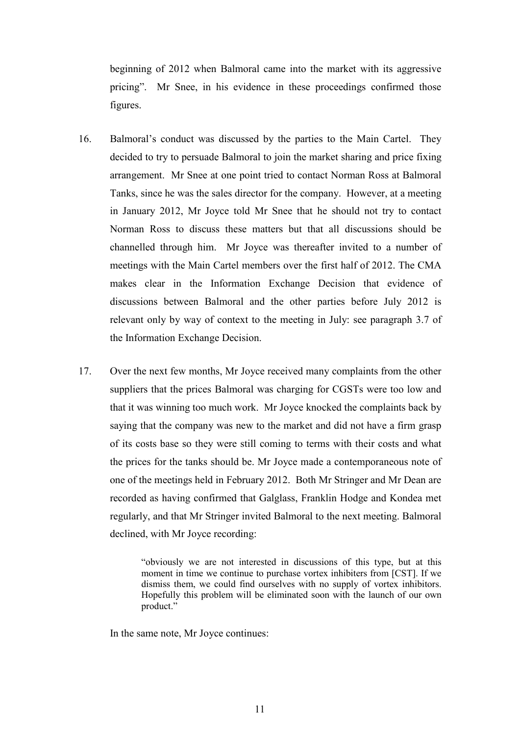beginning of 2012 when Balmoral came into the market with its aggressive pricing". Mr Snee, in his evidence in these proceedings confirmed those figures.

- 16. Balmoral's conduct was discussed by the parties to the Main Cartel. They decided to try to persuade Balmoral to join the market sharing and price fixing arrangement. Mr Snee at one point tried to contact Norman Ross at Balmoral Tanks, since he was the sales director for the company. However, at a meeting in January 2012, Mr Joyce told Mr Snee that he should not try to contact Norman Ross to discuss these matters but that all discussions should be channelled through him. Mr Joyce was thereafter invited to a number of meetings with the Main Cartel members over the first half of 2012. The CMA makes clear in the Information Exchange Decision that evidence of discussions between Balmoral and the other parties before July 2012 is relevant only by way of context to the meeting in July: see paragraph 3.7 of the Information Exchange Decision.
- 17. Over the next few months, Mr Joyce received many complaints from the other suppliers that the prices Balmoral was charging for CGSTs were too low and that it was winning too much work. Mr Joyce knocked the complaints back by saying that the company was new to the market and did not have a firm grasp of its costs base so they were still coming to terms with their costs and what the prices for the tanks should be. Mr Joyce made a contemporaneous note of one of the meetings held in February 2012. Both Mr Stringer and Mr Dean are recorded as having confirmed that Galglass, Franklin Hodge and Kondea met regularly, and that Mr Stringer invited Balmoral to the next meeting. Balmoral declined, with Mr Joyce recording:

"obviously we are not interested in discussions of this type, but at this moment in time we continue to purchase vortex inhibiters from [CST]. If we dismiss them, we could find ourselves with no supply of vortex inhibitors. Hopefully this problem will be eliminated soon with the launch of our own product."

In the same note, Mr Joyce continues: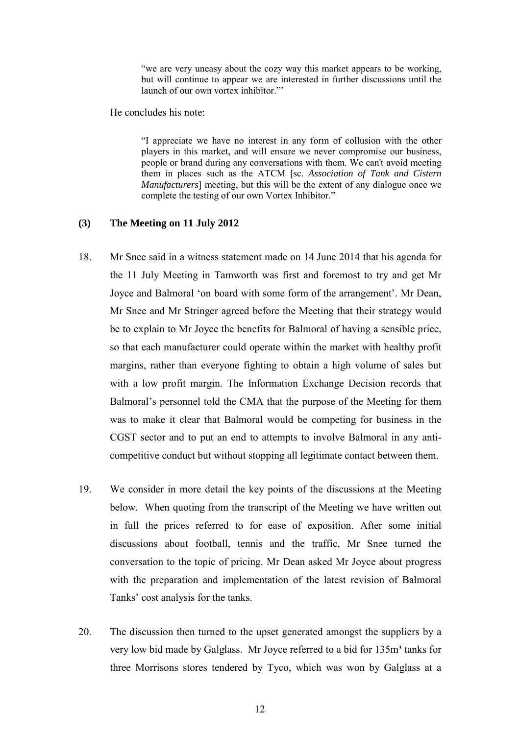"we are very uneasy about the cozy way this market appears to be working, but will continue to appear we are interested in further discussions until the launch of our own vortex inhibitor."'

He concludes his note:

"I appreciate we have no interest in any form of collusion with the other players in this market, and will ensure we never compromise our business, people or brand during any conversations with them. We can't avoid meeting them in places such as the ATCM [sc. *Association of Tank and Cistern Manufacturers*] meeting, but this will be the extent of any dialogue once we complete the testing of our own Vortex Inhibitor."

#### <span id="page-11-0"></span>**(3) The Meeting on 11 July 2012**

- 18. Mr Snee said in a witness statement made on 14 June 2014 that his agenda for the 11 July Meeting in Tamworth was first and foremost to try and get Mr Joyce and Balmoral 'on board with some form of the arrangement'. Mr Dean, Mr Snee and Mr Stringer agreed before the Meeting that their strategy would be to explain to Mr Joyce the benefits for Balmoral of having a sensible price, so that each manufacturer could operate within the market with healthy profit margins, rather than everyone fighting to obtain a high volume of sales but with a low profit margin. The Information Exchange Decision records that Balmoral's personnel told the CMA that the purpose of the Meeting for them was to make it clear that Balmoral would be competing for business in the CGST sector and to put an end to attempts to involve Balmoral in any anticompetitive conduct but without stopping all legitimate contact between them.
- 19. We consider in more detail the key points of the discussions at the Meeting below. When quoting from the transcript of the Meeting we have written out in full the prices referred to for ease of exposition. After some initial discussions about football, tennis and the traffic, Mr Snee turned the conversation to the topic of pricing. Mr Dean asked Mr Joyce about progress with the preparation and implementation of the latest revision of Balmoral Tanks' cost analysis for the tanks.
- 20. The discussion then turned to the upset generated amongst the suppliers by a very low bid made by Galglass. Mr Joyce referred to a bid for 135m<sup>3</sup> tanks for three Morrisons stores tendered by Tyco, which was won by Galglass at a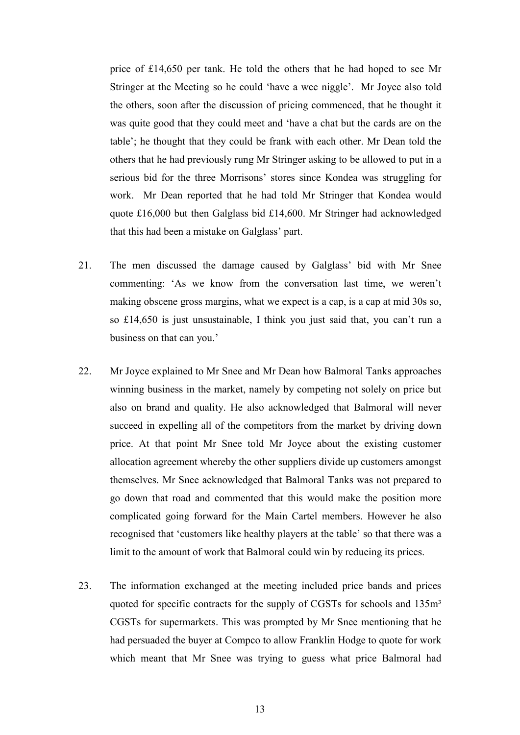price of £14,650 per tank. He told the others that he had hoped to see Mr Stringer at the Meeting so he could 'have a wee niggle'. Mr Joyce also told the others, soon after the discussion of pricing commenced, that he thought it was quite good that they could meet and 'have a chat but the cards are on the table'; he thought that they could be frank with each other. Mr Dean told the others that he had previously rung Mr Stringer asking to be allowed to put in a serious bid for the three Morrisons' stores since Kondea was struggling for work. Mr Dean reported that he had told Mr Stringer that Kondea would quote £16,000 but then Galglass bid £14,600. Mr Stringer had acknowledged that this had been a mistake on Galglass' part.

- 21. The men discussed the damage caused by Galglass' bid with Mr Snee commenting: 'As we know from the conversation last time, we weren't making obscene gross margins, what we expect is a cap, is a cap at mid 30s so, so £14,650 is just unsustainable, I think you just said that, you can't run a business on that can you.'
- 22. Mr Joyce explained to Mr Snee and Mr Dean how Balmoral Tanks approaches winning business in the market, namely by competing not solely on price but also on brand and quality. He also acknowledged that Balmoral will never succeed in expelling all of the competitors from the market by driving down price. At that point Mr Snee told Mr Joyce about the existing customer allocation agreement whereby the other suppliers divide up customers amongst themselves. Mr Snee acknowledged that Balmoral Tanks was not prepared to go down that road and commented that this would make the position more complicated going forward for the Main Cartel members. However he also recognised that 'customers like healthy players at the table' so that there was a limit to the amount of work that Balmoral could win by reducing its prices.
- 23. The information exchanged at the meeting included price bands and prices quoted for specific contracts for the supply of CGSTs for schools and 135m<sup>3</sup> CGSTs for supermarkets. This was prompted by Mr Snee mentioning that he had persuaded the buyer at Compco to allow Franklin Hodge to quote for work which meant that Mr Snee was trying to guess what price Balmoral had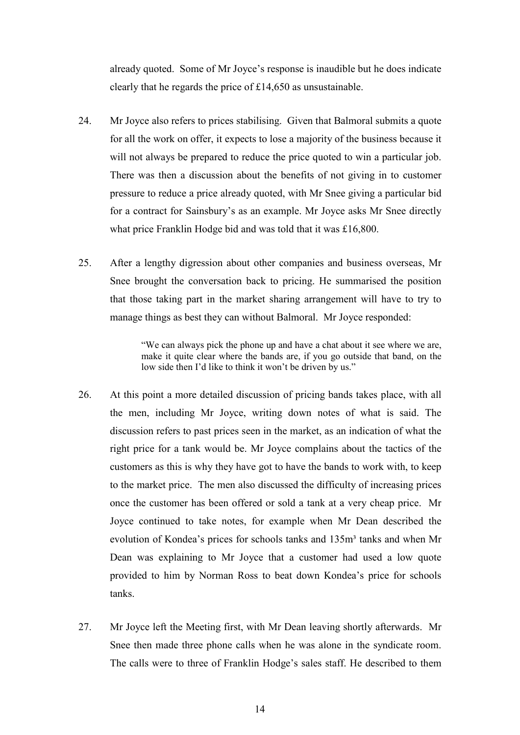already quoted. Some of Mr Joyce's response is inaudible but he does indicate clearly that he regards the price of £14,650 as unsustainable.

- 24. Mr Joyce also refers to prices stabilising. Given that Balmoral submits a quote for all the work on offer, it expects to lose a majority of the business because it will not always be prepared to reduce the price quoted to win a particular job. There was then a discussion about the benefits of not giving in to customer pressure to reduce a price already quoted, with Mr Snee giving a particular bid for a contract for Sainsbury's as an example. Mr Joyce asks Mr Snee directly what price Franklin Hodge bid and was told that it was £16,800.
- 25. After a lengthy digression about other companies and business overseas, Mr Snee brought the conversation back to pricing. He summarised the position that those taking part in the market sharing arrangement will have to try to manage things as best they can without Balmoral. Mr Joyce responded:

"We can always pick the phone up and have a chat about it see where we are, make it quite clear where the bands are, if you go outside that band, on the low side then I'd like to think it won't be driven by us."

- 26. At this point a more detailed discussion of pricing bands takes place, with all the men, including Mr Joyce, writing down notes of what is said. The discussion refers to past prices seen in the market, as an indication of what the right price for a tank would be. Mr Joyce complains about the tactics of the customers as this is why they have got to have the bands to work with, to keep to the market price. The men also discussed the difficulty of increasing prices once the customer has been offered or sold a tank at a very cheap price. Mr Joyce continued to take notes, for example when Mr Dean described the evolution of Kondea's prices for schools tanks and 135m<sup>3</sup> tanks and when Mr Dean was explaining to Mr Joyce that a customer had used a low quote provided to him by Norman Ross to beat down Kondea's price for schools tanks.
- 27. Mr Joyce left the Meeting first, with Mr Dean leaving shortly afterwards. Mr Snee then made three phone calls when he was alone in the syndicate room. The calls were to three of Franklin Hodge's sales staff. He described to them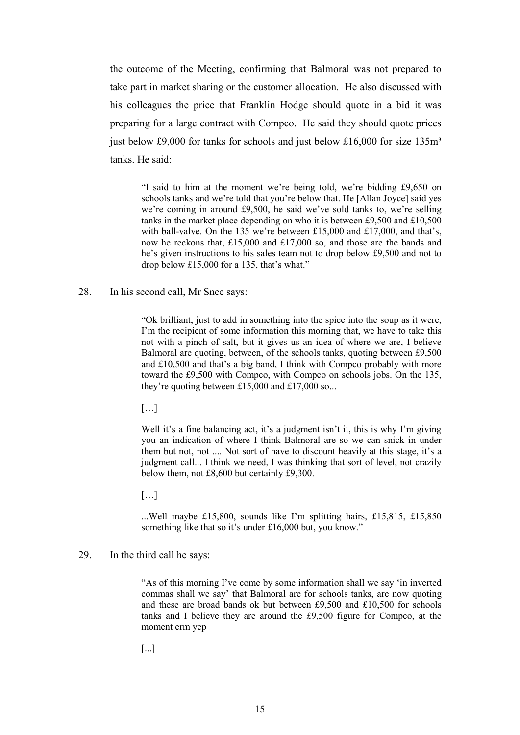the outcome of the Meeting, confirming that Balmoral was not prepared to take part in market sharing or the customer allocation. He also discussed with his colleagues the price that Franklin Hodge should quote in a bid it was preparing for a large contract with Compco. He said they should quote prices just below £9,000 for tanks for schools and just below £16,000 for size  $135m<sup>3</sup>$ tanks. He said:

"I said to him at the moment we're being told, we're bidding £9,650 on schools tanks and we're told that you're below that. He [Allan Joyce] said yes we're coming in around £9,500, he said we've sold tanks to, we're selling tanks in the market place depending on who it is between £9,500 and £10,500 with ball-valve. On the 135 we're between £15,000 and £17,000, and that's, now he reckons that, £15,000 and £17,000 so, and those are the bands and he's given instructions to his sales team not to drop below £9,500 and not to drop below £15,000 for a 135, that's what."

28. In his second call, Mr Snee says:

"Ok brilliant, just to add in something into the spice into the soup as it were, I'm the recipient of some information this morning that, we have to take this not with a pinch of salt, but it gives us an idea of where we are, I believe Balmoral are quoting, between, of the schools tanks, quoting between £9,500 and £10,500 and that's a big band, I think with Compco probably with more toward the £9,500 with Compco, with Compco on schools jobs. On the 135, they're quoting between £15,000 and £17,000 so...

 $[\ldots]$ 

Well it's a fine balancing act, it's a judgment isn't it, this is why I'm giving you an indication of where I think Balmoral are so we can snick in under them but not, not .... Not sort of have to discount heavily at this stage, it's a judgment call... I think we need, I was thinking that sort of level, not crazily below them, not £8,600 but certainly £9,300.

 $[\ldots]$ 

...Well maybe £15,800, sounds like I'm splitting hairs, £15,815, £15,850 something like that so it's under £16,000 but, you know."

29. In the third call he says:

"As of this morning I've come by some information shall we say 'in inverted commas shall we say' that Balmoral are for schools tanks, are now quoting and these are broad bands ok but between £9,500 and £10,500 for schools tanks and I believe they are around the £9,500 figure for Compco, at the moment erm yep

[...]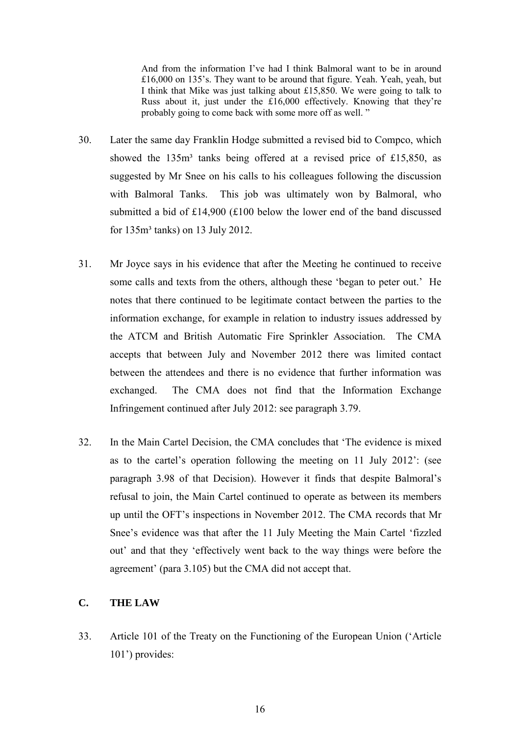And from the information I've had I think Balmoral want to be in around £16,000 on 135's. They want to be around that figure. Yeah. Yeah, yeah, but I think that Mike was just talking about £15,850. We were going to talk to Russ about it, just under the £16,000 effectively. Knowing that they're probably going to come back with some more off as well. "

- 30. Later the same day Franklin Hodge submitted a revised bid to Compco, which showed the 135m<sup>3</sup> tanks being offered at a revised price of £15,850, as suggested by Mr Snee on his calls to his colleagues following the discussion with Balmoral Tanks. This job was ultimately won by Balmoral, who submitted a bid of £14,900 (£100 below the lower end of the band discussed for 135m³ tanks) on 13 July 2012.
- 31. Mr Joyce says in his evidence that after the Meeting he continued to receive some calls and texts from the others, although these 'began to peter out.' He notes that there continued to be legitimate contact between the parties to the information exchange, for example in relation to industry issues addressed by the ATCM and British Automatic Fire Sprinkler Association. The CMA accepts that between July and November 2012 there was limited contact between the attendees and there is no evidence that further information was exchanged. The CMA does not find that the Information Exchange Infringement continued after July 2012: see paragraph 3.79.
- 32. In the Main Cartel Decision, the CMA concludes that 'The evidence is mixed as to the cartel's operation following the meeting on 11 July 2012': (see paragraph 3.98 of that Decision). However it finds that despite Balmoral's refusal to join, the Main Cartel continued to operate as between its members up until the OFT's inspections in November 2012. The CMA records that Mr Snee's evidence was that after the 11 July Meeting the Main Cartel 'fizzled out' and that they 'effectively went back to the way things were before the agreement' (para 3.105) but the CMA did not accept that.

## <span id="page-15-0"></span>**C. THE LAW**

33. Article 101 of the Treaty on the Functioning of the European Union ('Article 101') provides: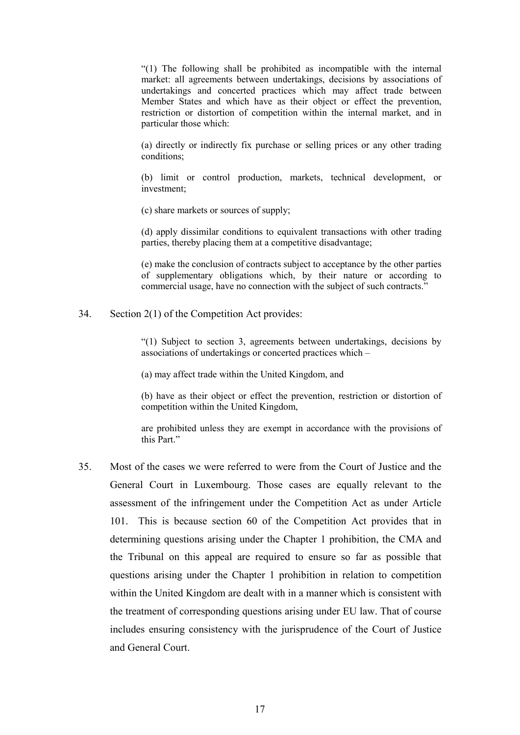"(1) The following shall be prohibited as incompatible with the internal market: all agreements between undertakings, decisions by associations of undertakings and concerted practices which may affect trade between Member States and which have as their object or effect the prevention, restriction or distortion of competition within the internal market, and in particular those which:

(a) directly or indirectly fix purchase or selling prices or any other trading conditions;

(b) limit or control production, markets, technical development, or investment;

(c) share markets or sources of supply;

(d) apply dissimilar conditions to equivalent transactions with other trading parties, thereby placing them at a competitive disadvantage;

(e) make the conclusion of contracts subject to acceptance by the other parties of supplementary obligations which, by their nature or according to commercial usage, have no connection with the subject of such contracts."

34. Section 2(1) of the Competition Act provides:

"(1) Subject to section 3, agreements between undertakings, decisions by associations of undertakings or concerted practices which –

(a) may affect trade within the United Kingdom, and

(b) have as their object or effect the prevention, restriction or distortion of competition within the United Kingdom,

are prohibited unless they are exempt in accordance with the provisions of this Part."

35. Most of the cases we were referred to were from the Court of Justice and the General Court in Luxembourg. Those cases are equally relevant to the assessment of the infringement under the Competition Act as under Article 101. This is because section 60 of the Competition Act provides that in determining questions arising under the Chapter 1 prohibition, the CMA and the Tribunal on this appeal are required to ensure so far as possible that questions arising under the Chapter 1 prohibition in relation to competition within the United Kingdom are dealt with in a manner which is consistent with the treatment of corresponding questions arising under EU law. That of course includes ensuring consistency with the jurisprudence of the Court of Justice and General Court.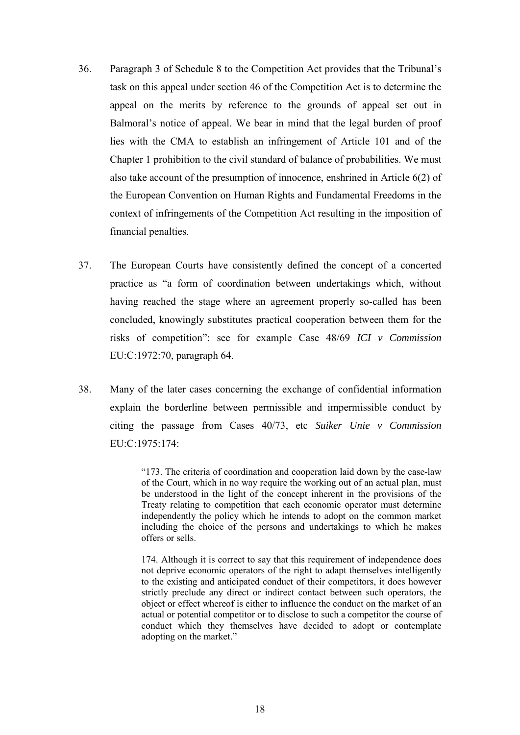- 36. Paragraph 3 of Schedule 8 to the Competition Act provides that the Tribunal's task on this appeal under section 46 of the Competition Act is to determine the appeal on the merits by reference to the grounds of appeal set out in Balmoral's notice of appeal. We bear in mind that the legal burden of proof lies with the CMA to establish an infringement of Article 101 and of the Chapter 1 prohibition to the civil standard of balance of probabilities. We must also take account of the presumption of innocence, enshrined in Article 6(2) of the European Convention on Human Rights and Fundamental Freedoms in the context of infringements of the Competition Act resulting in the imposition of financial penalties.
- 37. The European Courts have consistently defined the concept of a concerted practice as "a form of coordination between undertakings which, without having reached the stage where an agreement properly so-called has been concluded, knowingly substitutes practical cooperation between them for the risks of competition": see for example Case 48/69 *ICI v Commission* EU:C:1972:70, paragraph 64.
- 38. Many of the later cases concerning the exchange of confidential information explain the borderline between permissible and impermissible conduct by citing the passage from Cases 40/73, etc *Suiker Unie v Commission* EU:C:1975:174:

"173. The criteria of coordination and cooperation laid down by the case-law of the Court, which in no way require the working out of an actual plan, must be understood in the light of the concept inherent in the provisions of the Treaty relating to competition that each economic operator must determine independently the policy which he intends to adopt on the common market including the choice of the persons and undertakings to which he makes offers or sells.

174. Although it is correct to say that this requirement of independence does not deprive economic operators of the right to adapt themselves intelligently to the existing and anticipated conduct of their competitors, it does however strictly preclude any direct or indirect contact between such operators, the object or effect whereof is either to influence the conduct on the market of an actual or potential competitor or to disclose to such a competitor the course of conduct which they themselves have decided to adopt or contemplate adopting on the market."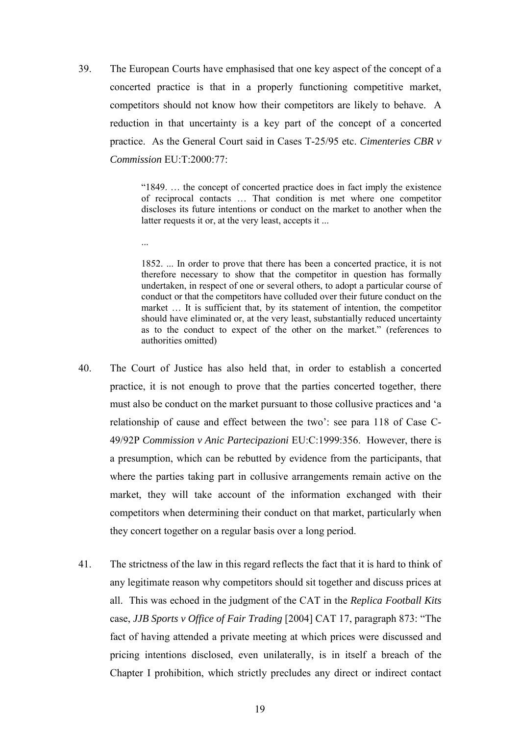39. The European Courts have emphasised that one key aspect of the concept of a concerted practice is that in a properly functioning competitive market, competitors should not know how their competitors are likely to behave. A reduction in that uncertainty is a key part of the concept of a concerted practice. As the General Court said in Cases T-25/95 etc. *Cimenteries CBR v Commission* EU:T:2000:77:

...

"1849. … the concept of concerted practice does in fact imply the existence of reciprocal contacts … That condition is met where one competitor discloses its future intentions or conduct on the market to another when the latter requests it or, at the very least, accepts it ...

1852. ... In order to prove that there has been a concerted practice, it is not therefore necessary to show that the competitor in question has formally undertaken, in respect of one or several others, to adopt a particular course of conduct or that the competitors have colluded over their future conduct on the market … It is sufficient that, by its statement of intention, the competitor should have eliminated or, at the very least, substantially reduced uncertainty as to the conduct to expect of the other on the market." (references to authorities omitted)

- 40. The Court of Justice has also held that, in order to establish a concerted practice, it is not enough to prove that the parties concerted together, there must also be conduct on the market pursuant to those collusive practices and 'a relationship of cause and effect between the two': see para 118 of Case C-49/92P *Commission v Anic Partecipazioni* EU:C:1999:356. However, there is a presumption, which can be rebutted by evidence from the participants, that where the parties taking part in collusive arrangements remain active on the market, they will take account of the information exchanged with their competitors when determining their conduct on that market, particularly when they concert together on a regular basis over a long period.
- 41. The strictness of the law in this regard reflects the fact that it is hard to think of any legitimate reason why competitors should sit together and discuss prices at all. This was echoed in the judgment of the CAT in the *Replica Football Kits* case, *JJB Sports v Office of Fair Trading* [2004] CAT 17, paragraph 873: "The fact of having attended a private meeting at which prices were discussed and pricing intentions disclosed, even unilaterally, is in itself a breach of the Chapter I prohibition, which strictly precludes any direct or indirect contact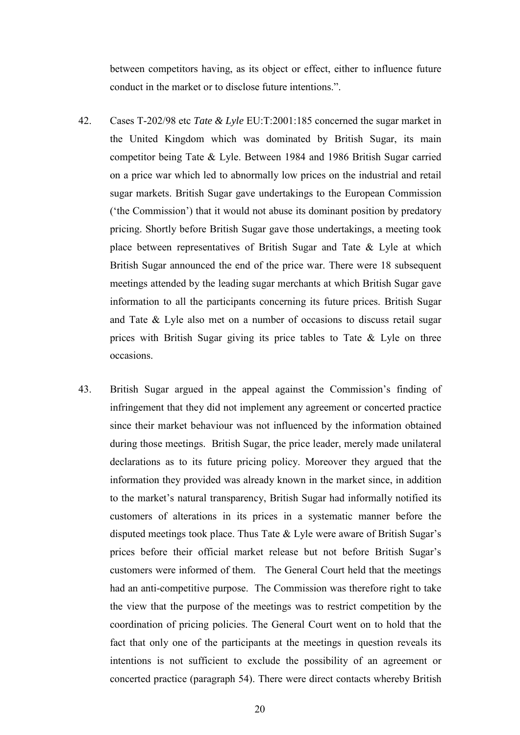between competitors having, as its object or effect, either to influence future conduct in the market or to disclose future intentions.".

- 42. Cases T-202/98 etc *Tate & Lyle* EU:T:2001:185 concerned the sugar market in the United Kingdom which was dominated by British Sugar, its main competitor being Tate & Lyle. Between 1984 and 1986 British Sugar carried on a price war which led to abnormally low prices on the industrial and retail sugar markets. British Sugar gave undertakings to the European Commission ('the Commission') that it would not abuse its dominant position by predatory pricing. Shortly before British Sugar gave those undertakings, a meeting took place between representatives of British Sugar and Tate & Lyle at which British Sugar announced the end of the price war. There were 18 subsequent meetings attended by the leading sugar merchants at which British Sugar gave information to all the participants concerning its future prices. British Sugar and Tate & Lyle also met on a number of occasions to discuss retail sugar prices with British Sugar giving its price tables to Tate & Lyle on three occasions.
- 43. British Sugar argued in the appeal against the Commission's finding of infringement that they did not implement any agreement or concerted practice since their market behaviour was not influenced by the information obtained during those meetings. British Sugar, the price leader, merely made unilateral declarations as to its future pricing policy. Moreover they argued that the information they provided was already known in the market since, in addition to the market's natural transparency, British Sugar had informally notified its customers of alterations in its prices in a systematic manner before the disputed meetings took place. Thus Tate & Lyle were aware of British Sugar's prices before their official market release but not before British Sugar's customers were informed of them. The General Court held that the meetings had an anti-competitive purpose. The Commission was therefore right to take the view that the purpose of the meetings was to restrict competition by the coordination of pricing policies. The General Court went on to hold that the fact that only one of the participants at the meetings in question reveals its intentions is not sufficient to exclude the possibility of an agreement or concerted practice (paragraph 54). There were direct contacts whereby British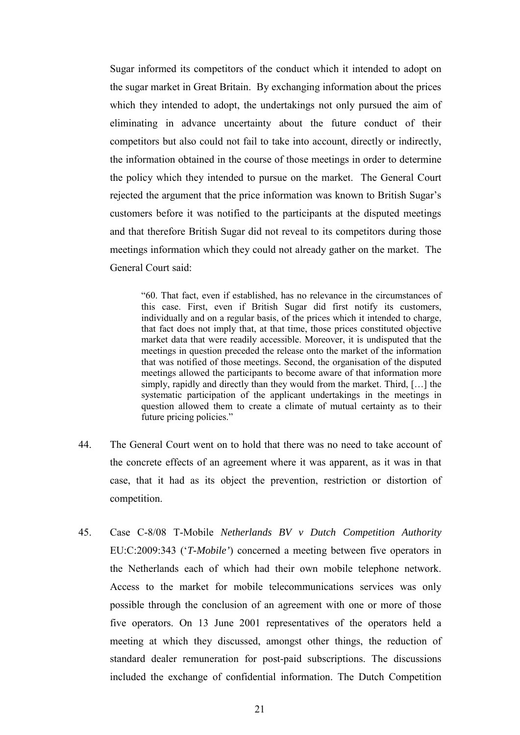Sugar informed its competitors of the conduct which it intended to adopt on the sugar market in Great Britain. By exchanging information about the prices which they intended to adopt, the undertakings not only pursued the aim of eliminating in advance uncertainty about the future conduct of their competitors but also could not fail to take into account, directly or indirectly, the information obtained in the course of those meetings in order to determine the policy which they intended to pursue on the market. The General Court rejected the argument that the price information was known to British Sugar's customers before it was notified to the participants at the disputed meetings and that therefore British Sugar did not reveal to its competitors during those meetings information which they could not already gather on the market. The General Court said:

"60. That fact, even if established, has no relevance in the circumstances of this case. First, even if British Sugar did first notify its customers, individually and on a regular basis, of the prices which it intended to charge, that fact does not imply that, at that time, those prices constituted objective market data that were readily accessible. Moreover, it is undisputed that the meetings in question preceded the release onto the market of the information that was notified of those meetings. Second, the organisation of the disputed meetings allowed the participants to become aware of that information more simply, rapidly and directly than they would from the market. Third, […] the systematic participation of the applicant undertakings in the meetings in question allowed them to create a climate of mutual certainty as to their future pricing policies."

- 44. The General Court went on to hold that there was no need to take account of the concrete effects of an agreement where it was apparent, as it was in that case, that it had as its object the prevention, restriction or distortion of competition.
- 45. Case C-8/08 T-Mobile *Netherlands BV v Dutch Competition Authority* EU:C:2009:343 ('*T-Mobile'*) concerned a meeting between five operators in the Netherlands each of which had their own mobile telephone network. Access to the market for mobile telecommunications services was only possible through the conclusion of an agreement with one or more of those five operators. On 13 June 2001 representatives of the operators held a meeting at which they discussed, amongst other things, the reduction of standard dealer remuneration for post-paid subscriptions. The discussions included the exchange of confidential information. The Dutch Competition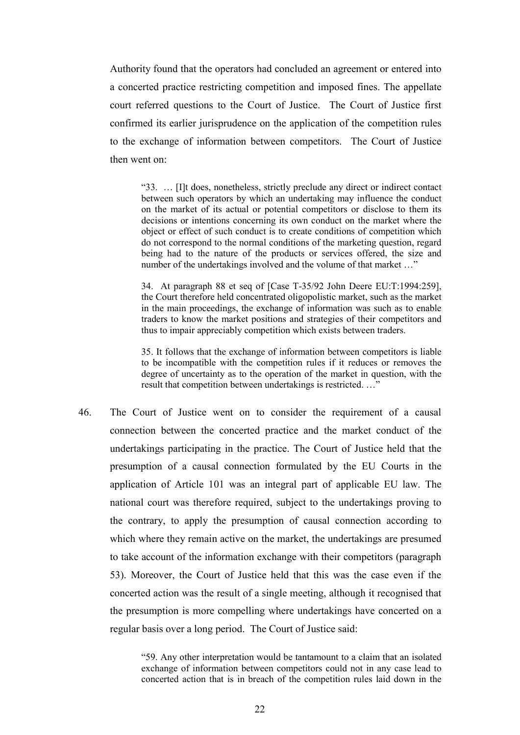Authority found that the operators had concluded an agreement or entered into a concerted practice restricting competition and imposed fines. The appellate court referred questions to the Court of Justice. The Court of Justice first confirmed its earlier jurisprudence on the application of the competition rules to the exchange of information between competitors. The Court of Justice then went on:

"33. … [I]t does, nonetheless, strictly preclude any direct or indirect contact between such operators by which an undertaking may influence the conduct on the market of its actual or potential competitors or disclose to them its decisions or intentions concerning its own conduct on the market where the object or effect of such conduct is to create conditions of competition which do not correspond to the normal conditions of the marketing question, regard being had to the nature of the products or services offered, the size and number of the undertakings involved and the volume of that market ..."

34. At paragraph 88 et seq of [Case T-35/92 John Deere EU:T:1994:259], the Court therefore held concentrated oligopolistic market, such as the market in the main proceedings, the exchange of information was such as to enable traders to know the market positions and strategies of their competitors and thus to impair appreciably competition which exists between traders.

35. It follows that the exchange of information between competitors is liable to be incompatible with the competition rules if it reduces or removes the degree of uncertainty as to the operation of the market in question, with the result that competition between undertakings is restricted. …"

46. The Court of Justice went on to consider the requirement of a causal connection between the concerted practice and the market conduct of the undertakings participating in the practice. The Court of Justice held that the presumption of a causal connection formulated by the EU Courts in the application of Article 101 was an integral part of applicable EU law. The national court was therefore required, subject to the undertakings proving to the contrary, to apply the presumption of causal connection according to which where they remain active on the market, the undertakings are presumed to take account of the information exchange with their competitors (paragraph 53). Moreover, the Court of Justice held that this was the case even if the concerted action was the result of a single meeting, although it recognised that the presumption is more compelling where undertakings have concerted on a regular basis over a long period. The Court of Justice said:

> "59. Any other interpretation would be tantamount to a claim that an isolated exchange of information between competitors could not in any case lead to concerted action that is in breach of the competition rules laid down in the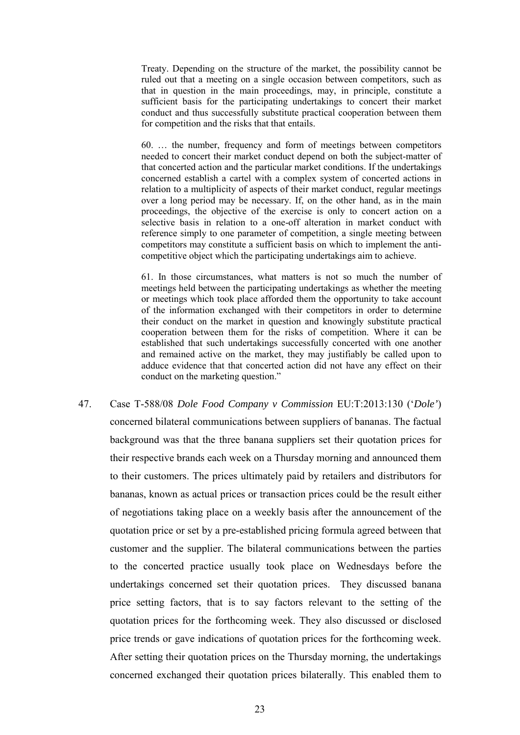Treaty. Depending on the structure of the market, the possibility cannot be ruled out that a meeting on a single occasion between competitors, such as that in question in the main proceedings, may, in principle, constitute a sufficient basis for the participating undertakings to concert their market conduct and thus successfully substitute practical cooperation between them for competition and the risks that that entails.

60. … the number, frequency and form of meetings between competitors needed to concert their market conduct depend on both the subject-matter of that concerted action and the particular market conditions. If the undertakings concerned establish a cartel with a complex system of concerted actions in relation to a multiplicity of aspects of their market conduct, regular meetings over a long period may be necessary. If, on the other hand, as in the main proceedings, the objective of the exercise is only to concert action on a selective basis in relation to a one-off alteration in market conduct with reference simply to one parameter of competition, a single meeting between competitors may constitute a sufficient basis on which to implement the anticompetitive object which the participating undertakings aim to achieve.

61. In those circumstances, what matters is not so much the number of meetings held between the participating undertakings as whether the meeting or meetings which took place afforded them the opportunity to take account of the information exchanged with their competitors in order to determine their conduct on the market in question and knowingly substitute practical cooperation between them for the risks of competition. Where it can be established that such undertakings successfully concerted with one another and remained active on the market, they may justifiably be called upon to adduce evidence that that concerted action did not have any effect on their conduct on the marketing question."

47. Case T-588/08 *Dole Food Company v Commission* EU:T:2013:130 ('*Dole'*) concerned bilateral communications between suppliers of bananas. The factual background was that the three banana suppliers set their quotation prices for their respective brands each week on a Thursday morning and announced them to their customers. The prices ultimately paid by retailers and distributors for bananas, known as actual prices or transaction prices could be the result either of negotiations taking place on a weekly basis after the announcement of the quotation price or set by a pre-established pricing formula agreed between that customer and the supplier. The bilateral communications between the parties to the concerted practice usually took place on Wednesdays before the undertakings concerned set their quotation prices. They discussed banana price setting factors, that is to say factors relevant to the setting of the quotation prices for the forthcoming week. They also discussed or disclosed price trends or gave indications of quotation prices for the forthcoming week. After setting their quotation prices on the Thursday morning, the undertakings concerned exchanged their quotation prices bilaterally. This enabled them to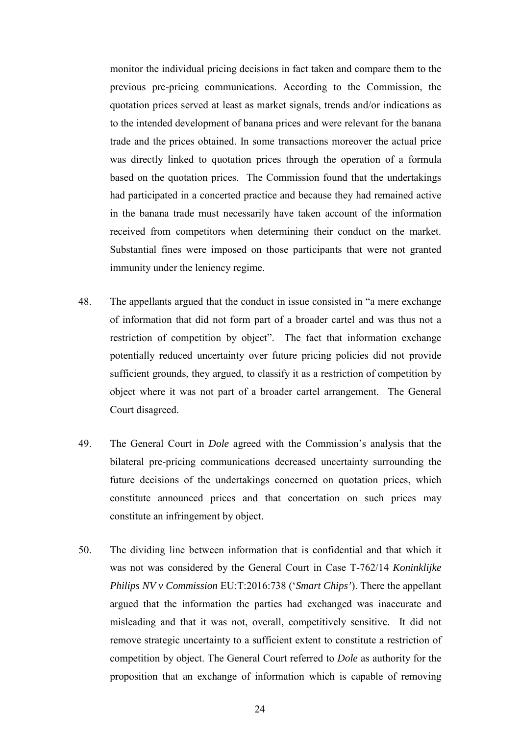monitor the individual pricing decisions in fact taken and compare them to the previous pre-pricing communications. According to the Commission, the quotation prices served at least as market signals, trends and/or indications as to the intended development of banana prices and were relevant for the banana trade and the prices obtained. In some transactions moreover the actual price was directly linked to quotation prices through the operation of a formula based on the quotation prices. The Commission found that the undertakings had participated in a concerted practice and because they had remained active in the banana trade must necessarily have taken account of the information received from competitors when determining their conduct on the market. Substantial fines were imposed on those participants that were not granted immunity under the leniency regime.

- 48. The appellants argued that the conduct in issue consisted in "a mere exchange of information that did not form part of a broader cartel and was thus not a restriction of competition by object". The fact that information exchange potentially reduced uncertainty over future pricing policies did not provide sufficient grounds, they argued, to classify it as a restriction of competition by object where it was not part of a broader cartel arrangement. The General Court disagreed.
- 49. The General Court in *Dole* agreed with the Commission's analysis that the bilateral pre-pricing communications decreased uncertainty surrounding the future decisions of the undertakings concerned on quotation prices, which constitute announced prices and that concertation on such prices may constitute an infringement by object.
- 50. The dividing line between information that is confidential and that which it was not was considered by the General Court in Case T-762/14 *Koninklijke Philips NV v Commission* EU:T:2016:738 ('*Smart Chips'*). There the appellant argued that the information the parties had exchanged was inaccurate and misleading and that it was not, overall, competitively sensitive. It did not remove strategic uncertainty to a sufficient extent to constitute a restriction of competition by object. The General Court referred to *Dole* as authority for the proposition that an exchange of information which is capable of removing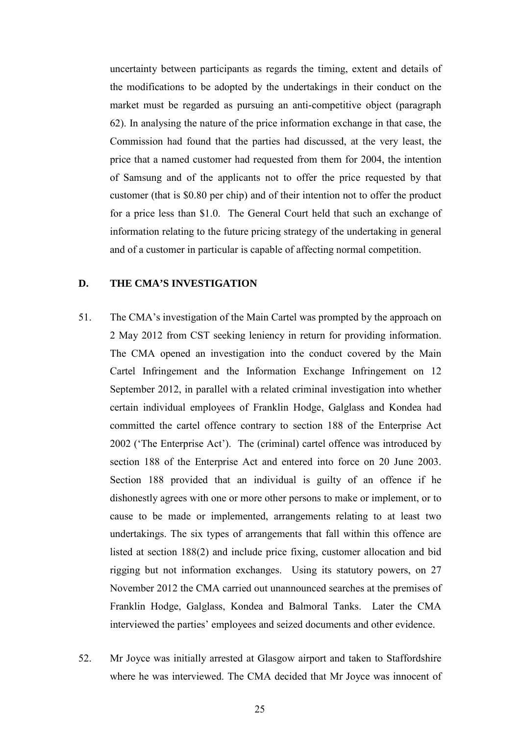uncertainty between participants as regards the timing, extent and details of the modifications to be adopted by the undertakings in their conduct on the market must be regarded as pursuing an anti-competitive object (paragraph 62). In analysing the nature of the price information exchange in that case, the Commission had found that the parties had discussed, at the very least, the price that a named customer had requested from them for 2004, the intention of Samsung and of the applicants not to offer the price requested by that customer (that is \$0.80 per chip) and of their intention not to offer the product for a price less than \$1.0. The General Court held that such an exchange of information relating to the future pricing strategy of the undertaking in general and of a customer in particular is capable of affecting normal competition.

### <span id="page-24-0"></span>**D. THE CMA'S INVESTIGATION**

- 51. The CMA's investigation of the Main Cartel was prompted by the approach on 2 May 2012 from CST seeking leniency in return for providing information. The CMA opened an investigation into the conduct covered by the Main Cartel Infringement and the Information Exchange Infringement on 12 September 2012, in parallel with a related criminal investigation into whether certain individual employees of Franklin Hodge, Galglass and Kondea had committed the cartel offence contrary to section 188 of the Enterprise Act 2002 ('The Enterprise Act'). The (criminal) cartel offence was introduced by section 188 of the Enterprise Act and entered into force on 20 June 2003. Section 188 provided that an individual is guilty of an offence if he dishonestly agrees with one or more other persons to make or implement, or to cause to be made or implemented, arrangements relating to at least two undertakings. The six types of arrangements that fall within this offence are listed at section 188(2) and include price fixing, customer allocation and bid rigging but not information exchanges. Using its statutory powers, on 27 November 2012 the CMA carried out unannounced searches at the premises of Franklin Hodge, Galglass, Kondea and Balmoral Tanks. Later the CMA interviewed the parties' employees and seized documents and other evidence.
- 52. Mr Joyce was initially arrested at Glasgow airport and taken to Staffordshire where he was interviewed. The CMA decided that Mr Joyce was innocent of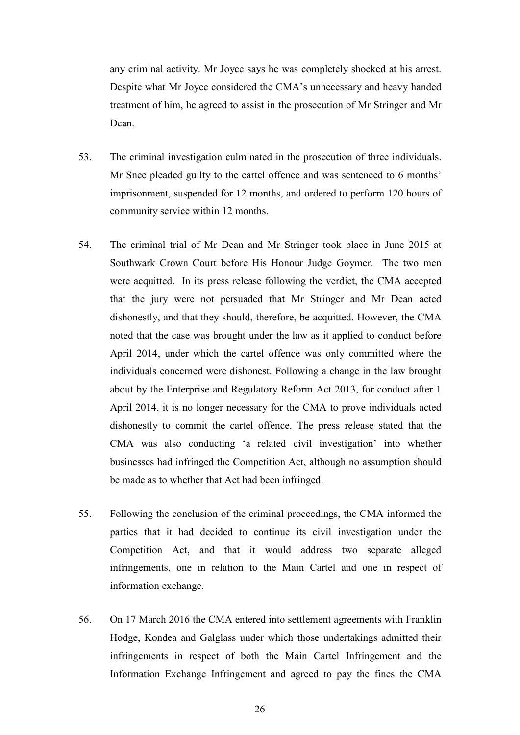any criminal activity. Mr Joyce says he was completely shocked at his arrest. Despite what Mr Joyce considered the CMA's unnecessary and heavy handed treatment of him, he agreed to assist in the prosecution of Mr Stringer and Mr Dean.

- 53. The criminal investigation culminated in the prosecution of three individuals. Mr Snee pleaded guilty to the cartel offence and was sentenced to 6 months' imprisonment, suspended for 12 months, and ordered to perform 120 hours of community service within 12 months.
- 54. The criminal trial of Mr Dean and Mr Stringer took place in June 2015 at Southwark Crown Court before His Honour Judge Goymer. The two men were acquitted. In its press release following the verdict, the CMA accepted that the jury were not persuaded that Mr Stringer and Mr Dean acted dishonestly, and that they should, therefore, be acquitted. However, the CMA noted that the case was brought under the law as it applied to conduct before April 2014, under which the cartel offence was only committed where the individuals concerned were dishonest. Following a change in the law brought about by the Enterprise and Regulatory Reform Act 2013, for conduct after 1 April 2014, it is no longer necessary for the CMA to prove individuals acted dishonestly to commit the cartel offence. The press release stated that the CMA was also conducting 'a related civil investigation' into whether businesses had infringed the Competition Act, although no assumption should be made as to whether that Act had been infringed.
- 55. Following the conclusion of the criminal proceedings, the CMA informed the parties that it had decided to continue its civil investigation under the Competition Act, and that it would address two separate alleged infringements, one in relation to the Main Cartel and one in respect of information exchange.
- 56. On 17 March 2016 the CMA entered into settlement agreements with Franklin Hodge, Kondea and Galglass under which those undertakings admitted their infringements in respect of both the Main Cartel Infringement and the Information Exchange Infringement and agreed to pay the fines the CMA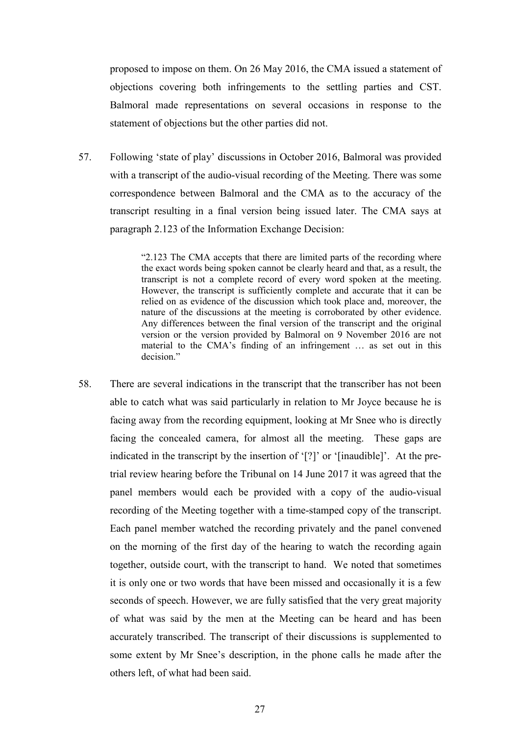proposed to impose on them. On 26 May 2016, the CMA issued a statement of objections covering both infringements to the settling parties and CST. Balmoral made representations on several occasions in response to the statement of objections but the other parties did not.

57. Following 'state of play' discussions in October 2016, Balmoral was provided with a transcript of the audio-visual recording of the Meeting. There was some correspondence between Balmoral and the CMA as to the accuracy of the transcript resulting in a final version being issued later. The CMA says at paragraph 2.123 of the Information Exchange Decision:

> "2.123 The CMA accepts that there are limited parts of the recording where the exact words being spoken cannot be clearly heard and that, as a result, the transcript is not a complete record of every word spoken at the meeting. However, the transcript is sufficiently complete and accurate that it can be relied on as evidence of the discussion which took place and, moreover, the nature of the discussions at the meeting is corroborated by other evidence. Any differences between the final version of the transcript and the original version or the version provided by Balmoral on 9 November 2016 are not material to the CMA's finding of an infringement … as set out in this decision."

58. There are several indications in the transcript that the transcriber has not been able to catch what was said particularly in relation to Mr Joyce because he is facing away from the recording equipment, looking at Mr Snee who is directly facing the concealed camera, for almost all the meeting. These gaps are indicated in the transcript by the insertion of '[?]' or '[inaudible]'. At the pretrial review hearing before the Tribunal on 14 June 2017 it was agreed that the panel members would each be provided with a copy of the audio-visual recording of the Meeting together with a time-stamped copy of the transcript. Each panel member watched the recording privately and the panel convened on the morning of the first day of the hearing to watch the recording again together, outside court, with the transcript to hand. We noted that sometimes it is only one or two words that have been missed and occasionally it is a few seconds of speech. However, we are fully satisfied that the very great majority of what was said by the men at the Meeting can be heard and has been accurately transcribed. The transcript of their discussions is supplemented to some extent by Mr Snee's description, in the phone calls he made after the others left, of what had been said.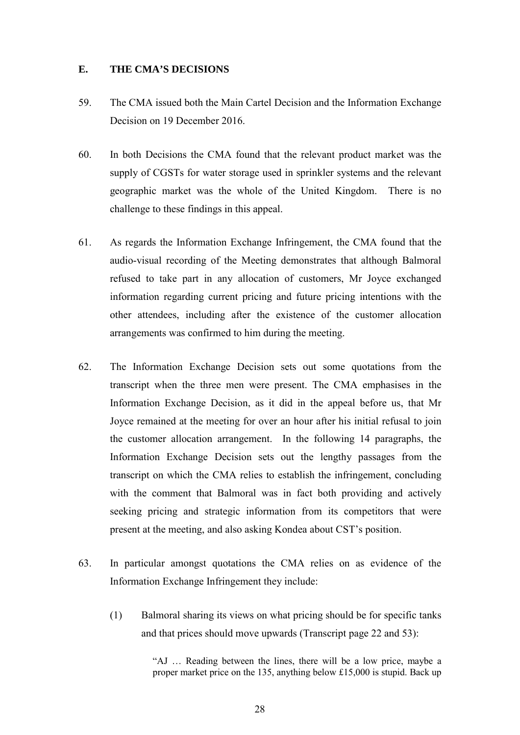## <span id="page-27-0"></span>**E. THE CMA'S DECISIONS**

- 59. The CMA issued both the Main Cartel Decision and the Information Exchange Decision on 19 December 2016.
- 60. In both Decisions the CMA found that the relevant product market was the supply of CGSTs for water storage used in sprinkler systems and the relevant geographic market was the whole of the United Kingdom. There is no challenge to these findings in this appeal.
- 61. As regards the Information Exchange Infringement, the CMA found that the audio-visual recording of the Meeting demonstrates that although Balmoral refused to take part in any allocation of customers, Mr Joyce exchanged information regarding current pricing and future pricing intentions with the other attendees, including after the existence of the customer allocation arrangements was confirmed to him during the meeting.
- 62. The Information Exchange Decision sets out some quotations from the transcript when the three men were present. The CMA emphasises in the Information Exchange Decision, as it did in the appeal before us, that Mr Joyce remained at the meeting for over an hour after his initial refusal to join the customer allocation arrangement. In the following 14 paragraphs, the Information Exchange Decision sets out the lengthy passages from the transcript on which the CMA relies to establish the infringement, concluding with the comment that Balmoral was in fact both providing and actively seeking pricing and strategic information from its competitors that were present at the meeting, and also asking Kondea about CST's position.
- 63. In particular amongst quotations the CMA relies on as evidence of the Information Exchange Infringement they include:
	- (1) Balmoral sharing its views on what pricing should be for specific tanks and that prices should move upwards (Transcript page 22 and 53):

"AJ … Reading between the lines, there will be a low price, maybe a proper market price on the 135, anything below £15,000 is stupid. Back up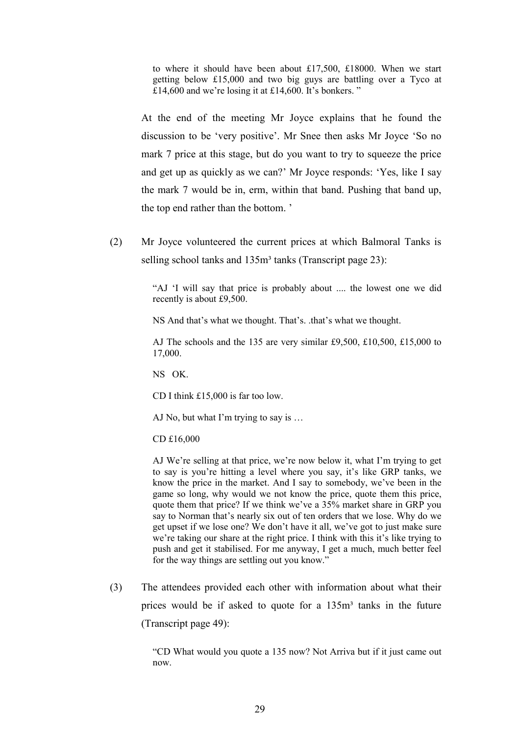to where it should have been about £17,500, £18000. When we start getting below £15,000 and two big guys are battling over a Tyco at £14,600 and we're losing it at £14,600. It's bonkers. "

At the end of the meeting Mr Joyce explains that he found the discussion to be 'very positive'. Mr Snee then asks Mr Joyce 'So no mark 7 price at this stage, but do you want to try to squeeze the price and get up as quickly as we can?' Mr Joyce responds: 'Yes, like I say the mark 7 would be in, erm, within that band. Pushing that band up, the top end rather than the bottom. '

(2) Mr Joyce volunteered the current prices at which Balmoral Tanks is selling school tanks and 135m<sup>3</sup> tanks (Transcript page 23):

> "AJ 'I will say that price is probably about .... the lowest one we did recently is about £9,500.

NS And that's what we thought. That's. .that's what we thought.

AJ The schools and the 135 are very similar £9,500, £10,500, £15,000 to 17,000.

NS OK.

CD I think £15,000 is far too low.

AJ No, but what I'm trying to say is …

CD £16,000

AJ We're selling at that price, we're now below it, what I'm trying to get to say is you're hitting a level where you say, it's like GRP tanks, we know the price in the market. And I say to somebody, we've been in the game so long, why would we not know the price, quote them this price, quote them that price? If we think we've a 35% market share in GRP you say to Norman that's nearly six out of ten orders that we lose. Why do we get upset if we lose one? We don't have it all, we've got to just make sure we're taking our share at the right price. I think with this it's like trying to push and get it stabilised. For me anyway, I get a much, much better feel for the way things are settling out you know."

(3) The attendees provided each other with information about what their prices would be if asked to quote for a 135m<sup>3</sup> tanks in the future (Transcript page 49):

> "CD What would you quote a 135 now? Not Arriva but if it just came out now.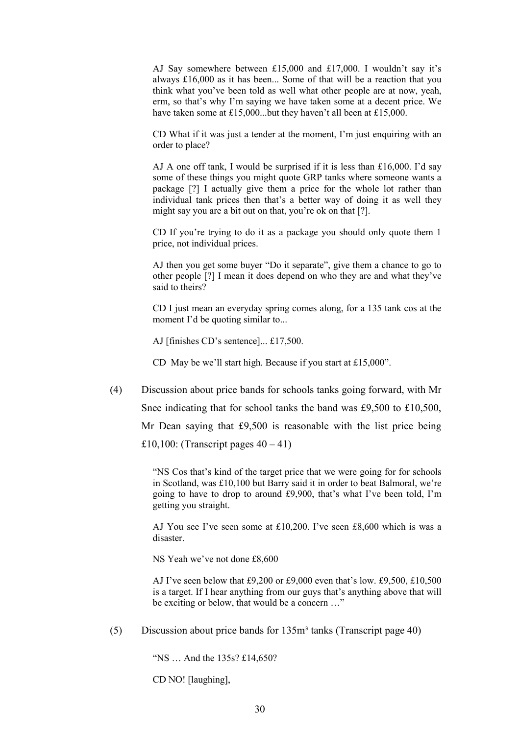AJ Say somewhere between £15,000 and £17,000. I wouldn't say it's always £16,000 as it has been... Some of that will be a reaction that you think what you've been told as well what other people are at now, yeah, erm, so that's why I'm saying we have taken some at a decent price. We have taken some at £15,000...but they haven't all been at £15,000.

CD What if it was just a tender at the moment, I'm just enquiring with an order to place?

AJ A one off tank, I would be surprised if it is less than £16,000. I'd say some of these things you might quote GRP tanks where someone wants a package [?] I actually give them a price for the whole lot rather than individual tank prices then that's a better way of doing it as well they might say you are a bit out on that, you're ok on that [?].

CD If you're trying to do it as a package you should only quote them 1 price, not individual prices.

AJ then you get some buyer "Do it separate", give them a chance to go to other people [?] I mean it does depend on who they are and what they've said to theirs?

CD I just mean an everyday spring comes along, for a 135 tank cos at the moment I'd be quoting similar to...

AJ [finishes CD's sentence]... £17,500.

CD May be we'll start high. Because if you start at £15,000".

(4) Discussion about price bands for schools tanks going forward, with Mr Snee indicating that for school tanks the band was £9,500 to £10,500, Mr Dean saying that £9,500 is reasonable with the list price being £10,100: (Transcript pages  $40 - 41$ )

> "NS Cos that's kind of the target price that we were going for for schools in Scotland, was £10,100 but Barry said it in order to beat Balmoral, we're going to have to drop to around £9,900, that's what I've been told, I'm getting you straight.

> AJ You see I've seen some at £10,200. I've seen £8,600 which is was a disaster.

NS Yeah we've not done £8,600

AJ I've seen below that £9,200 or £9,000 even that's low. £9,500, £10,500 is a target. If I hear anything from our guys that's anything above that will be exciting or below, that would be a concern …"

(5) Discussion about price bands for  $135m<sup>3</sup>$  tanks (Transcript page 40)

"NS … And the 135s? £14,650?

CD NO! [laughing],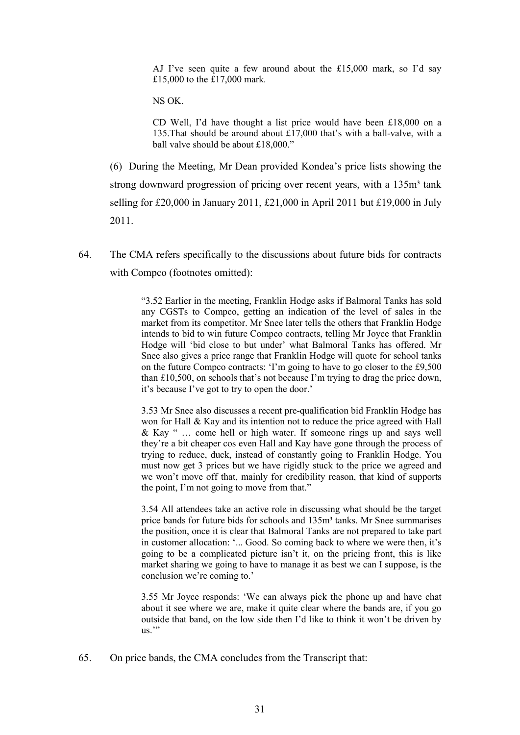AJ I've seen quite a few around about the £15,000 mark, so I'd say £15,000 to the £17,000 mark.

NS OK.

CD Well, I'd have thought a list price would have been £18,000 on a 135.That should be around about £17,000 that's with a ball-valve, with a ball valve should be about £18,000."

(6) During the Meeting, Mr Dean provided Kondea's price lists showing the strong downward progression of pricing over recent years, with a 135m<sup>3</sup> tank selling for £20,000 in January 2011, £21,000 in April 2011 but £19,000 in July 2011.

64. The CMA refers specifically to the discussions about future bids for contracts with Compco (footnotes omitted):

> "3.52 Earlier in the meeting, Franklin Hodge asks if Balmoral Tanks has sold any CGSTs to Compco, getting an indication of the level of sales in the market from its competitor. Mr Snee later tells the others that Franklin Hodge intends to bid to win future Compco contracts, telling Mr Joyce that Franklin Hodge will 'bid close to but under' what Balmoral Tanks has offered. Mr Snee also gives a price range that Franklin Hodge will quote for school tanks on the future Compco contracts: 'I'm going to have to go closer to the £9,500 than £10,500, on schools that's not because I'm trying to drag the price down, it's because I've got to try to open the door.'

> 3.53 Mr Snee also discusses a recent pre-qualification bid Franklin Hodge has won for Hall & Kay and its intention not to reduce the price agreed with Hall & Kay " … come hell or high water. If someone rings up and says well they're a bit cheaper cos even Hall and Kay have gone through the process of trying to reduce, duck, instead of constantly going to Franklin Hodge. You must now get 3 prices but we have rigidly stuck to the price we agreed and we won't move off that, mainly for credibility reason, that kind of supports the point, I'm not going to move from that."

> 3.54 All attendees take an active role in discussing what should be the target price bands for future bids for schools and 135m<sup>3</sup> tanks. Mr Snee summarises the position, once it is clear that Balmoral Tanks are not prepared to take part in customer allocation: '... Good. So coming back to where we were then, it's going to be a complicated picture isn't it, on the pricing front, this is like market sharing we going to have to manage it as best we can I suppose, is the conclusion we're coming to.'

> 3.55 Mr Joyce responds: 'We can always pick the phone up and have chat about it see where we are, make it quite clear where the bands are, if you go outside that band, on the low side then I'd like to think it won't be driven by  $\overline{\text{us}}$ "

65. On price bands, the CMA concludes from the Transcript that: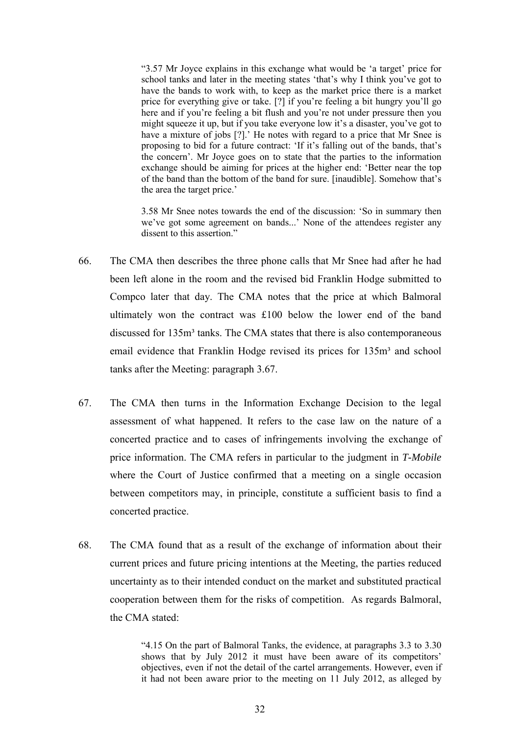"3.57 Mr Joyce explains in this exchange what would be 'a target' price for school tanks and later in the meeting states 'that's why I think you've got to have the bands to work with, to keep as the market price there is a market price for everything give or take. [?] if you're feeling a bit hungry you'll go here and if you're feeling a bit flush and you're not under pressure then you might squeeze it up, but if you take everyone low it's a disaster, you've got to have a mixture of jobs [?].' He notes with regard to a price that Mr Snee is proposing to bid for a future contract: 'If it's falling out of the bands, that's the concern'. Mr Joyce goes on to state that the parties to the information exchange should be aiming for prices at the higher end: 'Better near the top of the band than the bottom of the band for sure. [inaudible]. Somehow that's the area the target price.'

3.58 Mr Snee notes towards the end of the discussion: 'So in summary then we've got some agreement on bands...' None of the attendees register any dissent to this assertion."

- 66. The CMA then describes the three phone calls that Mr Snee had after he had been left alone in the room and the revised bid Franklin Hodge submitted to Compco later that day. The CMA notes that the price at which Balmoral ultimately won the contract was £100 below the lower end of the band discussed for  $135m<sup>3</sup>$  tanks. The CMA states that there is also contemporaneous email evidence that Franklin Hodge revised its prices for 135m<sup>3</sup> and school tanks after the Meeting: paragraph 3.67.
- 67. The CMA then turns in the Information Exchange Decision to the legal assessment of what happened. It refers to the case law on the nature of a concerted practice and to cases of infringements involving the exchange of price information. The CMA refers in particular to the judgment in *T-Mobile* where the Court of Justice confirmed that a meeting on a single occasion between competitors may, in principle, constitute a sufficient basis to find a concerted practice.
- 68. The CMA found that as a result of the exchange of information about their current prices and future pricing intentions at the Meeting, the parties reduced uncertainty as to their intended conduct on the market and substituted practical cooperation between them for the risks of competition. As regards Balmoral, the CMA stated:

"4.15 On the part of Balmoral Tanks, the evidence, at paragraphs 3.3 to 3.30 shows that by July 2012 it must have been aware of its competitors' objectives, even if not the detail of the cartel arrangements. However, even if it had not been aware prior to the meeting on 11 July 2012, as alleged by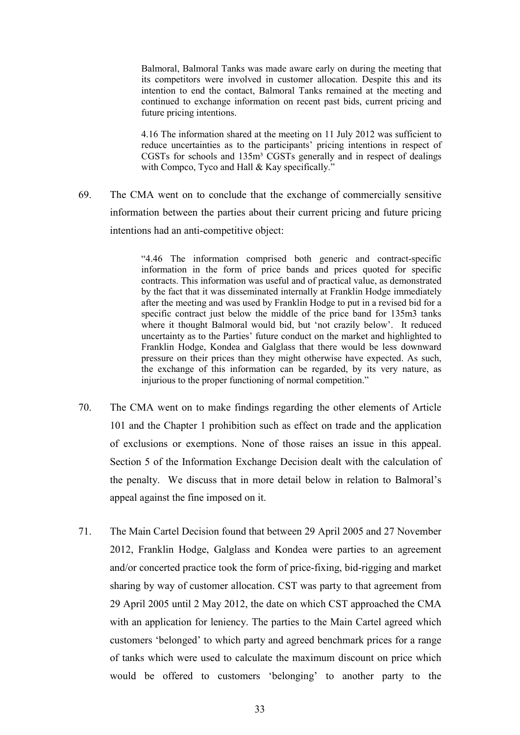Balmoral, Balmoral Tanks was made aware early on during the meeting that its competitors were involved in customer allocation. Despite this and its intention to end the contact, Balmoral Tanks remained at the meeting and continued to exchange information on recent past bids, current pricing and future pricing intentions.

4.16 The information shared at the meeting on 11 July 2012 was sufficient to reduce uncertainties as to the participants' pricing intentions in respect of CGSTs for schools and 135m³ CGSTs generally and in respect of dealings with Compco, Tyco and Hall & Kay specifically."

69. The CMA went on to conclude that the exchange of commercially sensitive information between the parties about their current pricing and future pricing intentions had an anti-competitive object:

> "4.46 The information comprised both generic and contract-specific information in the form of price bands and prices quoted for specific contracts. This information was useful and of practical value, as demonstrated by the fact that it was disseminated internally at Franklin Hodge immediately after the meeting and was used by Franklin Hodge to put in a revised bid for a specific contract just below the middle of the price band for 135m3 tanks where it thought Balmoral would bid, but 'not crazily below'. It reduced uncertainty as to the Parties' future conduct on the market and highlighted to Franklin Hodge, Kondea and Galglass that there would be less downward pressure on their prices than they might otherwise have expected. As such, the exchange of this information can be regarded, by its very nature, as injurious to the proper functioning of normal competition."

- 70. The CMA went on to make findings regarding the other elements of Article 101 and the Chapter 1 prohibition such as effect on trade and the application of exclusions or exemptions. None of those raises an issue in this appeal. Section 5 of the Information Exchange Decision dealt with the calculation of the penalty. We discuss that in more detail below in relation to Balmoral's appeal against the fine imposed on it.
- 71. The Main Cartel Decision found that between 29 April 2005 and 27 November 2012, Franklin Hodge, Galglass and Kondea were parties to an agreement and/or concerted practice took the form of price-fixing, bid-rigging and market sharing by way of customer allocation. CST was party to that agreement from 29 April 2005 until 2 May 2012, the date on which CST approached the CMA with an application for leniency. The parties to the Main Cartel agreed which customers 'belonged' to which party and agreed benchmark prices for a range of tanks which were used to calculate the maximum discount on price which would be offered to customers 'belonging' to another party to the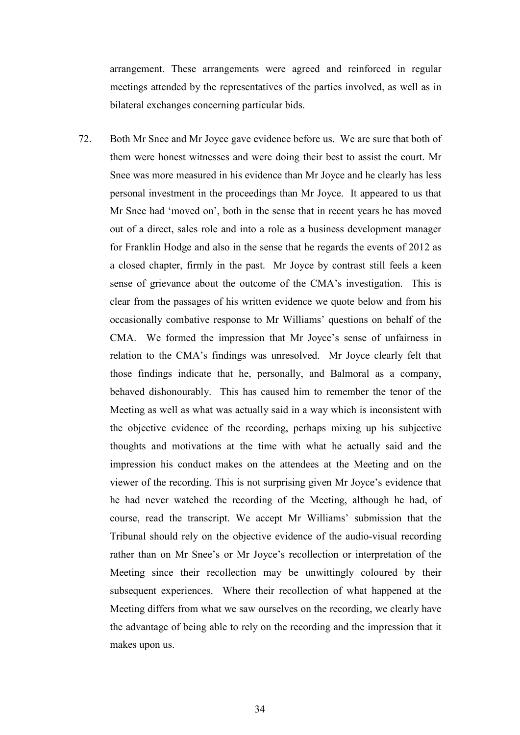arrangement. These arrangements were agreed and reinforced in regular meetings attended by the representatives of the parties involved, as well as in bilateral exchanges concerning particular bids.

72. Both Mr Snee and Mr Joyce gave evidence before us. We are sure that both of them were honest witnesses and were doing their best to assist the court. Mr Snee was more measured in his evidence than Mr Joyce and he clearly has less personal investment in the proceedings than Mr Joyce. It appeared to us that Mr Snee had 'moved on', both in the sense that in recent years he has moved out of a direct, sales role and into a role as a business development manager for Franklin Hodge and also in the sense that he regards the events of 2012 as a closed chapter, firmly in the past. Mr Joyce by contrast still feels a keen sense of grievance about the outcome of the CMA's investigation. This is clear from the passages of his written evidence we quote below and from his occasionally combative response to Mr Williams' questions on behalf of the CMA. We formed the impression that Mr Joyce's sense of unfairness in relation to the CMA's findings was unresolved. Mr Joyce clearly felt that those findings indicate that he, personally, and Balmoral as a company, behaved dishonourably. This has caused him to remember the tenor of the Meeting as well as what was actually said in a way which is inconsistent with the objective evidence of the recording, perhaps mixing up his subjective thoughts and motivations at the time with what he actually said and the impression his conduct makes on the attendees at the Meeting and on the viewer of the recording. This is not surprising given Mr Joyce's evidence that he had never watched the recording of the Meeting, although he had, of course, read the transcript. We accept Mr Williams' submission that the Tribunal should rely on the objective evidence of the audio-visual recording rather than on Mr Snee's or Mr Joyce's recollection or interpretation of the Meeting since their recollection may be unwittingly coloured by their subsequent experiences. Where their recollection of what happened at the Meeting differs from what we saw ourselves on the recording, we clearly have the advantage of being able to rely on the recording and the impression that it makes upon us.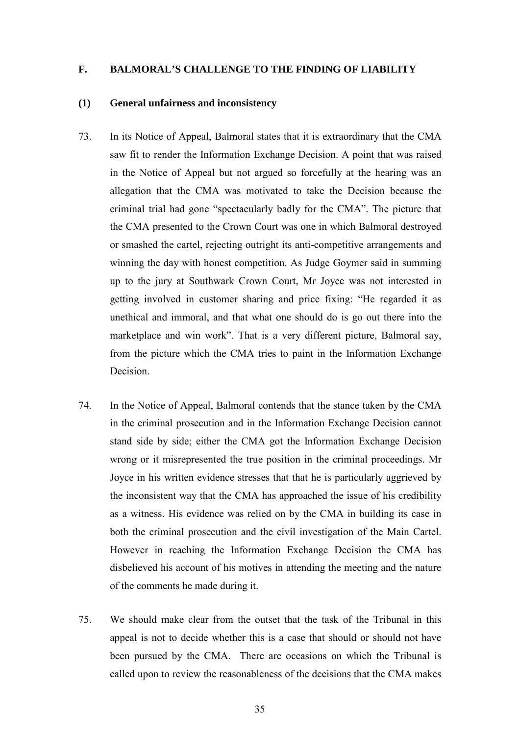#### <span id="page-34-1"></span><span id="page-34-0"></span>**F. BALMORAL'S CHALLENGE TO THE FINDING OF LIABILITY**

### **(1) General unfairness and inconsistency**

- 73. In its Notice of Appeal, Balmoral states that it is extraordinary that the CMA saw fit to render the Information Exchange Decision. A point that was raised in the Notice of Appeal but not argued so forcefully at the hearing was an allegation that the CMA was motivated to take the Decision because the criminal trial had gone "spectacularly badly for the CMA". The picture that the CMA presented to the Crown Court was one in which Balmoral destroyed or smashed the cartel, rejecting outright its anti-competitive arrangements and winning the day with honest competition. As Judge Goymer said in summing up to the jury at Southwark Crown Court, Mr Joyce was not interested in getting involved in customer sharing and price fixing: "He regarded it as unethical and immoral, and that what one should do is go out there into the marketplace and win work". That is a very different picture, Balmoral say, from the picture which the CMA tries to paint in the Information Exchange Decision.
- 74. In the Notice of Appeal, Balmoral contends that the stance taken by the CMA in the criminal prosecution and in the Information Exchange Decision cannot stand side by side; either the CMA got the Information Exchange Decision wrong or it misrepresented the true position in the criminal proceedings. Mr Joyce in his written evidence stresses that that he is particularly aggrieved by the inconsistent way that the CMA has approached the issue of his credibility as a witness. His evidence was relied on by the CMA in building its case in both the criminal prosecution and the civil investigation of the Main Cartel. However in reaching the Information Exchange Decision the CMA has disbelieved his account of his motives in attending the meeting and the nature of the comments he made during it.
- 75. We should make clear from the outset that the task of the Tribunal in this appeal is not to decide whether this is a case that should or should not have been pursued by the CMA. There are occasions on which the Tribunal is called upon to review the reasonableness of the decisions that the CMA makes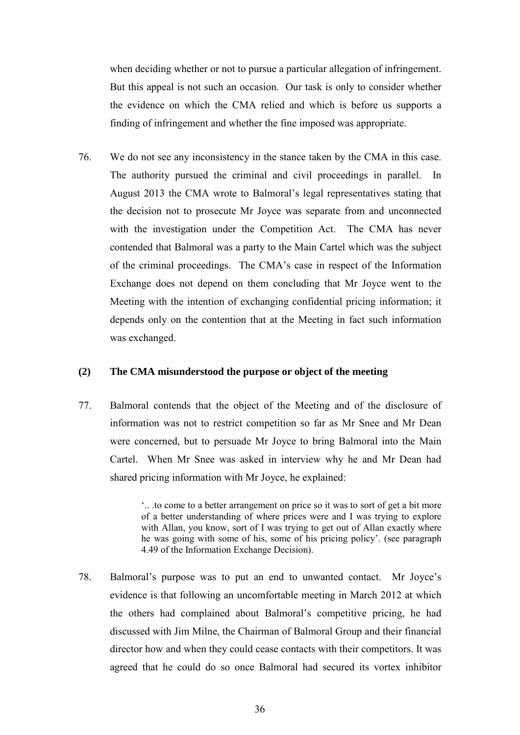when deciding whether or not to pursue a particular allegation of infringement. But this appeal is not such an occasion. Our task is only to consider whether the evidence on which the CMA relied and which is before us supports a finding of infringement and whether the fine imposed was appropriate.

76. We do not see any inconsistency in the stance taken by the CMA in this case. The authority pursued the criminal and civil proceedings in parallel. In August 2013 the CMA wrote to Balmoral's legal representatives stating that the decision not to prosecute Mr Joyce was separate from and unconnected with the investigation under the Competition Act. The CMA has never contended that Balmoral was a party to the Main Cartel which was the subject of the criminal proceedings. The CMA's case in respect of the Information Exchange does not depend on them concluding that Mr Joyce went to the Meeting with the intention of exchanging confidential pricing information; it depends only on the contention that at the Meeting in fact such information was exchanged.

## <span id="page-35-0"></span>**(2) The CMA misunderstood the purpose or object of the meeting**

77. Balmoral contends that the object of the Meeting and of the disclosure of information was not to restrict competition so far as Mr Snee and Mr Dean were concerned, but to persuade Mr Joyce to bring Balmoral into the Main Cartel. When Mr Snee was asked in interview why he and Mr Dean had shared pricing information with Mr Joyce, he explained:

> '.. .to come to a better arrangement on price so it was to sort of get a bit more of a better understanding of where prices were and I was trying to explore with Allan, you know, sort of I was trying to get out of Allan exactly where he was going with some of his, some of his pricing policy'. (see paragraph 4.49 of the Information Exchange Decision).

78. Balmoral's purpose was to put an end to unwanted contact. Mr Joyce's evidence is that following an uncomfortable meeting in March 2012 at which the others had complained about Balmoral's competitive pricing, he had discussed with Jim Milne, the Chairman of Balmoral Group and their financial director how and when they could cease contacts with their competitors. It was agreed that he could do so once Balmoral had secured its vortex inhibitor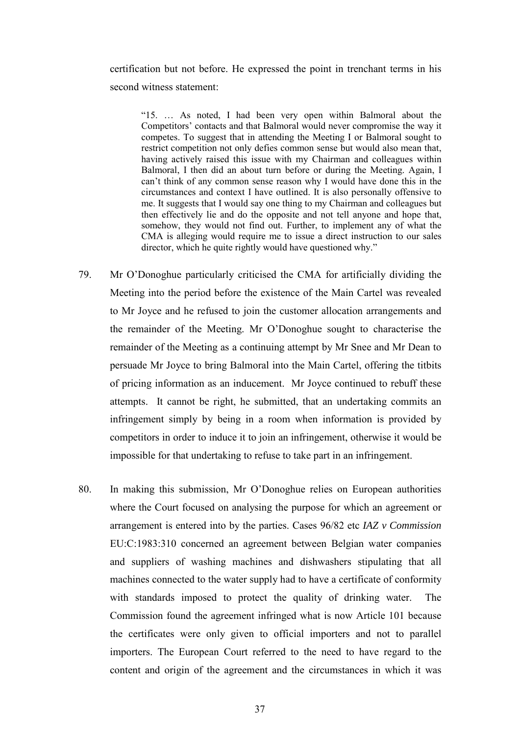certification but not before. He expressed the point in trenchant terms in his second witness statement:

"15. … As noted, I had been very open within Balmoral about the Competitors' contacts and that Balmoral would never compromise the way it competes. To suggest that in attending the Meeting I or Balmoral sought to restrict competition not only defies common sense but would also mean that, having actively raised this issue with my Chairman and colleagues within Balmoral, I then did an about turn before or during the Meeting. Again, I can't think of any common sense reason why I would have done this in the circumstances and context I have outlined. It is also personally offensive to me. It suggests that I would say one thing to my Chairman and colleagues but then effectively lie and do the opposite and not tell anyone and hope that, somehow, they would not find out. Further, to implement any of what the CMA is alleging would require me to issue a direct instruction to our sales director, which he quite rightly would have questioned why."

- 79. Mr O'Donoghue particularly criticised the CMA for artificially dividing the Meeting into the period before the existence of the Main Cartel was revealed to Mr Joyce and he refused to join the customer allocation arrangements and the remainder of the Meeting. Mr O'Donoghue sought to characterise the remainder of the Meeting as a continuing attempt by Mr Snee and Mr Dean to persuade Mr Joyce to bring Balmoral into the Main Cartel, offering the titbits of pricing information as an inducement. Mr Joyce continued to rebuff these attempts. It cannot be right, he submitted, that an undertaking commits an infringement simply by being in a room when information is provided by competitors in order to induce it to join an infringement, otherwise it would be impossible for that undertaking to refuse to take part in an infringement.
- 80. In making this submission, Mr O'Donoghue relies on European authorities where the Court focused on analysing the purpose for which an agreement or arrangement is entered into by the parties. Cases 96/82 etc *IAZ v Commission* EU:C:1983:310 concerned an agreement between Belgian water companies and suppliers of washing machines and dishwashers stipulating that all machines connected to the water supply had to have a certificate of conformity with standards imposed to protect the quality of drinking water. The Commission found the agreement infringed what is now Article 101 because the certificates were only given to official importers and not to parallel importers. The European Court referred to the need to have regard to the content and origin of the agreement and the circumstances in which it was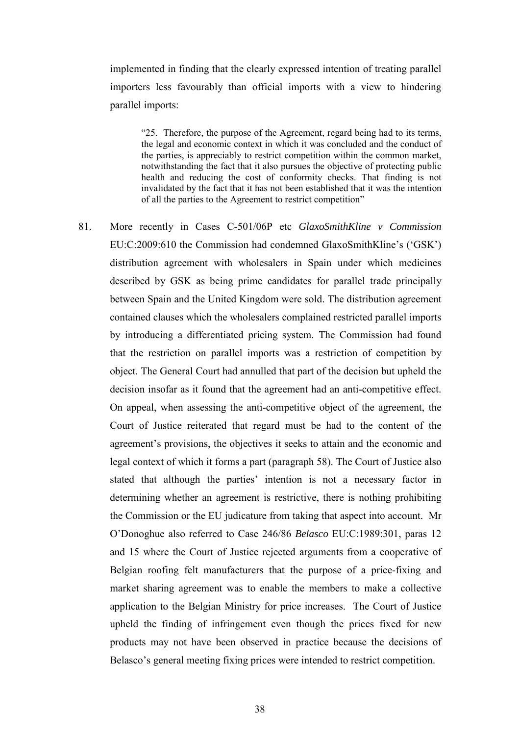implemented in finding that the clearly expressed intention of treating parallel importers less favourably than official imports with a view to hindering parallel imports:

"25. Therefore, the purpose of the Agreement, regard being had to its terms, the legal and economic context in which it was concluded and the conduct of the parties, is appreciably to restrict competition within the common market, notwithstanding the fact that it also pursues the objective of protecting public health and reducing the cost of conformity checks. That finding is not invalidated by the fact that it has not been established that it was the intention of all the parties to the Agreement to restrict competition"

81. More recently in Cases C-501/06P etc *GlaxoSmithKline v Commission* EU:C:2009:610 the Commission had condemned GlaxoSmithKline's ('GSK') distribution agreement with wholesalers in Spain under which medicines described by GSK as being prime candidates for parallel trade principally between Spain and the United Kingdom were sold. The distribution agreement contained clauses which the wholesalers complained restricted parallel imports by introducing a differentiated pricing system. The Commission had found that the restriction on parallel imports was a restriction of competition by object. The General Court had annulled that part of the decision but upheld the decision insofar as it found that the agreement had an anti-competitive effect. On appeal, when assessing the anti-competitive object of the agreement, the Court of Justice reiterated that regard must be had to the content of the agreement's provisions, the objectives it seeks to attain and the economic and legal context of which it forms a part (paragraph 58). The Court of Justice also stated that although the parties' intention is not a necessary factor in determining whether an agreement is restrictive, there is nothing prohibiting the Commission or the EU judicature from taking that aspect into account. Mr O'Donoghue also referred to Case 246/86 *Belasco* EU:C:1989:301, paras 12 and 15 where the Court of Justice rejected arguments from a cooperative of Belgian roofing felt manufacturers that the purpose of a price-fixing and market sharing agreement was to enable the members to make a collective application to the Belgian Ministry for price increases. The Court of Justice upheld the finding of infringement even though the prices fixed for new products may not have been observed in practice because the decisions of Belasco's general meeting fixing prices were intended to restrict competition.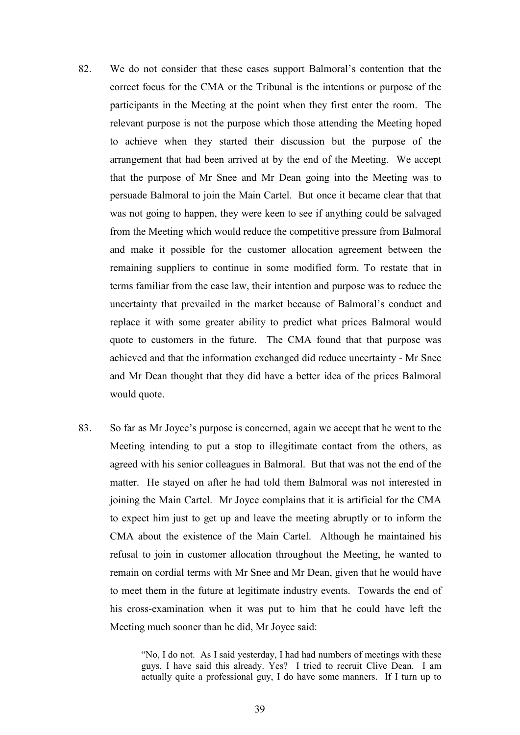- 82. We do not consider that these cases support Balmoral's contention that the correct focus for the CMA or the Tribunal is the intentions or purpose of the participants in the Meeting at the point when they first enter the room. The relevant purpose is not the purpose which those attending the Meeting hoped to achieve when they started their discussion but the purpose of the arrangement that had been arrived at by the end of the Meeting. We accept that the purpose of Mr Snee and Mr Dean going into the Meeting was to persuade Balmoral to join the Main Cartel. But once it became clear that that was not going to happen, they were keen to see if anything could be salvaged from the Meeting which would reduce the competitive pressure from Balmoral and make it possible for the customer allocation agreement between the remaining suppliers to continue in some modified form. To restate that in terms familiar from the case law, their intention and purpose was to reduce the uncertainty that prevailed in the market because of Balmoral's conduct and replace it with some greater ability to predict what prices Balmoral would quote to customers in the future. The CMA found that that purpose was achieved and that the information exchanged did reduce uncertainty - Mr Snee and Mr Dean thought that they did have a better idea of the prices Balmoral would quote.
- 83. So far as Mr Joyce's purpose is concerned, again we accept that he went to the Meeting intending to put a stop to illegitimate contact from the others, as agreed with his senior colleagues in Balmoral. But that was not the end of the matter. He stayed on after he had told them Balmoral was not interested in joining the Main Cartel. Mr Joyce complains that it is artificial for the CMA to expect him just to get up and leave the meeting abruptly or to inform the CMA about the existence of the Main Cartel. Although he maintained his refusal to join in customer allocation throughout the Meeting, he wanted to remain on cordial terms with Mr Snee and Mr Dean, given that he would have to meet them in the future at legitimate industry events. Towards the end of his cross-examination when it was put to him that he could have left the Meeting much sooner than he did, Mr Joyce said:

"No, I do not. As I said yesterday, I had had numbers of meetings with these guys, I have said this already. Yes? I tried to recruit Clive Dean. I am actually quite a professional guy, I do have some manners. If I turn up to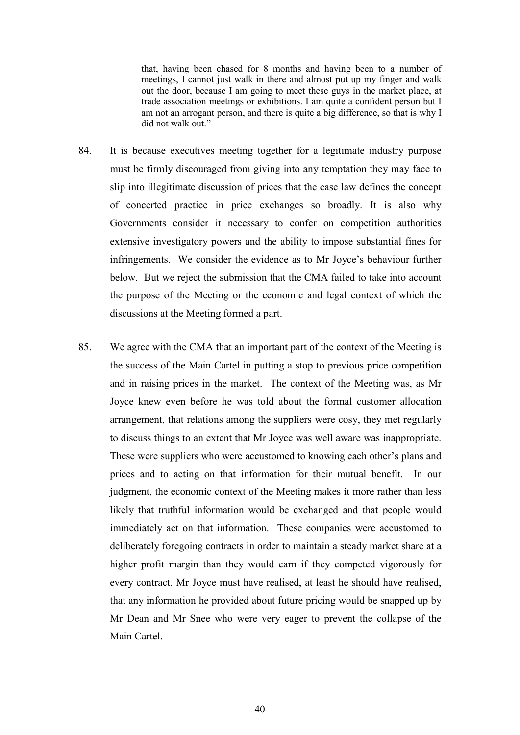that, having been chased for 8 months and having been to a number of meetings, I cannot just walk in there and almost put up my finger and walk out the door, because I am going to meet these guys in the market place, at trade association meetings or exhibitions. I am quite a confident person but I am not an arrogant person, and there is quite a big difference, so that is why I did not walk out."

- 84. It is because executives meeting together for a legitimate industry purpose must be firmly discouraged from giving into any temptation they may face to slip into illegitimate discussion of prices that the case law defines the concept of concerted practice in price exchanges so broadly. It is also why Governments consider it necessary to confer on competition authorities extensive investigatory powers and the ability to impose substantial fines for infringements. We consider the evidence as to Mr Joyce's behaviour further below. But we reject the submission that the CMA failed to take into account the purpose of the Meeting or the economic and legal context of which the discussions at the Meeting formed a part.
- 85. We agree with the CMA that an important part of the context of the Meeting is the success of the Main Cartel in putting a stop to previous price competition and in raising prices in the market. The context of the Meeting was, as Mr Joyce knew even before he was told about the formal customer allocation arrangement, that relations among the suppliers were cosy, they met regularly to discuss things to an extent that Mr Joyce was well aware was inappropriate. These were suppliers who were accustomed to knowing each other's plans and prices and to acting on that information for their mutual benefit. In our judgment, the economic context of the Meeting makes it more rather than less likely that truthful information would be exchanged and that people would immediately act on that information. These companies were accustomed to deliberately foregoing contracts in order to maintain a steady market share at a higher profit margin than they would earn if they competed vigorously for every contract. Mr Joyce must have realised, at least he should have realised, that any information he provided about future pricing would be snapped up by Mr Dean and Mr Snee who were very eager to prevent the collapse of the Main Cartel.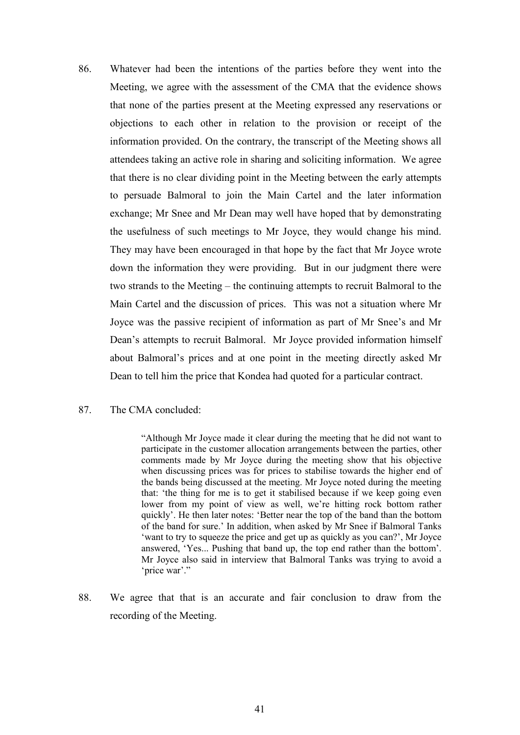- 86. Whatever had been the intentions of the parties before they went into the Meeting, we agree with the assessment of the CMA that the evidence shows that none of the parties present at the Meeting expressed any reservations or objections to each other in relation to the provision or receipt of the information provided. On the contrary, the transcript of the Meeting shows all attendees taking an active role in sharing and soliciting information. We agree that there is no clear dividing point in the Meeting between the early attempts to persuade Balmoral to join the Main Cartel and the later information exchange; Mr Snee and Mr Dean may well have hoped that by demonstrating the usefulness of such meetings to Mr Joyce, they would change his mind. They may have been encouraged in that hope by the fact that Mr Joyce wrote down the information they were providing. But in our judgment there were two strands to the Meeting – the continuing attempts to recruit Balmoral to the Main Cartel and the discussion of prices. This was not a situation where Mr Joyce was the passive recipient of information as part of Mr Snee's and Mr Dean's attempts to recruit Balmoral. Mr Joyce provided information himself about Balmoral's prices and at one point in the meeting directly asked Mr Dean to tell him the price that Kondea had quoted for a particular contract.
- 87. The CMA concluded:

"Although Mr Joyce made it clear during the meeting that he did not want to participate in the customer allocation arrangements between the parties, other comments made by Mr Joyce during the meeting show that his objective when discussing prices was for prices to stabilise towards the higher end of the bands being discussed at the meeting. Mr Joyce noted during the meeting that: 'the thing for me is to get it stabilised because if we keep going even lower from my point of view as well, we're hitting rock bottom rather quickly'. He then later notes: 'Better near the top of the band than the bottom of the band for sure.' In addition, when asked by Mr Snee if Balmoral Tanks 'want to try to squeeze the price and get up as quickly as you can?', Mr Joyce answered, 'Yes... Pushing that band up, the top end rather than the bottom'. Mr Joyce also said in interview that Balmoral Tanks was trying to avoid a 'price war'."

88. We agree that that is an accurate and fair conclusion to draw from the recording of the Meeting.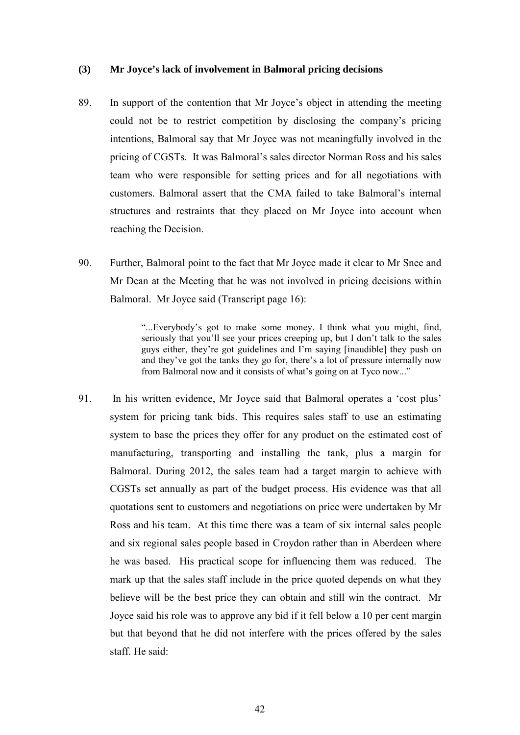### **(3) Mr Joyce's lack of involvement in Balmoral pricing decisions**

- 89. In support of the contention that Mr Joyce's object in attending the meeting could not be to restrict competition by disclosing the company's pricing intentions, Balmoral say that Mr Joyce was not meaningfully involved in the pricing of CGSTs. It was Balmoral's sales director Norman Ross and his sales team who were responsible for setting prices and for all negotiations with customers. Balmoral assert that the CMA failed to take Balmoral's internal structures and restraints that they placed on Mr Joyce into account when reaching the Decision.
- 90. Further, Balmoral point to the fact that Mr Joyce made it clear to Mr Snee and Mr Dean at the Meeting that he was not involved in pricing decisions within Balmoral. Mr Joyce said (Transcript page 16):

"...Everybody's got to make some money. I think what you might, find, seriously that you'll see your prices creeping up, but I don't talk to the sales guys either, they're got guidelines and I'm saying [inaudible] they push on and they've got the tanks they go for, there's a lot of pressure internally now from Balmoral now and it consists of what's going on at Tyco now..."

91. In his written evidence, Mr Joyce said that Balmoral operates a 'cost plus' system for pricing tank bids. This requires sales staff to use an estimating system to base the prices they offer for any product on the estimated cost of manufacturing, transporting and installing the tank, plus a margin for Balmoral. During 2012, the sales team had a target margin to achieve with CGSTs set annually as part of the budget process. His evidence was that all quotations sent to customers and negotiations on price were undertaken by Mr Ross and his team. At this time there was a team of six internal sales people and six regional sales people based in Croydon rather than in Aberdeen where he was based. His practical scope for influencing them was reduced. The mark up that the sales staff include in the price quoted depends on what they believe will be the best price they can obtain and still win the contract. Mr Joyce said his role was to approve any bid if it fell below a 10 per cent margin but that beyond that he did not interfere with the prices offered by the sales staff. He said: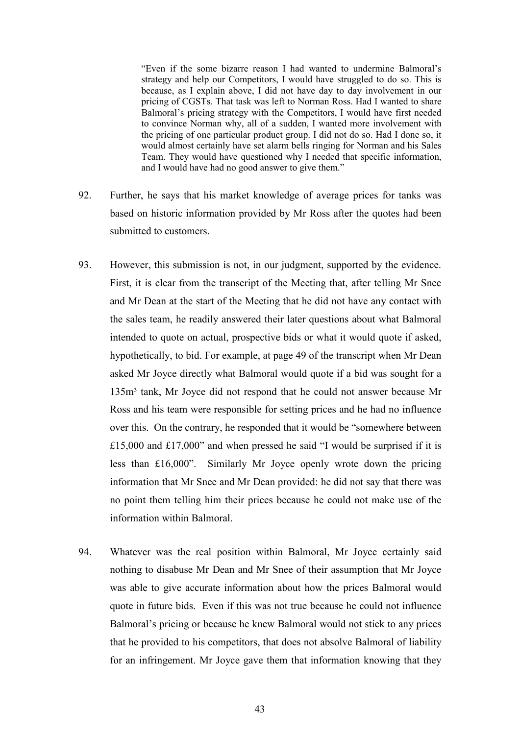"Even if the some bizarre reason I had wanted to undermine Balmoral's strategy and help our Competitors, I would have struggled to do so. This is because, as I explain above, I did not have day to day involvement in our pricing of CGSTs. That task was left to Norman Ross. Had I wanted to share Balmoral's pricing strategy with the Competitors, I would have first needed to convince Norman why, all of a sudden, I wanted more involvement with the pricing of one particular product group. I did not do so. Had I done so, it would almost certainly have set alarm bells ringing for Norman and his Sales Team. They would have questioned why I needed that specific information, and I would have had no good answer to give them."

- 92. Further, he says that his market knowledge of average prices for tanks was based on historic information provided by Mr Ross after the quotes had been submitted to customers.
- 93. However, this submission is not, in our judgment, supported by the evidence. First, it is clear from the transcript of the Meeting that, after telling Mr Snee and Mr Dean at the start of the Meeting that he did not have any contact with the sales team, he readily answered their later questions about what Balmoral intended to quote on actual, prospective bids or what it would quote if asked, hypothetically, to bid. For example, at page 49 of the transcript when Mr Dean asked Mr Joyce directly what Balmoral would quote if a bid was sought for a 135m<sup>3</sup> tank, Mr Joyce did not respond that he could not answer because Mr Ross and his team were responsible for setting prices and he had no influence over this. On the contrary, he responded that it would be "somewhere between £15,000 and £17,000" and when pressed he said "I would be surprised if it is less than £16,000". Similarly Mr Joyce openly wrote down the pricing information that Mr Snee and Mr Dean provided: he did not say that there was no point them telling him their prices because he could not make use of the information within Balmoral.
- 94. Whatever was the real position within Balmoral, Mr Joyce certainly said nothing to disabuse Mr Dean and Mr Snee of their assumption that Mr Joyce was able to give accurate information about how the prices Balmoral would quote in future bids. Even if this was not true because he could not influence Balmoral's pricing or because he knew Balmoral would not stick to any prices that he provided to his competitors, that does not absolve Balmoral of liability for an infringement. Mr Joyce gave them that information knowing that they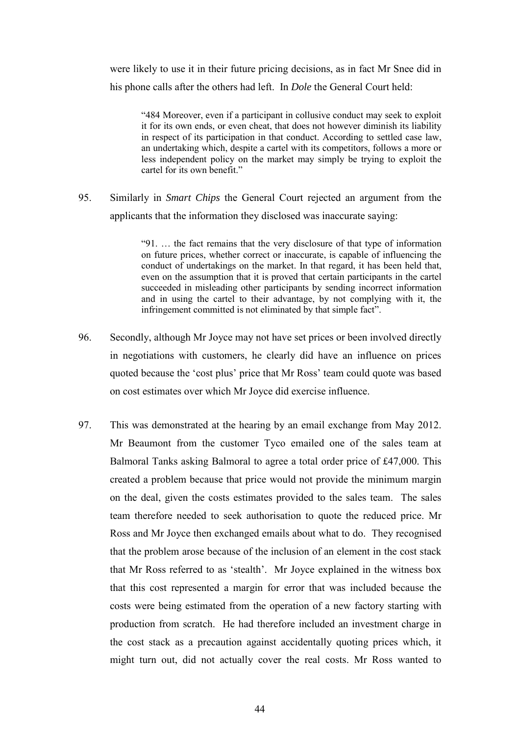were likely to use it in their future pricing decisions, as in fact Mr Snee did in his phone calls after the others had left. In *Dole* the General Court held:

"484 Moreover, even if a participant in collusive conduct may seek to exploit it for its own ends, or even cheat, that does not however diminish its liability in respect of its participation in that conduct. According to settled case law, an undertaking which, despite a cartel with its competitors, follows a more or less independent policy on the market may simply be trying to exploit the cartel for its own benefit."

95. Similarly in *Smart Chips* the General Court rejected an argument from the applicants that the information they disclosed was inaccurate saying:

> "91. … the fact remains that the very disclosure of that type of information on future prices, whether correct or inaccurate, is capable of influencing the conduct of undertakings on the market. In that regard, it has been held that, even on the assumption that it is proved that certain participants in the cartel succeeded in misleading other participants by sending incorrect information and in using the cartel to their advantage, by not complying with it, the infringement committed is not eliminated by that simple fact".

- 96. Secondly, although Mr Joyce may not have set prices or been involved directly in negotiations with customers, he clearly did have an influence on prices quoted because the 'cost plus' price that Mr Ross' team could quote was based on cost estimates over which Mr Joyce did exercise influence.
- 97. This was demonstrated at the hearing by an email exchange from May 2012. Mr Beaumont from the customer Tyco emailed one of the sales team at Balmoral Tanks asking Balmoral to agree a total order price of £47,000. This created a problem because that price would not provide the minimum margin on the deal, given the costs estimates provided to the sales team. The sales team therefore needed to seek authorisation to quote the reduced price. Mr Ross and Mr Joyce then exchanged emails about what to do. They recognised that the problem arose because of the inclusion of an element in the cost stack that Mr Ross referred to as 'stealth'. Mr Joyce explained in the witness box that this cost represented a margin for error that was included because the costs were being estimated from the operation of a new factory starting with production from scratch. He had therefore included an investment charge in the cost stack as a precaution against accidentally quoting prices which, it might turn out, did not actually cover the real costs. Mr Ross wanted to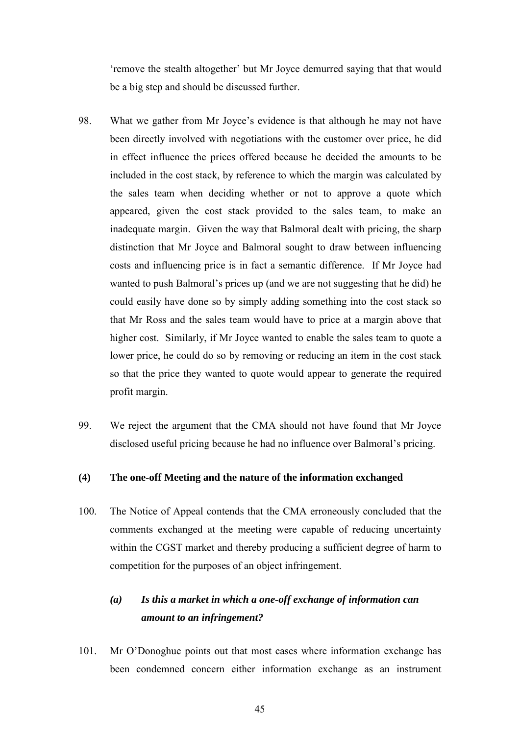'remove the stealth altogether' but Mr Joyce demurred saying that that would be a big step and should be discussed further.

- 98. What we gather from Mr Joyce's evidence is that although he may not have been directly involved with negotiations with the customer over price, he did in effect influence the prices offered because he decided the amounts to be included in the cost stack, by reference to which the margin was calculated by the sales team when deciding whether or not to approve a quote which appeared, given the cost stack provided to the sales team, to make an inadequate margin. Given the way that Balmoral dealt with pricing, the sharp distinction that Mr Joyce and Balmoral sought to draw between influencing costs and influencing price is in fact a semantic difference. If Mr Joyce had wanted to push Balmoral's prices up (and we are not suggesting that he did) he could easily have done so by simply adding something into the cost stack so that Mr Ross and the sales team would have to price at a margin above that higher cost. Similarly, if Mr Joyce wanted to enable the sales team to quote a lower price, he could do so by removing or reducing an item in the cost stack so that the price they wanted to quote would appear to generate the required profit margin.
- 99. We reject the argument that the CMA should not have found that Mr Joyce disclosed useful pricing because he had no influence over Balmoral's pricing.

# **(4) The one-off Meeting and the nature of the information exchanged**

100. The Notice of Appeal contends that the CMA erroneously concluded that the comments exchanged at the meeting were capable of reducing uncertainty within the CGST market and thereby producing a sufficient degree of harm to competition for the purposes of an object infringement.

# *(a) Is this a market in which a one-off exchange of information can amount to an infringement?*

101. Mr O'Donoghue points out that most cases where information exchange has been condemned concern either information exchange as an instrument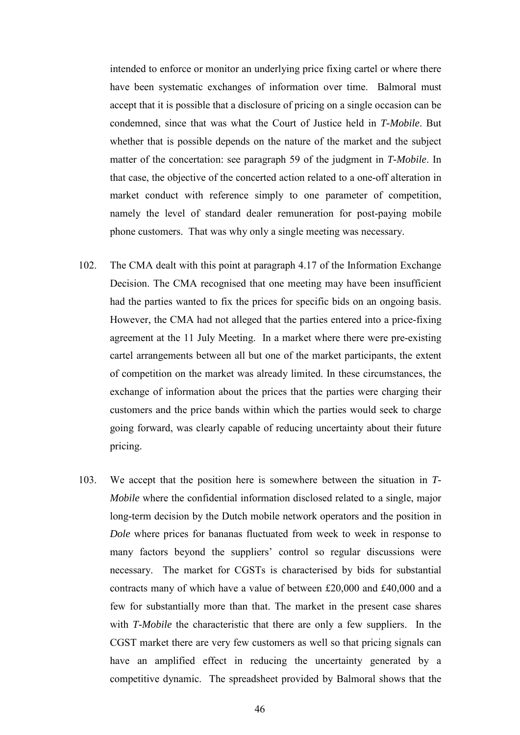intended to enforce or monitor an underlying price fixing cartel or where there have been systematic exchanges of information over time. Balmoral must accept that it is possible that a disclosure of pricing on a single occasion can be condemned, since that was what the Court of Justice held in *T-Mobile*. But whether that is possible depends on the nature of the market and the subject matter of the concertation: see paragraph 59 of the judgment in *T-Mobile*. In that case, the objective of the concerted action related to a one-off alteration in market conduct with reference simply to one parameter of competition, namely the level of standard dealer remuneration for post-paying mobile phone customers. That was why only a single meeting was necessary.

- 102. The CMA dealt with this point at paragraph 4.17 of the Information Exchange Decision. The CMA recognised that one meeting may have been insufficient had the parties wanted to fix the prices for specific bids on an ongoing basis. However, the CMA had not alleged that the parties entered into a price-fixing agreement at the 11 July Meeting. In a market where there were pre-existing cartel arrangements between all but one of the market participants, the extent of competition on the market was already limited. In these circumstances, the exchange of information about the prices that the parties were charging their customers and the price bands within which the parties would seek to charge going forward, was clearly capable of reducing uncertainty about their future pricing.
- 103. We accept that the position here is somewhere between the situation in *T-Mobile* where the confidential information disclosed related to a single, major long-term decision by the Dutch mobile network operators and the position in *Dole* where prices for bananas fluctuated from week to week in response to many factors beyond the suppliers' control so regular discussions were necessary. The market for CGSTs is characterised by bids for substantial contracts many of which have a value of between £20,000 and £40,000 and a few for substantially more than that. The market in the present case shares with *T-Mobile* the characteristic that there are only a few suppliers. In the CGST market there are very few customers as well so that pricing signals can have an amplified effect in reducing the uncertainty generated by a competitive dynamic. The spreadsheet provided by Balmoral shows that the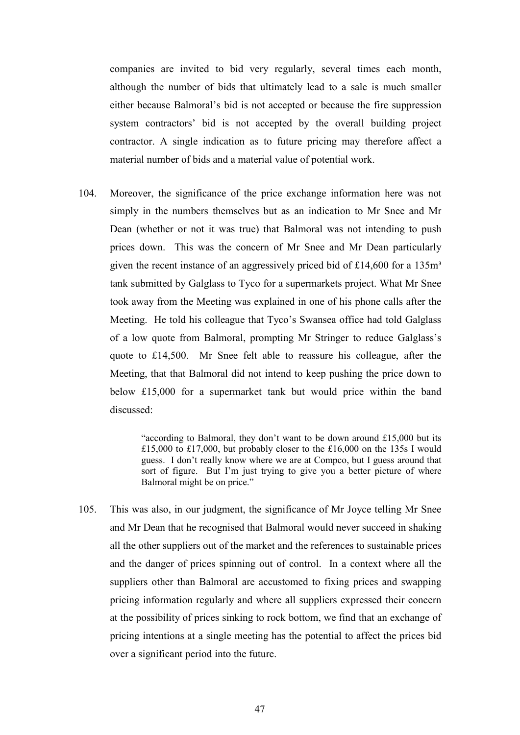companies are invited to bid very regularly, several times each month, although the number of bids that ultimately lead to a sale is much smaller either because Balmoral's bid is not accepted or because the fire suppression system contractors' bid is not accepted by the overall building project contractor. A single indication as to future pricing may therefore affect a material number of bids and a material value of potential work.

104. Moreover, the significance of the price exchange information here was not simply in the numbers themselves but as an indication to Mr Snee and Mr Dean (whether or not it was true) that Balmoral was not intending to push prices down. This was the concern of Mr Snee and Mr Dean particularly given the recent instance of an aggressively priced bid of  $£14,600$  for a  $135m<sup>3</sup>$ tank submitted by Galglass to Tyco for a supermarkets project. What Mr Snee took away from the Meeting was explained in one of his phone calls after the Meeting. He told his colleague that Tyco's Swansea office had told Galglass of a low quote from Balmoral, prompting Mr Stringer to reduce Galglass's quote to £14,500. Mr Snee felt able to reassure his colleague, after the Meeting, that that Balmoral did not intend to keep pushing the price down to below £15,000 for a supermarket tank but would price within the band discussed:

> "according to Balmoral, they don't want to be down around £15,000 but its £15,000 to £17,000, but probably closer to the £16,000 on the 135s I would guess. I don't really know where we are at Compco, but I guess around that sort of figure. But I'm just trying to give you a better picture of where Balmoral might be on price."

105. This was also, in our judgment, the significance of Mr Joyce telling Mr Snee and Mr Dean that he recognised that Balmoral would never succeed in shaking all the other suppliers out of the market and the references to sustainable prices and the danger of prices spinning out of control. In a context where all the suppliers other than Balmoral are accustomed to fixing prices and swapping pricing information regularly and where all suppliers expressed their concern at the possibility of prices sinking to rock bottom, we find that an exchange of pricing intentions at a single meeting has the potential to affect the prices bid over a significant period into the future.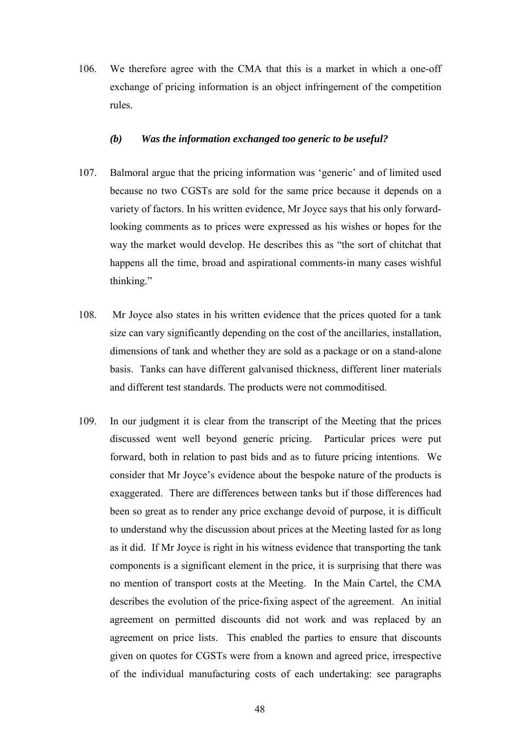106. We therefore agree with the CMA that this is a market in which a one-off exchange of pricing information is an object infringement of the competition rules.

### *(b) Was the information exchanged too generic to be useful?*

- 107. Balmoral argue that the pricing information was 'generic' and of limited used because no two CGSTs are sold for the same price because it depends on a variety of factors. In his written evidence, Mr Joyce says that his only forwardlooking comments as to prices were expressed as his wishes or hopes for the way the market would develop. He describes this as "the sort of chitchat that happens all the time, broad and aspirational comments-in many cases wishful thinking."
- 108. Mr Joyce also states in his written evidence that the prices quoted for a tank size can vary significantly depending on the cost of the ancillaries, installation, dimensions of tank and whether they are sold as a package or on a stand-alone basis. Tanks can have different galvanised thickness, different liner materials and different test standards. The products were not commoditised.
- 109. In our judgment it is clear from the transcript of the Meeting that the prices discussed went well beyond generic pricing. Particular prices were put forward, both in relation to past bids and as to future pricing intentions. We consider that Mr Joyce's evidence about the bespoke nature of the products is exaggerated. There are differences between tanks but if those differences had been so great as to render any price exchange devoid of purpose, it is difficult to understand why the discussion about prices at the Meeting lasted for as long as it did. If Mr Joyce is right in his witness evidence that transporting the tank components is a significant element in the price, it is surprising that there was no mention of transport costs at the Meeting. In the Main Cartel, the CMA describes the evolution of the price-fixing aspect of the agreement. An initial agreement on permitted discounts did not work and was replaced by an agreement on price lists. This enabled the parties to ensure that discounts given on quotes for CGSTs were from a known and agreed price, irrespective of the individual manufacturing costs of each undertaking: see paragraphs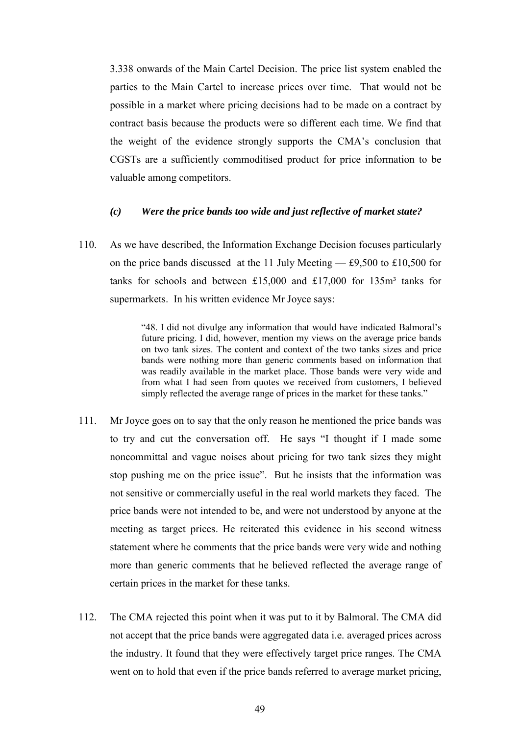3.338 onwards of the Main Cartel Decision. The price list system enabled the parties to the Main Cartel to increase prices over time. That would not be possible in a market where pricing decisions had to be made on a contract by contract basis because the products were so different each time. We find that the weight of the evidence strongly supports the CMA's conclusion that CGSTs are a sufficiently commoditised product for price information to be valuable among competitors.

### *(c) Were the price bands too wide and just reflective of market state?*

110. As we have described, the Information Exchange Decision focuses particularly on the price bands discussed at the 11 July Meeting — £9,500 to £10,500 for tanks for schools and between £15,000 and £17,000 for 135 $m<sup>3</sup>$  tanks for supermarkets. In his written evidence Mr Joyce says:

> "48. I did not divulge any information that would have indicated Balmoral's future pricing. I did, however, mention my views on the average price bands on two tank sizes. The content and context of the two tanks sizes and price bands were nothing more than generic comments based on information that was readily available in the market place. Those bands were very wide and from what I had seen from quotes we received from customers, I believed simply reflected the average range of prices in the market for these tanks."

- 111. Mr Joyce goes on to say that the only reason he mentioned the price bands was to try and cut the conversation off. He says "I thought if I made some noncommittal and vague noises about pricing for two tank sizes they might stop pushing me on the price issue". But he insists that the information was not sensitive or commercially useful in the real world markets they faced. The price bands were not intended to be, and were not understood by anyone at the meeting as target prices. He reiterated this evidence in his second witness statement where he comments that the price bands were very wide and nothing more than generic comments that he believed reflected the average range of certain prices in the market for these tanks.
- 112. The CMA rejected this point when it was put to it by Balmoral. The CMA did not accept that the price bands were aggregated data i.e. averaged prices across the industry. It found that they were effectively target price ranges. The CMA went on to hold that even if the price bands referred to average market pricing,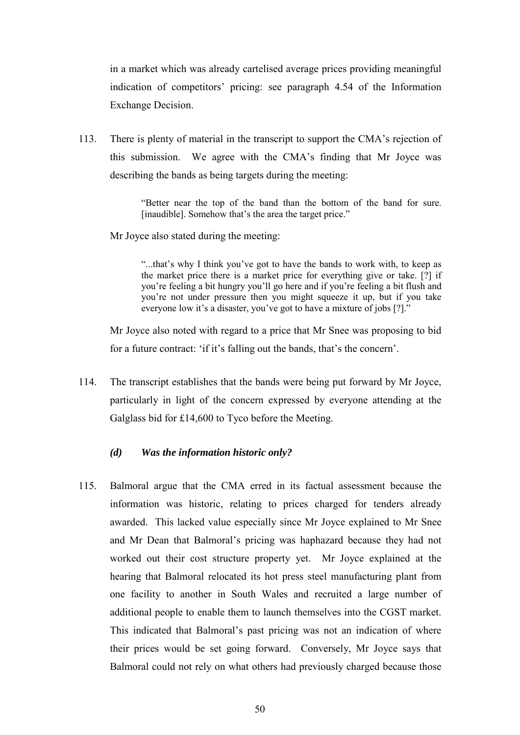in a market which was already cartelised average prices providing meaningful indication of competitors' pricing: see paragraph 4.54 of the Information Exchange Decision.

113. There is plenty of material in the transcript to support the CMA's rejection of this submission. We agree with the CMA's finding that Mr Joyce was describing the bands as being targets during the meeting:

> "Better near the top of the band than the bottom of the band for sure. [inaudible]. Somehow that's the area the target price."

Mr Joyce also stated during the meeting:

"...that's why I think you've got to have the bands to work with, to keep as the market price there is a market price for everything give or take. [?] if you're feeling a bit hungry you'll go here and if you're feeling a bit flush and you're not under pressure then you might squeeze it up, but if you take everyone low it's a disaster, you've got to have a mixture of jobs [?]."

Mr Joyce also noted with regard to a price that Mr Snee was proposing to bid for a future contract: 'if it's falling out the bands, that's the concern'.

114. The transcript establishes that the bands were being put forward by Mr Joyce, particularly in light of the concern expressed by everyone attending at the Galglass bid for £14,600 to Tyco before the Meeting.

### *(d) Was the information historic only?*

115. Balmoral argue that the CMA erred in its factual assessment because the information was historic, relating to prices charged for tenders already awarded. This lacked value especially since Mr Joyce explained to Mr Snee and Mr Dean that Balmoral's pricing was haphazard because they had not worked out their cost structure property yet. Mr Joyce explained at the hearing that Balmoral relocated its hot press steel manufacturing plant from one facility to another in South Wales and recruited a large number of additional people to enable them to launch themselves into the CGST market. This indicated that Balmoral's past pricing was not an indication of where their prices would be set going forward. Conversely, Mr Joyce says that Balmoral could not rely on what others had previously charged because those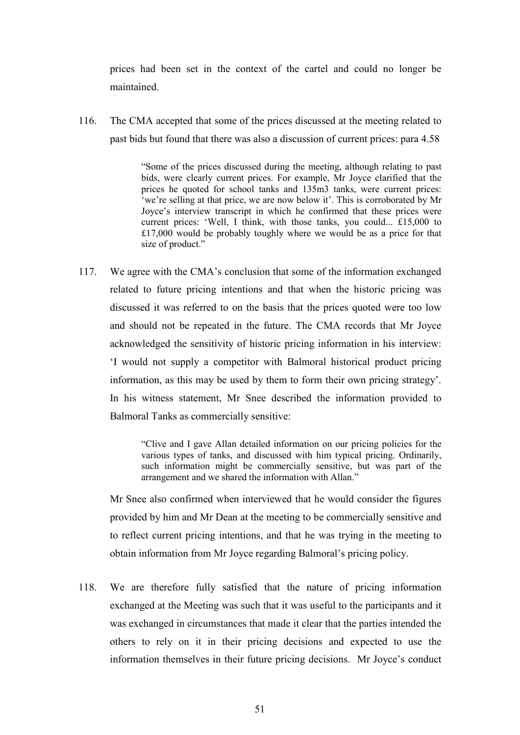prices had been set in the context of the cartel and could no longer be maintained.

116. The CMA accepted that some of the prices discussed at the meeting related to past bids but found that there was also a discussion of current prices: para 4.58

> "Some of the prices discussed during the meeting, although relating to past bids, were clearly current prices. For example, Mr Joyce clarified that the prices he quoted for school tanks and 135m3 tanks, were current prices: 'we're selling at that price, we are now below it'. This is corroborated by Mr Joyce's interview transcript in which he confirmed that these prices were current prices: 'Well, I think, with those tanks, you could... £15,000 to £17,000 would be probably toughly where we would be as a price for that size of product."

117. We agree with the CMA's conclusion that some of the information exchanged related to future pricing intentions and that when the historic pricing was discussed it was referred to on the basis that the prices quoted were too low and should not be repeated in the future. The CMA records that Mr Joyce acknowledged the sensitivity of historic pricing information in his interview: 'I would not supply a competitor with Balmoral historical product pricing information, as this may be used by them to form their own pricing strategy'. In his witness statement, Mr Snee described the information provided to Balmoral Tanks as commercially sensitive:

> "Clive and I gave Allan detailed information on our pricing policies for the various types of tanks, and discussed with him typical pricing. Ordinarily, such information might be commercially sensitive, but was part of the arrangement and we shared the information with Allan."

Mr Snee also confirmed when interviewed that he would consider the figures provided by him and Mr Dean at the meeting to be commercially sensitive and to reflect current pricing intentions, and that he was trying in the meeting to obtain information from Mr Joyce regarding Balmoral's pricing policy.

118. We are therefore fully satisfied that the nature of pricing information exchanged at the Meeting was such that it was useful to the participants and it was exchanged in circumstances that made it clear that the parties intended the others to rely on it in their pricing decisions and expected to use the information themselves in their future pricing decisions. Mr Joyce's conduct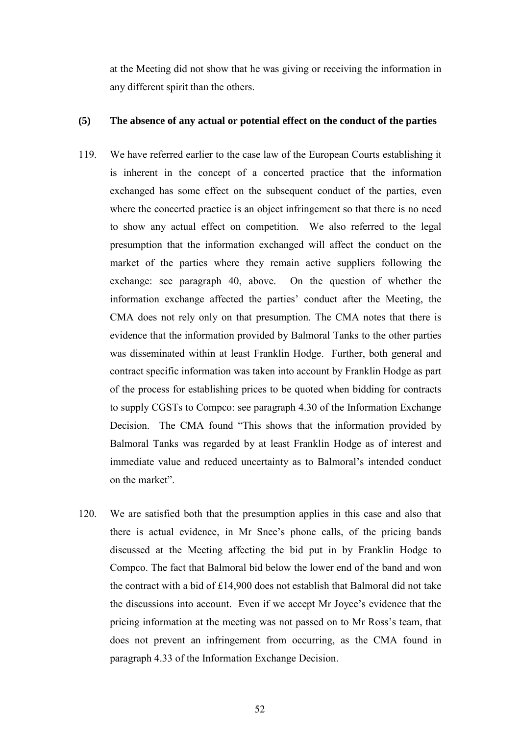at the Meeting did not show that he was giving or receiving the information in any different spirit than the others.

# **(5) The absence of any actual or potential effect on the conduct of the parties**

- 119. We have referred earlier to the case law of the European Courts establishing it is inherent in the concept of a concerted practice that the information exchanged has some effect on the subsequent conduct of the parties, even where the concerted practice is an object infringement so that there is no need to show any actual effect on competition. We also referred to the legal presumption that the information exchanged will affect the conduct on the market of the parties where they remain active suppliers following the exchange: see paragraph [40,](#page-18-0) above. On the question of whether the information exchange affected the parties' conduct after the Meeting, the CMA does not rely only on that presumption. The CMA notes that there is evidence that the information provided by Balmoral Tanks to the other parties was disseminated within at least Franklin Hodge. Further, both general and contract specific information was taken into account by Franklin Hodge as part of the process for establishing prices to be quoted when bidding for contracts to supply CGSTs to Compco: see paragraph 4.30 of the Information Exchange Decision. The CMA found "This shows that the information provided by Balmoral Tanks was regarded by at least Franklin Hodge as of interest and immediate value and reduced uncertainty as to Balmoral's intended conduct on the market".
- 120. We are satisfied both that the presumption applies in this case and also that there is actual evidence, in Mr Snee's phone calls, of the pricing bands discussed at the Meeting affecting the bid put in by Franklin Hodge to Compco. The fact that Balmoral bid below the lower end of the band and won the contract with a bid of £14,900 does not establish that Balmoral did not take the discussions into account. Even if we accept Mr Joyce's evidence that the pricing information at the meeting was not passed on to Mr Ross's team, that does not prevent an infringement from occurring, as the CMA found in paragraph 4.33 of the Information Exchange Decision.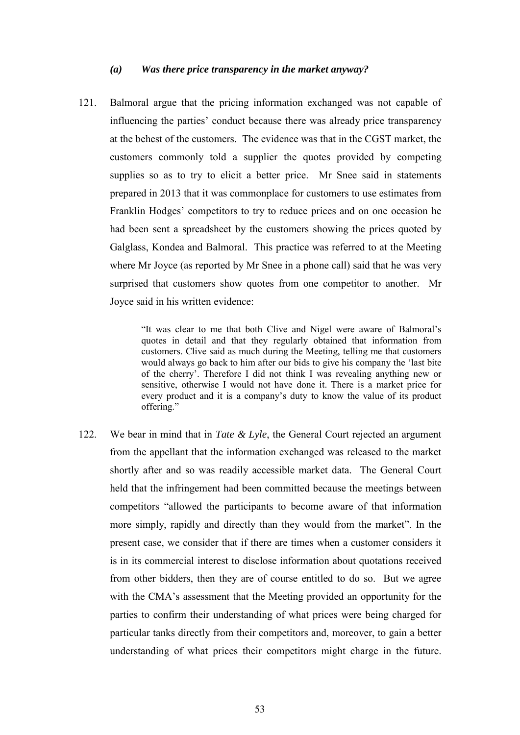#### *(a) Was there price transparency in the market anyway?*

121. Balmoral argue that the pricing information exchanged was not capable of influencing the parties' conduct because there was already price transparency at the behest of the customers. The evidence was that in the CGST market, the customers commonly told a supplier the quotes provided by competing supplies so as to try to elicit a better price. Mr Snee said in statements prepared in 2013 that it was commonplace for customers to use estimates from Franklin Hodges' competitors to try to reduce prices and on one occasion he had been sent a spreadsheet by the customers showing the prices quoted by Galglass, Kondea and Balmoral. This practice was referred to at the Meeting where Mr Joyce (as reported by Mr Snee in a phone call) said that he was very surprised that customers show quotes from one competitor to another. Mr Joyce said in his written evidence:

> "It was clear to me that both Clive and Nigel were aware of Balmoral's quotes in detail and that they regularly obtained that information from customers. Clive said as much during the Meeting, telling me that customers would always go back to him after our bids to give his company the 'last bite of the cherry'. Therefore I did not think I was revealing anything new or sensitive, otherwise I would not have done it. There is a market price for every product and it is a company's duty to know the value of its product offering."

122. We bear in mind that in *Tate & Lyle*, the General Court rejected an argument from the appellant that the information exchanged was released to the market shortly after and so was readily accessible market data. The General Court held that the infringement had been committed because the meetings between competitors "allowed the participants to become aware of that information more simply, rapidly and directly than they would from the market". In the present case, we consider that if there are times when a customer considers it is in its commercial interest to disclose information about quotations received from other bidders, then they are of course entitled to do so. But we agree with the CMA's assessment that the Meeting provided an opportunity for the parties to confirm their understanding of what prices were being charged for particular tanks directly from their competitors and, moreover, to gain a better understanding of what prices their competitors might charge in the future.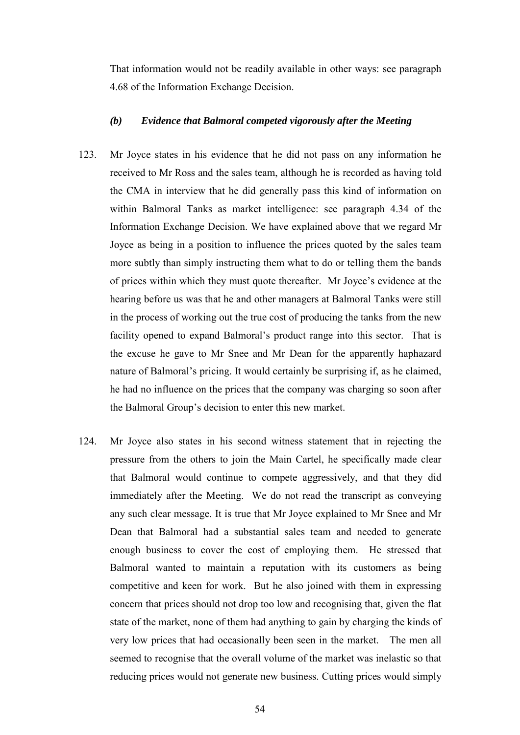That information would not be readily available in other ways: see paragraph 4.68 of the Information Exchange Decision.

## *(b) Evidence that Balmoral competed vigorously after the Meeting*

- 123. Mr Joyce states in his evidence that he did not pass on any information he received to Mr Ross and the sales team, although he is recorded as having told the CMA in interview that he did generally pass this kind of information on within Balmoral Tanks as market intelligence: see paragraph 4.34 of the Information Exchange Decision. We have explained above that we regard Mr Joyce as being in a position to influence the prices quoted by the sales team more subtly than simply instructing them what to do or telling them the bands of prices within which they must quote thereafter. Mr Joyce's evidence at the hearing before us was that he and other managers at Balmoral Tanks were still in the process of working out the true cost of producing the tanks from the new facility opened to expand Balmoral's product range into this sector. That is the excuse he gave to Mr Snee and Mr Dean for the apparently haphazard nature of Balmoral's pricing. It would certainly be surprising if, as he claimed, he had no influence on the prices that the company was charging so soon after the Balmoral Group's decision to enter this new market.
- 124. Mr Joyce also states in his second witness statement that in rejecting the pressure from the others to join the Main Cartel, he specifically made clear that Balmoral would continue to compete aggressively, and that they did immediately after the Meeting. We do not read the transcript as conveying any such clear message. It is true that Mr Joyce explained to Mr Snee and Mr Dean that Balmoral had a substantial sales team and needed to generate enough business to cover the cost of employing them. He stressed that Balmoral wanted to maintain a reputation with its customers as being competitive and keen for work. But he also joined with them in expressing concern that prices should not drop too low and recognising that, given the flat state of the market, none of them had anything to gain by charging the kinds of very low prices that had occasionally been seen in the market. The men all seemed to recognise that the overall volume of the market was inelastic so that reducing prices would not generate new business. Cutting prices would simply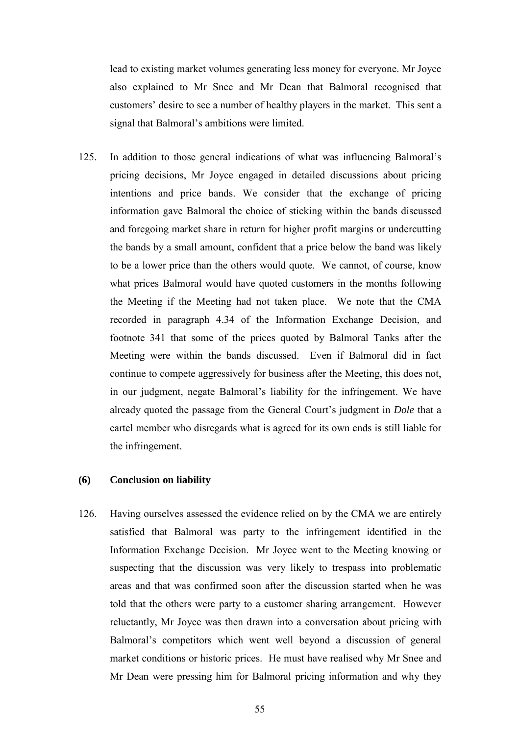lead to existing market volumes generating less money for everyone. Mr Joyce also explained to Mr Snee and Mr Dean that Balmoral recognised that customers' desire to see a number of healthy players in the market. This sent a signal that Balmoral's ambitions were limited.

125. In addition to those general indications of what was influencing Balmoral's pricing decisions, Mr Joyce engaged in detailed discussions about pricing intentions and price bands. We consider that the exchange of pricing information gave Balmoral the choice of sticking within the bands discussed and foregoing market share in return for higher profit margins or undercutting the bands by a small amount, confident that a price below the band was likely to be a lower price than the others would quote. We cannot, of course, know what prices Balmoral would have quoted customers in the months following the Meeting if the Meeting had not taken place. We note that the CMA recorded in paragraph 4.34 of the Information Exchange Decision, and footnote 341 that some of the prices quoted by Balmoral Tanks after the Meeting were within the bands discussed. Even if Balmoral did in fact continue to compete aggressively for business after the Meeting, this does not, in our judgment, negate Balmoral's liability for the infringement. We have already quoted the passage from the General Court's judgment in *Dole* that a cartel member who disregards what is agreed for its own ends is still liable for the infringement.

### **(6) Conclusion on liability**

126. Having ourselves assessed the evidence relied on by the CMA we are entirely satisfied that Balmoral was party to the infringement identified in the Information Exchange Decision. Mr Joyce went to the Meeting knowing or suspecting that the discussion was very likely to trespass into problematic areas and that was confirmed soon after the discussion started when he was told that the others were party to a customer sharing arrangement. However reluctantly, Mr Joyce was then drawn into a conversation about pricing with Balmoral's competitors which went well beyond a discussion of general market conditions or historic prices. He must have realised why Mr Snee and Mr Dean were pressing him for Balmoral pricing information and why they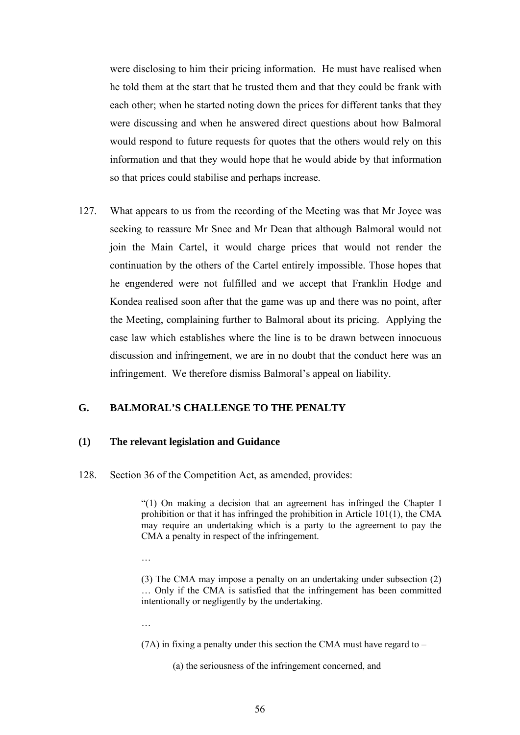were disclosing to him their pricing information. He must have realised when he told them at the start that he trusted them and that they could be frank with each other; when he started noting down the prices for different tanks that they were discussing and when he answered direct questions about how Balmoral would respond to future requests for quotes that the others would rely on this information and that they would hope that he would abide by that information so that prices could stabilise and perhaps increase.

127. What appears to us from the recording of the Meeting was that Mr Joyce was seeking to reassure Mr Snee and Mr Dean that although Balmoral would not join the Main Cartel, it would charge prices that would not render the continuation by the others of the Cartel entirely impossible. Those hopes that he engendered were not fulfilled and we accept that Franklin Hodge and Kondea realised soon after that the game was up and there was no point, after the Meeting, complaining further to Balmoral about its pricing. Applying the case law which establishes where the line is to be drawn between innocuous discussion and infringement, we are in no doubt that the conduct here was an infringement. We therefore dismiss Balmoral's appeal on liability.

# **G. BALMORAL'S CHALLENGE TO THE PENALTY**

#### **(1) The relevant legislation and Guidance**

128. Section 36 of the Competition Act, as amended, provides:

"(1) On making a decision that an agreement has infringed the Chapter I prohibition or that it has infringed the prohibition in Article 101(1), the CMA may require an undertaking which is a party to the agreement to pay the CMA a penalty in respect of the infringement.

…

(3) The CMA may impose a penalty on an undertaking under subsection (2) … Only if the CMA is satisfied that the infringement has been committed intentionally or negligently by the undertaking.

…

(7A) in fixing a penalty under this section the CMA must have regard to –

(a) the seriousness of the infringement concerned, and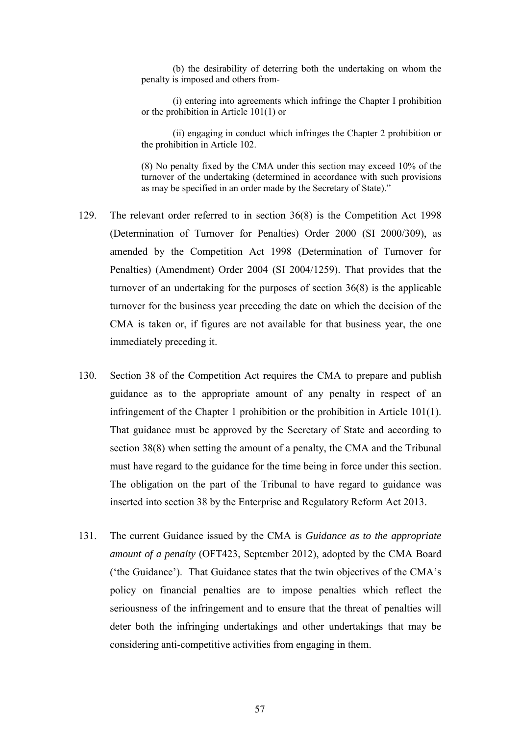(b) the desirability of deterring both the undertaking on whom the penalty is imposed and others from-

(i) entering into agreements which infringe the Chapter I prohibition or the prohibition in Article 101(1) or

(ii) engaging in conduct which infringes the Chapter 2 prohibition or the prohibition in Article 102.

(8) No penalty fixed by the CMA under this section may exceed 10% of the turnover of the undertaking (determined in accordance with such provisions as may be specified in an order made by the Secretary of State)."

- 129. The relevant order referred to in section 36(8) is the Competition Act 1998 (Determination of Turnover for Penalties) Order 2000 (SI 2000/309), as amended by the Competition Act 1998 (Determination of Turnover for Penalties) (Amendment) Order 2004 (SI 2004/1259). That provides that the turnover of an undertaking for the purposes of section 36(8) is the applicable turnover for the business year preceding the date on which the decision of the CMA is taken or, if figures are not available for that business year, the one immediately preceding it.
- 130. Section 38 of the Competition Act requires the CMA to prepare and publish guidance as to the appropriate amount of any penalty in respect of an infringement of the Chapter 1 prohibition or the prohibition in Article 101(1). That guidance must be approved by the Secretary of State and according to section 38(8) when setting the amount of a penalty, the CMA and the Tribunal must have regard to the guidance for the time being in force under this section. The obligation on the part of the Tribunal to have regard to guidance was inserted into section 38 by the Enterprise and Regulatory Reform Act 2013.
- 131. The current Guidance issued by the CMA is *Guidance as to the appropriate amount of a penalty* (OFT423, September 2012), adopted by the CMA Board ('the Guidance'). That Guidance states that the twin objectives of the CMA's policy on financial penalties are to impose penalties which reflect the seriousness of the infringement and to ensure that the threat of penalties will deter both the infringing undertakings and other undertakings that may be considering anti-competitive activities from engaging in them.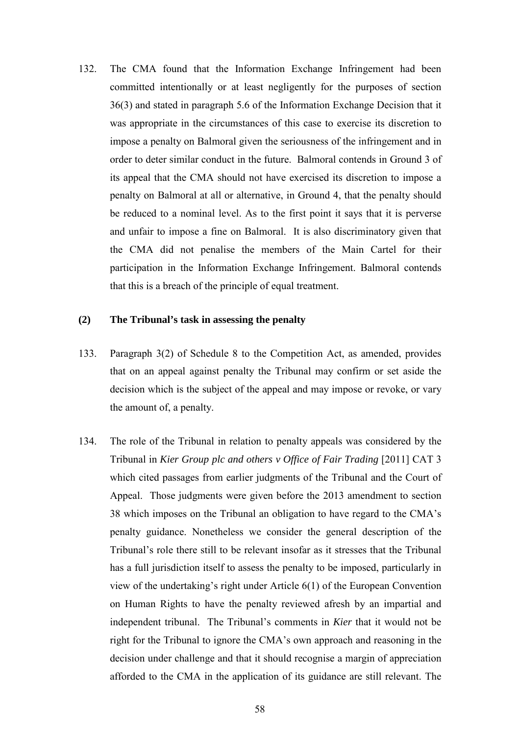132. The CMA found that the Information Exchange Infringement had been committed intentionally or at least negligently for the purposes of section 36(3) and stated in paragraph 5.6 of the Information Exchange Decision that it was appropriate in the circumstances of this case to exercise its discretion to impose a penalty on Balmoral given the seriousness of the infringement and in order to deter similar conduct in the future. Balmoral contends in Ground 3 of its appeal that the CMA should not have exercised its discretion to impose a penalty on Balmoral at all or alternative, in Ground 4, that the penalty should be reduced to a nominal level. As to the first point it says that it is perverse and unfair to impose a fine on Balmoral. It is also discriminatory given that the CMA did not penalise the members of the Main Cartel for their participation in the Information Exchange Infringement. Balmoral contends that this is a breach of the principle of equal treatment.

### **(2) The Tribunal's task in assessing the penalty**

- 133. Paragraph 3(2) of Schedule 8 to the Competition Act, as amended, provides that on an appeal against penalty the Tribunal may confirm or set aside the decision which is the subject of the appeal and may impose or revoke, or vary the amount of, a penalty.
- 134. The role of the Tribunal in relation to penalty appeals was considered by the Tribunal in *Kier Group plc and others v Office of Fair Trading* [2011] CAT 3 which cited passages from earlier judgments of the Tribunal and the Court of Appeal. Those judgments were given before the 2013 amendment to section 38 which imposes on the Tribunal an obligation to have regard to the CMA's penalty guidance. Nonetheless we consider the general description of the Tribunal's role there still to be relevant insofar as it stresses that the Tribunal has a full jurisdiction itself to assess the penalty to be imposed, particularly in view of the undertaking's right under Article 6(1) of the European Convention on Human Rights to have the penalty reviewed afresh by an impartial and independent tribunal. The Tribunal's comments in *Kier* that it would not be right for the Tribunal to ignore the CMA's own approach and reasoning in the decision under challenge and that it should recognise a margin of appreciation afforded to the CMA in the application of its guidance are still relevant. The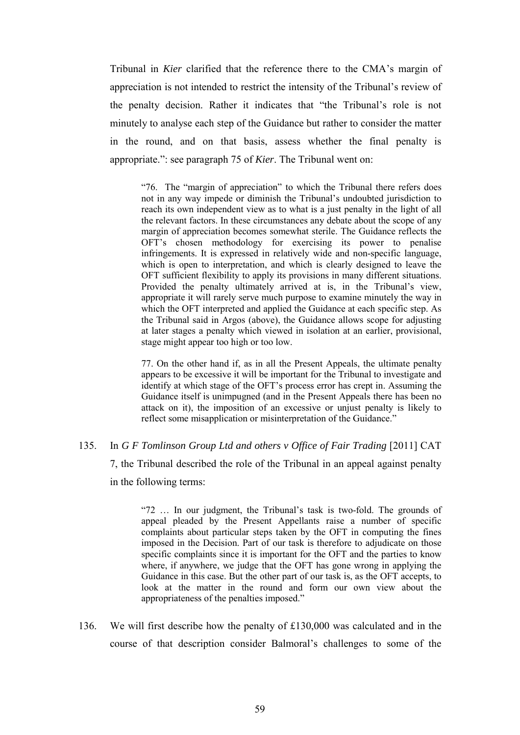Tribunal in *Kier* clarified that the reference there to the CMA's margin of appreciation is not intended to restrict the intensity of the Tribunal's review of the penalty decision. Rather it indicates that "the Tribunal's role is not minutely to analyse each step of the Guidance but rather to consider the matter in the round, and on that basis, assess whether the final penalty is appropriate.": see paragraph 75 of *Kier*. The Tribunal went on:

"76. The "margin of appreciation" to which the Tribunal there refers does not in any way impede or diminish the Tribunal's undoubted jurisdiction to reach its own independent view as to what is a just penalty in the light of all the relevant factors. In these circumstances any debate about the scope of any margin of appreciation becomes somewhat sterile. The Guidance reflects the OFT's chosen methodology for exercising its power to penalise infringements. It is expressed in relatively wide and non-specific language, which is open to interpretation, and which is clearly designed to leave the OFT sufficient flexibility to apply its provisions in many different situations. Provided the penalty ultimately arrived at is, in the Tribunal's view, appropriate it will rarely serve much purpose to examine minutely the way in which the OFT interpreted and applied the Guidance at each specific step. As the Tribunal said in Argos (above), the Guidance allows scope for adjusting at later stages a penalty which viewed in isolation at an earlier, provisional, stage might appear too high or too low.

77. On the other hand if, as in all the Present Appeals, the ultimate penalty appears to be excessive it will be important for the Tribunal to investigate and identify at which stage of the OFT's process error has crept in. Assuming the Guidance itself is unimpugned (and in the Present Appeals there has been no attack on it), the imposition of an excessive or unjust penalty is likely to reflect some misapplication or misinterpretation of the Guidance."

#### 135. In *G F Tomlinson Group Ltd and others v Office of Fair Trading* [2011] CAT

7, the Tribunal described the role of the Tribunal in an appeal against penalty in the following terms:

"72 … In our judgment, the Tribunal's task is two-fold. The grounds of appeal pleaded by the Present Appellants raise a number of specific complaints about particular steps taken by the OFT in computing the fines imposed in the Decision. Part of our task is therefore to adjudicate on those specific complaints since it is important for the OFT and the parties to know where, if anywhere, we judge that the OFT has gone wrong in applying the Guidance in this case. But the other part of our task is, as the OFT accepts, to look at the matter in the round and form our own view about the appropriateness of the penalties imposed."

136. We will first describe how the penalty of £130,000 was calculated and in the course of that description consider Balmoral's challenges to some of the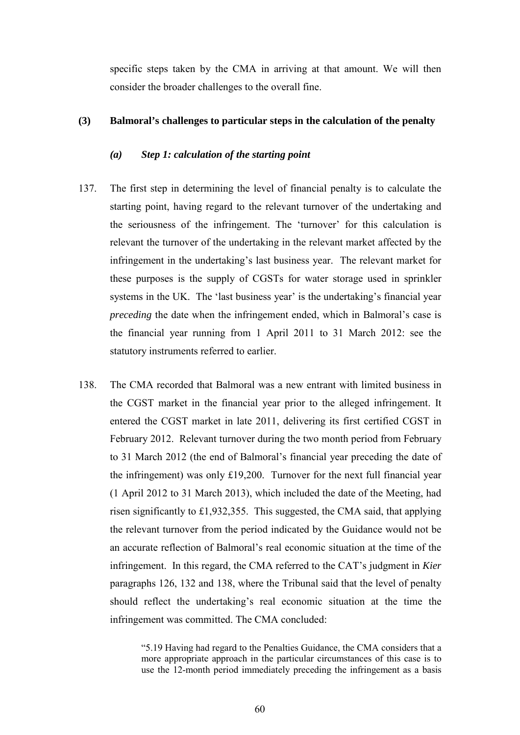specific steps taken by the CMA in arriving at that amount. We will then consider the broader challenges to the overall fine.

### **(3) Balmoral's challenges to particular steps in the calculation of the penalty**

### *(a) Step 1: calculation of the starting point*

- 137. The first step in determining the level of financial penalty is to calculate the starting point, having regard to the relevant turnover of the undertaking and the seriousness of the infringement. The 'turnover' for this calculation is relevant the turnover of the undertaking in the relevant market affected by the infringement in the undertaking's last business year. The relevant market for these purposes is the supply of CGSTs for water storage used in sprinkler systems in the UK. The 'last business year' is the undertaking's financial year *preceding* the date when the infringement ended, which in Balmoral's case is the financial year running from 1 April 2011 to 31 March 2012: see the statutory instruments referred to earlier.
- 138. The CMA recorded that Balmoral was a new entrant with limited business in the CGST market in the financial year prior to the alleged infringement. It entered the CGST market in late 2011, delivering its first certified CGST in February 2012. Relevant turnover during the two month period from February to 31 March 2012 (the end of Balmoral's financial year preceding the date of the infringement) was only £19,200. Turnover for the next full financial year (1 April 2012 to 31 March 2013), which included the date of the Meeting, had risen significantly to £1,932,355. This suggested, the CMA said, that applying the relevant turnover from the period indicated by the Guidance would not be an accurate reflection of Balmoral's real economic situation at the time of the infringement. In this regard, the CMA referred to the CAT's judgment in *Kier* paragraphs 126, 132 and 138, where the Tribunal said that the level of penalty should reflect the undertaking's real economic situation at the time the infringement was committed. The CMA concluded:

<sup>&</sup>quot;5.19 Having had regard to the Penalties Guidance, the CMA considers that a more appropriate approach in the particular circumstances of this case is to use the 12-month period immediately preceding the infringement as a basis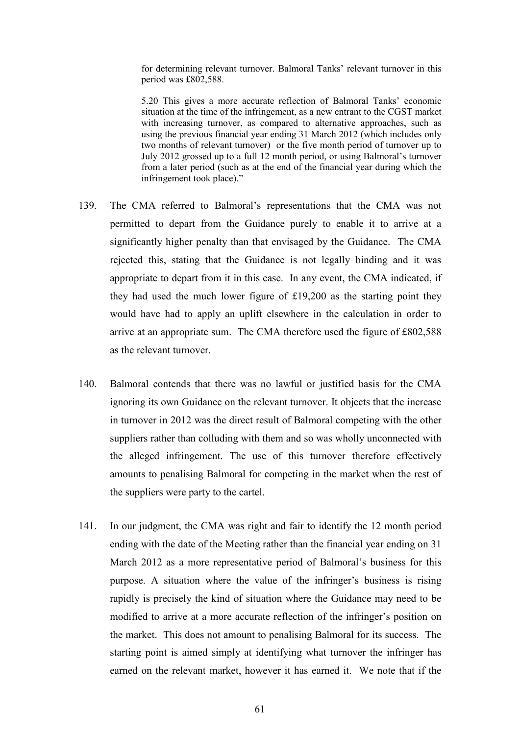for determining relevant turnover. Balmoral Tanks' relevant turnover in this period was £802,588.

5.20 This gives a more accurate reflection of Balmoral Tanks' economic situation at the time of the infringement, as a new entrant to the CGST market with increasing turnover, as compared to alternative approaches, such as using the previous financial year ending 31 March 2012 (which includes only two months of relevant turnover) or the five month period of turnover up to July 2012 grossed up to a full 12 month period, or using Balmoral's turnover from a later period (such as at the end of the financial year during which the infringement took place)."

- 139. The CMA referred to Balmoral's representations that the CMA was not permitted to depart from the Guidance purely to enable it to arrive at a significantly higher penalty than that envisaged by the Guidance. The CMA rejected this, stating that the Guidance is not legally binding and it was appropriate to depart from it in this case. In any event, the CMA indicated, if they had used the much lower figure of £19,200 as the starting point they would have had to apply an uplift elsewhere in the calculation in order to arrive at an appropriate sum. The CMA therefore used the figure of £802,588 as the relevant turnover.
- 140. Balmoral contends that there was no lawful or justified basis for the CMA ignoring its own Guidance on the relevant turnover. It objects that the increase in turnover in 2012 was the direct result of Balmoral competing with the other suppliers rather than colluding with them and so was wholly unconnected with the alleged infringement. The use of this turnover therefore effectively amounts to penalising Balmoral for competing in the market when the rest of the suppliers were party to the cartel.
- 141. In our judgment, the CMA was right and fair to identify the 12 month period ending with the date of the Meeting rather than the financial year ending on 31 March 2012 as a more representative period of Balmoral's business for this purpose. A situation where the value of the infringer's business is rising rapidly is precisely the kind of situation where the Guidance may need to be modified to arrive at a more accurate reflection of the infringer's position on the market. This does not amount to penalising Balmoral for its success. The starting point is aimed simply at identifying what turnover the infringer has earned on the relevant market, however it has earned it. We note that if the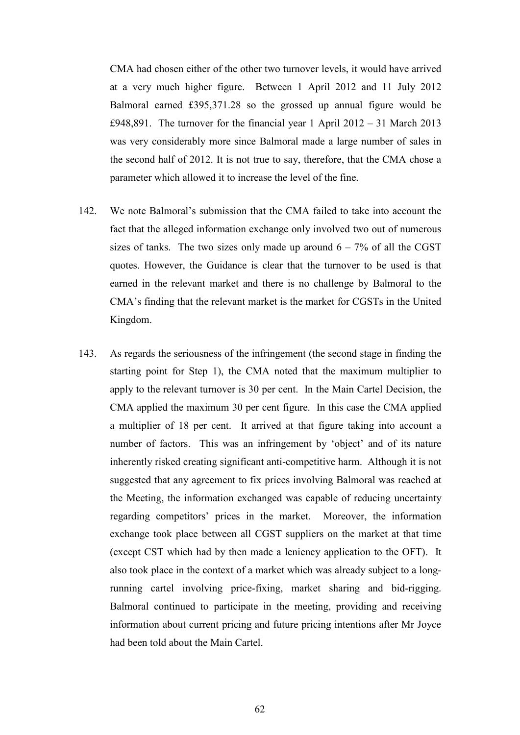CMA had chosen either of the other two turnover levels, it would have arrived at a very much higher figure. Between 1 April 2012 and 11 July 2012 Balmoral earned £395,371.28 so the grossed up annual figure would be £948,891. The turnover for the financial year 1 April 2012 – 31 March 2013 was very considerably more since Balmoral made a large number of sales in the second half of 2012. It is not true to say, therefore, that the CMA chose a parameter which allowed it to increase the level of the fine.

- 142. We note Balmoral's submission that the CMA failed to take into account the fact that the alleged information exchange only involved two out of numerous sizes of tanks. The two sizes only made up around  $6 - 7\%$  of all the CGST quotes. However, the Guidance is clear that the turnover to be used is that earned in the relevant market and there is no challenge by Balmoral to the CMA's finding that the relevant market is the market for CGSTs in the United Kingdom.
- 143. As regards the seriousness of the infringement (the second stage in finding the starting point for Step 1), the CMA noted that the maximum multiplier to apply to the relevant turnover is 30 per cent. In the Main Cartel Decision, the CMA applied the maximum 30 per cent figure. In this case the CMA applied a multiplier of 18 per cent. It arrived at that figure taking into account a number of factors. This was an infringement by 'object' and of its nature inherently risked creating significant anti-competitive harm. Although it is not suggested that any agreement to fix prices involving Balmoral was reached at the Meeting, the information exchanged was capable of reducing uncertainty regarding competitors' prices in the market. Moreover, the information exchange took place between all CGST suppliers on the market at that time (except CST which had by then made a leniency application to the OFT). It also took place in the context of a market which was already subject to a longrunning cartel involving price-fixing, market sharing and bid-rigging. Balmoral continued to participate in the meeting, providing and receiving information about current pricing and future pricing intentions after Mr Joyce had been told about the Main Cartel.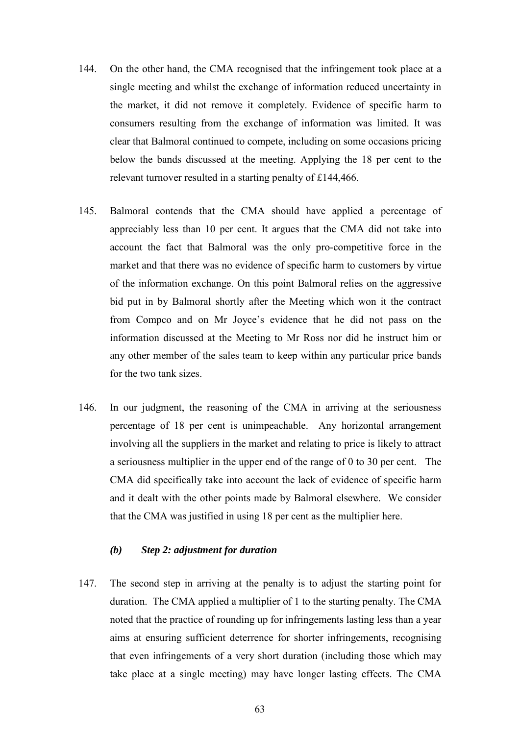- 144. On the other hand, the CMA recognised that the infringement took place at a single meeting and whilst the exchange of information reduced uncertainty in the market, it did not remove it completely. Evidence of specific harm to consumers resulting from the exchange of information was limited. It was clear that Balmoral continued to compete, including on some occasions pricing below the bands discussed at the meeting. Applying the 18 per cent to the relevant turnover resulted in a starting penalty of £144,466.
- 145. Balmoral contends that the CMA should have applied a percentage of appreciably less than 10 per cent. It argues that the CMA did not take into account the fact that Balmoral was the only pro-competitive force in the market and that there was no evidence of specific harm to customers by virtue of the information exchange. On this point Balmoral relies on the aggressive bid put in by Balmoral shortly after the Meeting which won it the contract from Compco and on Mr Joyce's evidence that he did not pass on the information discussed at the Meeting to Mr Ross nor did he instruct him or any other member of the sales team to keep within any particular price bands for the two tank sizes.
- 146. In our judgment, the reasoning of the CMA in arriving at the seriousness percentage of 18 per cent is unimpeachable. Any horizontal arrangement involving all the suppliers in the market and relating to price is likely to attract a seriousness multiplier in the upper end of the range of 0 to 30 per cent. The CMA did specifically take into account the lack of evidence of specific harm and it dealt with the other points made by Balmoral elsewhere. We consider that the CMA was justified in using 18 per cent as the multiplier here.

# *(b) Step 2: adjustment for duration*

147. The second step in arriving at the penalty is to adjust the starting point for duration. The CMA applied a multiplier of 1 to the starting penalty. The CMA noted that the practice of rounding up for infringements lasting less than a year aims at ensuring sufficient deterrence for shorter infringements, recognising that even infringements of a very short duration (including those which may take place at a single meeting) may have longer lasting effects. The CMA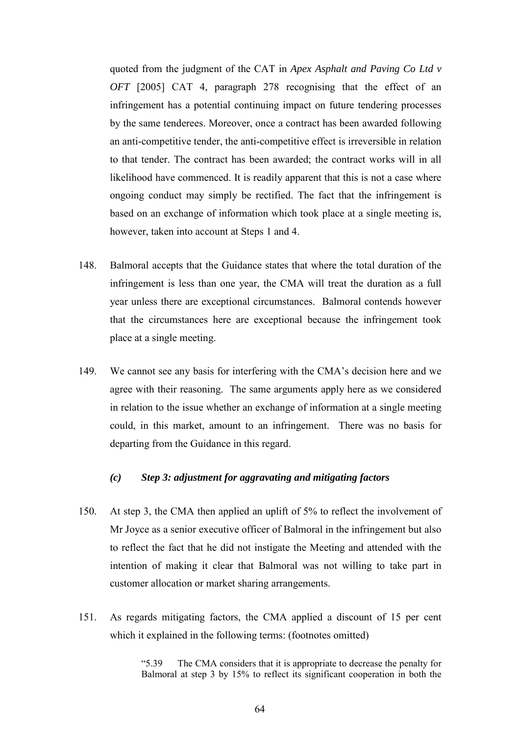quoted from the judgment of the CAT in *Apex Asphalt and Paving Co Ltd v OFT* [2005] CAT 4, paragraph 278 recognising that the effect of an infringement has a potential continuing impact on future tendering processes by the same tenderees. Moreover, once a contract has been awarded following an anti-competitive tender, the anti-competitive effect is irreversible in relation to that tender. The contract has been awarded; the contract works will in all likelihood have commenced. It is readily apparent that this is not a case where ongoing conduct may simply be rectified. The fact that the infringement is based on an exchange of information which took place at a single meeting is, however, taken into account at Steps 1 and 4.

- 148. Balmoral accepts that the Guidance states that where the total duration of the infringement is less than one year, the CMA will treat the duration as a full year unless there are exceptional circumstances. Balmoral contends however that the circumstances here are exceptional because the infringement took place at a single meeting.
- 149. We cannot see any basis for interfering with the CMA's decision here and we agree with their reasoning. The same arguments apply here as we considered in relation to the issue whether an exchange of information at a single meeting could, in this market, amount to an infringement. There was no basis for departing from the Guidance in this regard.

## *(c) Step 3: adjustment for aggravating and mitigating factors*

- 150. At step 3, the CMA then applied an uplift of 5% to reflect the involvement of Mr Joyce as a senior executive officer of Balmoral in the infringement but also to reflect the fact that he did not instigate the Meeting and attended with the intention of making it clear that Balmoral was not willing to take part in customer allocation or market sharing arrangements.
- 151. As regards mitigating factors, the CMA applied a discount of 15 per cent which it explained in the following terms: (footnotes omitted)

"5.39 The CMA considers that it is appropriate to decrease the penalty for Balmoral at step 3 by 15% to reflect its significant cooperation in both the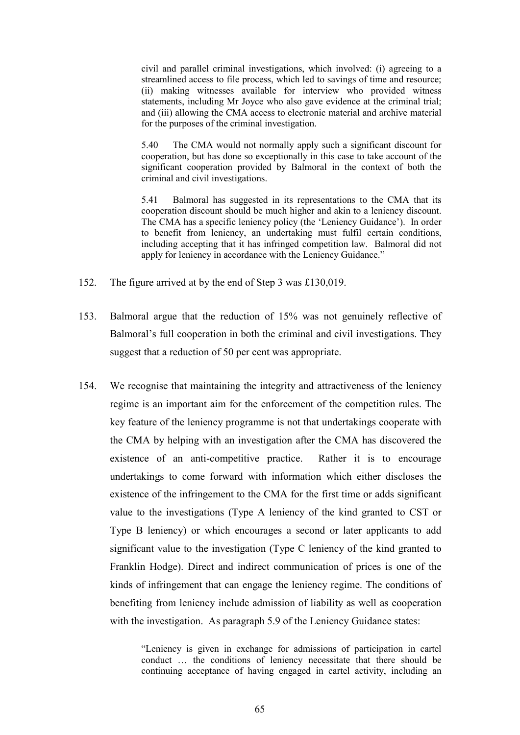civil and parallel criminal investigations, which involved: (i) agreeing to a streamlined access to file process, which led to savings of time and resource; (ii) making witnesses available for interview who provided witness statements, including Mr Joyce who also gave evidence at the criminal trial; and (iii) allowing the CMA access to electronic material and archive material for the purposes of the criminal investigation.

5.40 The CMA would not normally apply such a significant discount for cooperation, but has done so exceptionally in this case to take account of the significant cooperation provided by Balmoral in the context of both the criminal and civil investigations.

5.41 Balmoral has suggested in its representations to the CMA that its cooperation discount should be much higher and akin to a leniency discount. The CMA has a specific leniency policy (the 'Leniency Guidance'). In order to benefit from leniency, an undertaking must fulfil certain conditions, including accepting that it has infringed competition law. Balmoral did not apply for leniency in accordance with the Leniency Guidance."

- 152. The figure arrived at by the end of Step 3 was £130,019.
- 153. Balmoral argue that the reduction of 15% was not genuinely reflective of Balmoral's full cooperation in both the criminal and civil investigations. They suggest that a reduction of 50 per cent was appropriate.
- 154. We recognise that maintaining the integrity and attractiveness of the leniency regime is an important aim for the enforcement of the competition rules. The key feature of the leniency programme is not that undertakings cooperate with the CMA by helping with an investigation after the CMA has discovered the existence of an anti-competitive practice. Rather it is to encourage undertakings to come forward with information which either discloses the existence of the infringement to the CMA for the first time or adds significant value to the investigations (Type A leniency of the kind granted to CST or Type B leniency) or which encourages a second or later applicants to add significant value to the investigation (Type C leniency of the kind granted to Franklin Hodge). Direct and indirect communication of prices is one of the kinds of infringement that can engage the leniency regime. The conditions of benefiting from leniency include admission of liability as well as cooperation with the investigation. As paragraph 5.9 of the Leniency Guidance states:

"Leniency is given in exchange for admissions of participation in cartel conduct … the conditions of leniency necessitate that there should be continuing acceptance of having engaged in cartel activity, including an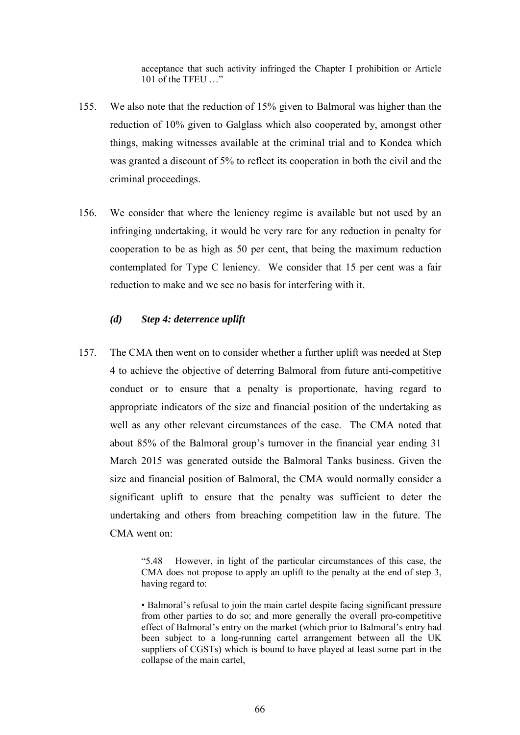acceptance that such activity infringed the Chapter I prohibition or Article 101 of the TFEU …"

- 155. We also note that the reduction of 15% given to Balmoral was higher than the reduction of 10% given to Galglass which also cooperated by, amongst other things, making witnesses available at the criminal trial and to Kondea which was granted a discount of 5% to reflect its cooperation in both the civil and the criminal proceedings.
- 156. We consider that where the leniency regime is available but not used by an infringing undertaking, it would be very rare for any reduction in penalty for cooperation to be as high as 50 per cent, that being the maximum reduction contemplated for Type C leniency. We consider that 15 per cent was a fair reduction to make and we see no basis for interfering with it.

### *(d) Step 4: deterrence uplift*

157. The CMA then went on to consider whether a further uplift was needed at Step 4 to achieve the objective of deterring Balmoral from future anti-competitive conduct or to ensure that a penalty is proportionate, having regard to appropriate indicators of the size and financial position of the undertaking as well as any other relevant circumstances of the case. The CMA noted that about 85% of the Balmoral group's turnover in the financial year ending 31 March 2015 was generated outside the Balmoral Tanks business. Given the size and financial position of Balmoral, the CMA would normally consider a significant uplift to ensure that the penalty was sufficient to deter the undertaking and others from breaching competition law in the future. The CMA went on:

<sup>&</sup>quot;5.48 However, in light of the particular circumstances of this case, the CMA does not propose to apply an uplift to the penalty at the end of step 3, having regard to:

<sup>•</sup> Balmoral's refusal to join the main cartel despite facing significant pressure from other parties to do so; and more generally the overall pro-competitive effect of Balmoral's entry on the market (which prior to Balmoral's entry had been subject to a long-running cartel arrangement between all the UK suppliers of CGSTs) which is bound to have played at least some part in the collapse of the main cartel,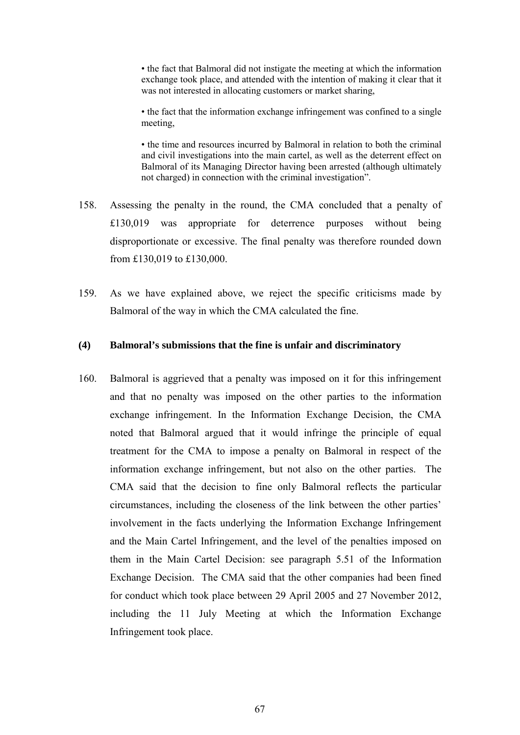• the fact that Balmoral did not instigate the meeting at which the information exchange took place, and attended with the intention of making it clear that it was not interested in allocating customers or market sharing,

• the fact that the information exchange infringement was confined to a single meeting,

• the time and resources incurred by Balmoral in relation to both the criminal and civil investigations into the main cartel, as well as the deterrent effect on Balmoral of its Managing Director having been arrested (although ultimately not charged) in connection with the criminal investigation".

- 158. Assessing the penalty in the round, the CMA concluded that a penalty of £130,019 was appropriate for deterrence purposes without being disproportionate or excessive. The final penalty was therefore rounded down from £130,019 to £130,000.
- 159. As we have explained above, we reject the specific criticisms made by Balmoral of the way in which the CMA calculated the fine.

#### **(4) Balmoral's submissions that the fine is unfair and discriminatory**

160. Balmoral is aggrieved that a penalty was imposed on it for this infringement and that no penalty was imposed on the other parties to the information exchange infringement. In the Information Exchange Decision, the CMA noted that Balmoral argued that it would infringe the principle of equal treatment for the CMA to impose a penalty on Balmoral in respect of the information exchange infringement, but not also on the other parties. The CMA said that the decision to fine only Balmoral reflects the particular circumstances, including the closeness of the link between the other parties' involvement in the facts underlying the Information Exchange Infringement and the Main Cartel Infringement, and the level of the penalties imposed on them in the Main Cartel Decision: see paragraph 5.51 of the Information Exchange Decision. The CMA said that the other companies had been fined for conduct which took place between 29 April 2005 and 27 November 2012, including the 11 July Meeting at which the Information Exchange Infringement took place.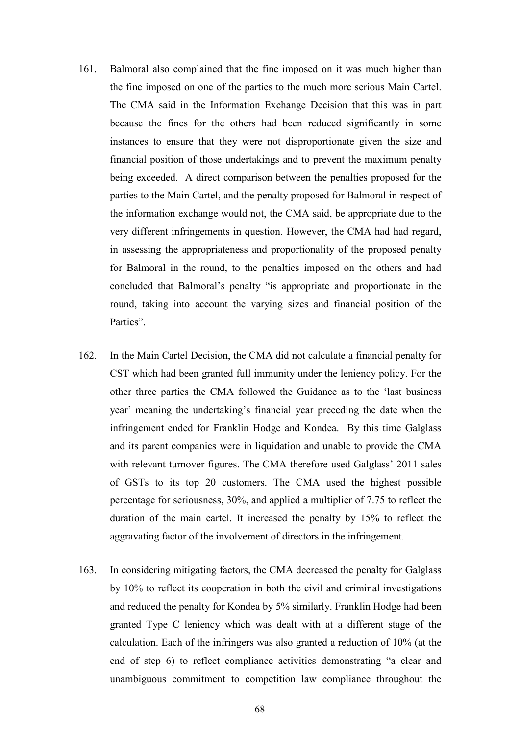- 161. Balmoral also complained that the fine imposed on it was much higher than the fine imposed on one of the parties to the much more serious Main Cartel. The CMA said in the Information Exchange Decision that this was in part because the fines for the others had been reduced significantly in some instances to ensure that they were not disproportionate given the size and financial position of those undertakings and to prevent the maximum penalty being exceeded. A direct comparison between the penalties proposed for the parties to the Main Cartel, and the penalty proposed for Balmoral in respect of the information exchange would not, the CMA said, be appropriate due to the very different infringements in question. However, the CMA had had regard, in assessing the appropriateness and proportionality of the proposed penalty for Balmoral in the round, to the penalties imposed on the others and had concluded that Balmoral's penalty "is appropriate and proportionate in the round, taking into account the varying sizes and financial position of the Parties".
- 162. In the Main Cartel Decision, the CMA did not calculate a financial penalty for CST which had been granted full immunity under the leniency policy. For the other three parties the CMA followed the Guidance as to the 'last business year' meaning the undertaking's financial year preceding the date when the infringement ended for Franklin Hodge and Kondea. By this time Galglass and its parent companies were in liquidation and unable to provide the CMA with relevant turnover figures. The CMA therefore used Galglass' 2011 sales of GSTs to its top 20 customers. The CMA used the highest possible percentage for seriousness, 30%, and applied a multiplier of 7.75 to reflect the duration of the main cartel. It increased the penalty by 15% to reflect the aggravating factor of the involvement of directors in the infringement.
- 163. In considering mitigating factors, the CMA decreased the penalty for Galglass by 10% to reflect its cooperation in both the civil and criminal investigations and reduced the penalty for Kondea by 5% similarly. Franklin Hodge had been granted Type C leniency which was dealt with at a different stage of the calculation. Each of the infringers was also granted a reduction of 10% (at the end of step 6) to reflect compliance activities demonstrating "a clear and unambiguous commitment to competition law compliance throughout the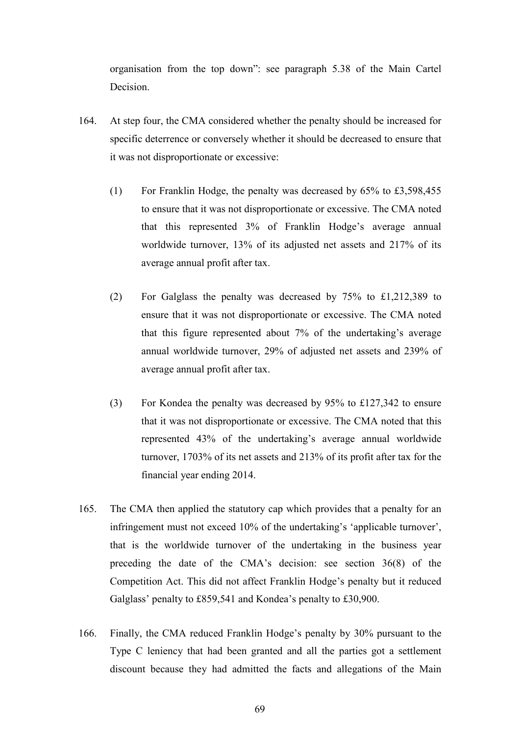organisation from the top down": see paragraph 5.38 of the Main Cartel Decision.

- 164. At step four, the CMA considered whether the penalty should be increased for specific deterrence or conversely whether it should be decreased to ensure that it was not disproportionate or excessive:
	- (1) For Franklin Hodge, the penalty was decreased by 65% to £3,598,455 to ensure that it was not disproportionate or excessive. The CMA noted that this represented 3% of Franklin Hodge's average annual worldwide turnover, 13% of its adjusted net assets and 217% of its average annual profit after tax.
	- (2) For Galglass the penalty was decreased by 75% to £1,212,389 to ensure that it was not disproportionate or excessive. The CMA noted that this figure represented about 7% of the undertaking's average annual worldwide turnover, 29% of adjusted net assets and 239% of average annual profit after tax.
	- (3) For Kondea the penalty was decreased by 95% to £127,342 to ensure that it was not disproportionate or excessive. The CMA noted that this represented 43% of the undertaking's average annual worldwide turnover, 1703% of its net assets and 213% of its profit after tax for the financial year ending 2014.
- 165. The CMA then applied the statutory cap which provides that a penalty for an infringement must not exceed 10% of the undertaking's 'applicable turnover', that is the worldwide turnover of the undertaking in the business year preceding the date of the CMA's decision: see section 36(8) of the Competition Act. This did not affect Franklin Hodge's penalty but it reduced Galglass' penalty to £859,541 and Kondea's penalty to £30,900.
- 166. Finally, the CMA reduced Franklin Hodge's penalty by 30% pursuant to the Type C leniency that had been granted and all the parties got a settlement discount because they had admitted the facts and allegations of the Main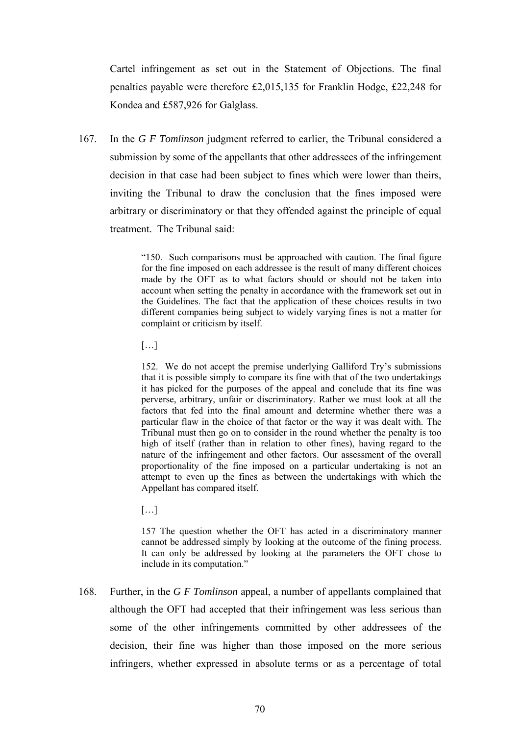Cartel infringement as set out in the Statement of Objections. The final penalties payable were therefore £2,015,135 for Franklin Hodge, £22,248 for Kondea and £587,926 for Galglass.

167. In the *G F Tomlinson* judgment referred to earlier, the Tribunal considered a submission by some of the appellants that other addressees of the infringement decision in that case had been subject to fines which were lower than theirs, inviting the Tribunal to draw the conclusion that the fines imposed were arbitrary or discriminatory or that they offended against the principle of equal treatment. The Tribunal said:

> "150. Such comparisons must be approached with caution. The final figure for the fine imposed on each addressee is the result of many different choices made by the OFT as to what factors should or should not be taken into account when setting the penalty in accordance with the framework set out in the Guidelines. The fact that the application of these choices results in two different companies being subject to widely varying fines is not a matter for complaint or criticism by itself.

[…]

152. We do not accept the premise underlying Galliford Try's submissions that it is possible simply to compare its fine with that of the two undertakings it has picked for the purposes of the appeal and conclude that its fine was perverse, arbitrary, unfair or discriminatory. Rather we must look at all the factors that fed into the final amount and determine whether there was a particular flaw in the choice of that factor or the way it was dealt with. The Tribunal must then go on to consider in the round whether the penalty is too high of itself (rather than in relation to other fines), having regard to the nature of the infringement and other factors. Our assessment of the overall proportionality of the fine imposed on a particular undertaking is not an attempt to even up the fines as between the undertakings with which the Appellant has compared itself.

 $[...]$ 

157 The question whether the OFT has acted in a discriminatory manner cannot be addressed simply by looking at the outcome of the fining process. It can only be addressed by looking at the parameters the OFT chose to include in its computation."

168. Further, in the *G F Tomlinson* appeal, a number of appellants complained that although the OFT had accepted that their infringement was less serious than some of the other infringements committed by other addressees of the decision, their fine was higher than those imposed on the more serious infringers, whether expressed in absolute terms or as a percentage of total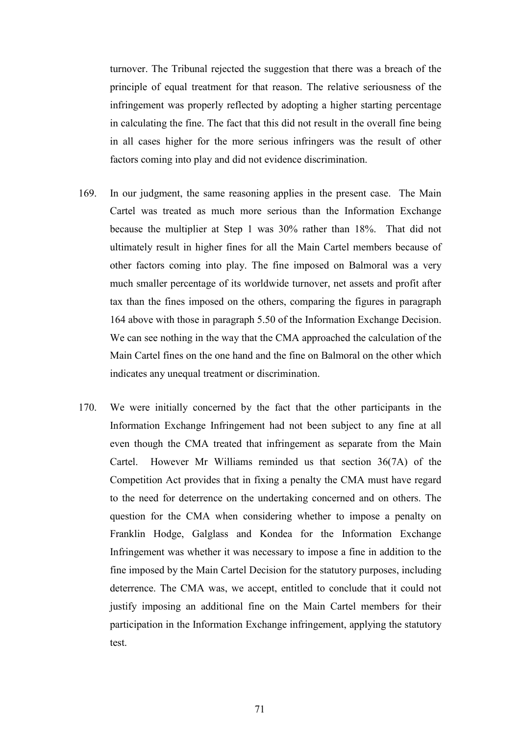turnover. The Tribunal rejected the suggestion that there was a breach of the principle of equal treatment for that reason. The relative seriousness of the infringement was properly reflected by adopting a higher starting percentage in calculating the fine. The fact that this did not result in the overall fine being in all cases higher for the more serious infringers was the result of other factors coming into play and did not evidence discrimination.

- 169. In our judgment, the same reasoning applies in the present case. The Main Cartel was treated as much more serious than the Information Exchange because the multiplier at Step 1 was 30% rather than 18%. That did not ultimately result in higher fines for all the Main Cartel members because of other factors coming into play. The fine imposed on Balmoral was a very much smaller percentage of its worldwide turnover, net assets and profit after tax than the fines imposed on the others, comparing the figures in paragraph 164 above with those in paragraph 5.50 of the Information Exchange Decision. We can see nothing in the way that the CMA approached the calculation of the Main Cartel fines on the one hand and the fine on Balmoral on the other which indicates any unequal treatment or discrimination.
- 170. We were initially concerned by the fact that the other participants in the Information Exchange Infringement had not been subject to any fine at all even though the CMA treated that infringement as separate from the Main Cartel. However Mr Williams reminded us that section 36(7A) of the Competition Act provides that in fixing a penalty the CMA must have regard to the need for deterrence on the undertaking concerned and on others. The question for the CMA when considering whether to impose a penalty on Franklin Hodge, Galglass and Kondea for the Information Exchange Infringement was whether it was necessary to impose a fine in addition to the fine imposed by the Main Cartel Decision for the statutory purposes, including deterrence. The CMA was, we accept, entitled to conclude that it could not justify imposing an additional fine on the Main Cartel members for their participation in the Information Exchange infringement, applying the statutory test.